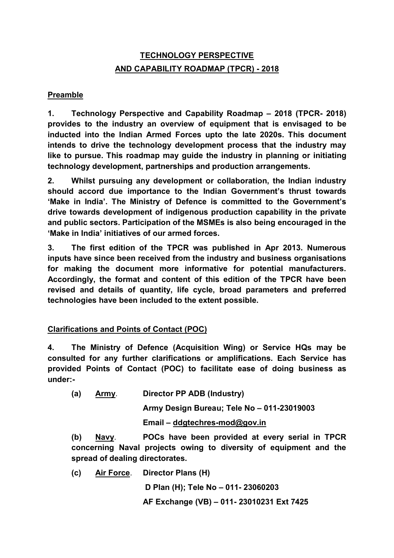## **TECHNOLOGY PERSPECTIVE AND CAPABILITY ROADMAP (TPCR) - 2018**

#### **Preamble**

**1. Technology Perspective and Capability Roadmap – 2018 (TPCR- 2018) provides to the industry an overview of equipment that is envisaged to be inducted into the Indian Armed Forces upto the late 2020s. This document intends to drive the technology development process that the industry may like to pursue. This roadmap may guide the industry in planning or initiating technology development, partnerships and production arrangements.** 

**2. Whilst pursuing any development or collaboration, the Indian industry should accord due importance to the Indian Government's thrust towards 'Make in India'. The Ministry of Defence is committed to the Government's drive towards development of indigenous production capability in the private and public sectors. Participation of the MSMEs is also being encouraged in the 'Make in India' initiatives of our armed forces.**

**3. The first edition of the TPCR was published in Apr 2013. Numerous inputs have since been received from the industry and business organisations for making the document more informative for potential manufacturers. Accordingly, the format and content of this edition of the TPCR have been revised and details of quantity, life cycle, broad parameters and preferred technologies have been included to the extent possible.** 

### **Clarifications and Points of Contact (POC)**

**4. The Ministry of Defence (Acquisition Wing) or Service HQs may be consulted for any further clarifications or amplifications. Each Service has provided Points of Contact (POC) to facilitate ease of doing business as under:-**

**(a) Army**. **Director PP ADB (Industry)**

**Army Design Bureau; Tele No – 011-23019003**

**Email – ddgtechres-mod@gov.in**

**(b) Navy**. **POCs have been provided at every serial in TPCR concerning Naval projects owing to diversity of equipment and the spread of dealing directorates.**

**(c) Air Force**. **Director Plans (H)**

**D Plan (H); Tele No – 011- 23060203**

**AF Exchange (VB) – 011- 23010231 Ext 7425**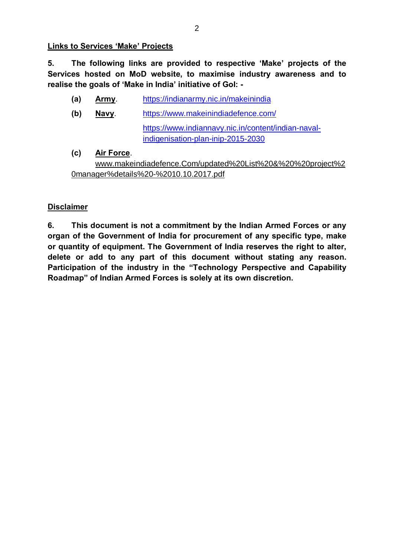**Links to Services 'Make' Projects**

**5. The following links are provided to respective 'Make' projects of the Services hosted on MoD website, to maximise industry awareness and to realise the goals of 'Make in India' initiative of GoI: -**

- **(a) Army**. https://indianarmy.nic.in/makeinindia
- **(b) Navy**. https://www.makeinindiadefence.com/ https://www.indiannavy.nic.in/content/indian-navalindigenisation-plan-inip-2015-2030
- **(c) Air Force**. www.makeindiadefence.Com/updated%20List%20&%20%20project%2 0manager%details%20-%2010.10.2017.pdf

### **Disclaimer**

**6. This document is not a commitment by the Indian Armed Forces or any organ of the Government of India for procurement of any specific type, make or quantity of equipment. The Government of India reserves the right to alter, delete or add to any part of this document without stating any reason. Participation of the industry in the "Technology Perspective and Capability Roadmap" of Indian Armed Forces is solely at its own discretion.**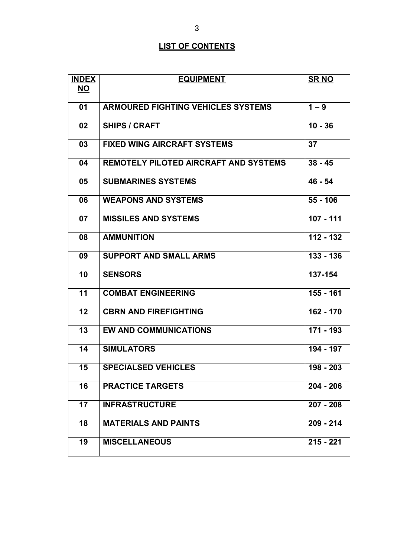# **LIST OF CONTENTS**

| <b>INDEX</b> | <b>EQUIPMENT</b>                             | <b>SRNO</b>          |
|--------------|----------------------------------------------|----------------------|
| <u>NO</u>    |                                              |                      |
| 01           | <b>ARMOURED FIGHTING VEHICLES SYSTEMS</b>    | $1 - 9$              |
| 02           | <b>SHIPS / CRAFT</b>                         | $\overline{10} - 36$ |
| 03           | <b>FIXED WING AIRCRAFT SYSTEMS</b>           | 37                   |
| 04           | <b>REMOTELY PILOTED AIRCRAFT AND SYSTEMS</b> | $38 - 45$            |
| 05           | <b>SUBMARINES SYSTEMS</b>                    | $46 - 54$            |
| 06           | <b>WEAPONS AND SYSTEMS</b>                   | $55 - 106$           |
| 07           | <b>MISSILES AND SYSTEMS</b>                  | 107 - 111            |
| 08           | <b>AMMUNITION</b>                            | $112 - 132$          |
| 09           | <b>SUPPORT AND SMALL ARMS</b>                | $133 - 136$          |
| 10           | <b>SENSORS</b>                               | 137-154              |
| 11           | <b>COMBAT ENGINEERING</b>                    | 155 - 161            |
| 12           | <b>CBRN AND FIREFIGHTING</b>                 | 162 - 170            |
| 13           | <b>EW AND COMMUNICATIONS</b>                 | 171 - 193            |
| 14           | <b>SIMULATORS</b>                            | 194 - 197            |
| 15           | <b>SPECIALSED VEHICLES</b>                   | 198 - 203            |
| 16           | <b>PRACTICE TARGETS</b>                      | $204 - 206$          |
| 17           | <b>INFRASTRUCTURE</b>                        | $207 - 208$          |
| 18           | <b>MATERIALS AND PAINTS</b>                  | $209 - 214$          |
| 19           | <b>MISCELLANEOUS</b>                         | $215 - 221$          |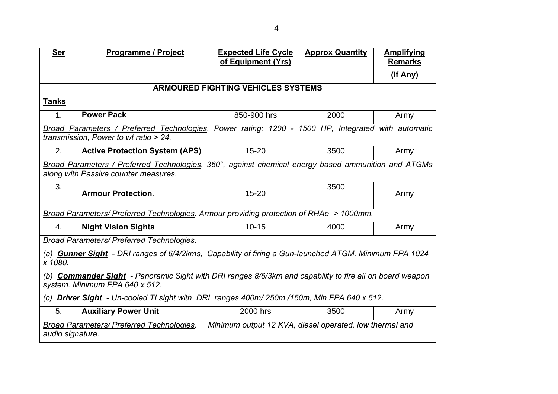| <b>Ser</b>                                                                                                                                        | <b>Programme / Project</b>                                                                                                                  | <b>Expected Life Cycle</b><br>of Equipment (Yrs) | <b>Approx Quantity</b> | <b>Amplifying</b><br><b>Remarks</b> |  |
|---------------------------------------------------------------------------------------------------------------------------------------------------|---------------------------------------------------------------------------------------------------------------------------------------------|--------------------------------------------------|------------------------|-------------------------------------|--|
|                                                                                                                                                   |                                                                                                                                             |                                                  |                        | (If Any)                            |  |
|                                                                                                                                                   |                                                                                                                                             | <b>ARMOURED FIGHTING VEHICLES SYSTEMS</b>        |                        |                                     |  |
| <u>Tanks</u>                                                                                                                                      |                                                                                                                                             |                                                  |                        |                                     |  |
| 1.                                                                                                                                                | <b>Power Pack</b>                                                                                                                           | 850-900 hrs                                      | 2000                   | Army                                |  |
|                                                                                                                                                   | Broad Parameters / Preferred Technologies. Power rating: 1200 - 1500 HP, Integrated with automatic<br>transmission, Power to wt ratio > 24. |                                                  |                        |                                     |  |
| 2.                                                                                                                                                | <b>Active Protection System (APS)</b>                                                                                                       | $15 - 20$                                        | 3500                   | Army                                |  |
|                                                                                                                                                   | Broad Parameters / Preferred Technologies. 360°, against chemical energy based ammunition and ATGMs<br>along with Passive counter measures. |                                                  |                        |                                     |  |
| 3.                                                                                                                                                | <b>Armour Protection.</b>                                                                                                                   | $15 - 20$                                        | 3500                   | Army                                |  |
|                                                                                                                                                   | Broad Parameters/ Preferred Technologies. Armour providing protection of RHAe > 1000mm.                                                     |                                                  |                        |                                     |  |
| 4.                                                                                                                                                | <b>Night Vision Sights</b>                                                                                                                  | $10 - 15$                                        | 4000                   | Army                                |  |
|                                                                                                                                                   | Broad Parameters/ Preferred Technologies.                                                                                                   |                                                  |                        |                                     |  |
| x 1080.                                                                                                                                           | (a) <b>Gunner Sight</b> - DRI ranges of 6/4/2kms, Capability of firing a Gun-launched ATGM. Minimum FPA 1024                                |                                                  |                        |                                     |  |
| (b) <b>Commander Sight</b> - Panoramic Sight with DRI ranges 8/6/3km and capability to fire all on board weapon<br>system. Minimum FPA 640 x 512. |                                                                                                                                             |                                                  |                        |                                     |  |
| (c) Driver Sight - Un-cooled TI sight with DRI ranges 400m/ 250m /150m, Min FPA 640 x 512.                                                        |                                                                                                                                             |                                                  |                        |                                     |  |
| 5.                                                                                                                                                | <b>Auxiliary Power Unit</b>                                                                                                                 | 2000 hrs                                         | 3500                   | Army                                |  |
|                                                                                                                                                   | Minimum output 12 KVA, diesel operated, low thermal and<br><b>Broad Parameters/ Preferred Technologies.</b><br>audio signature.             |                                                  |                        |                                     |  |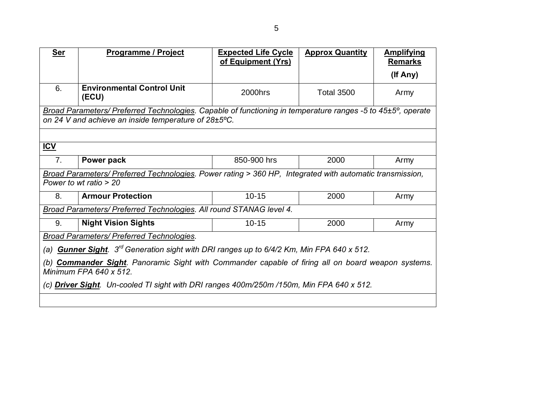| <b>Ser</b>                                                                                                                       | <b>Programme / Project</b>                                                                                                                                          | <b>Expected Life Cycle</b><br>of Equipment (Yrs) | <b>Approx Quantity</b> | <b>Amplifying</b><br><b>Remarks</b> |
|----------------------------------------------------------------------------------------------------------------------------------|---------------------------------------------------------------------------------------------------------------------------------------------------------------------|--------------------------------------------------|------------------------|-------------------------------------|
|                                                                                                                                  |                                                                                                                                                                     |                                                  |                        | (If Any)                            |
| 6.                                                                                                                               | <b>Environmental Control Unit</b><br>(ECU)                                                                                                                          | 2000hrs                                          | <b>Total 3500</b>      | Army                                |
|                                                                                                                                  | Broad Parameters/ Preferred Technologies. Capable of functioning in temperature ranges -5 to 45±5°, operate<br>on 24 V and achieve an inside temperature of 28±5°C. |                                                  |                        |                                     |
|                                                                                                                                  |                                                                                                                                                                     |                                                  |                        |                                     |
| ICV                                                                                                                              |                                                                                                                                                                     |                                                  |                        |                                     |
| 7.                                                                                                                               | Power pack                                                                                                                                                          | 850-900 hrs                                      | 2000                   | Army                                |
|                                                                                                                                  | Broad Parameters/ Preferred Technologies. Power rating > 360 HP, Integrated with automatic transmission,<br>Power to wt ratio $> 20$                                |                                                  |                        |                                     |
| 8.                                                                                                                               | <b>Armour Protection</b>                                                                                                                                            | $10 - 15$                                        | 2000                   | Army                                |
|                                                                                                                                  | Broad Parameters/ Preferred Technologies. All round STANAG level 4.                                                                                                 |                                                  |                        |                                     |
| 9.                                                                                                                               | <b>Night Vision Sights</b>                                                                                                                                          | $10 - 15$                                        | 2000                   | Army                                |
|                                                                                                                                  | <b>Broad Parameters/ Preferred Technologies.</b>                                                                                                                    |                                                  |                        |                                     |
| (a) <b>Gunner Sight</b> . 3 <sup>rd</sup> Generation sight with DRI ranges up to 6/4/2 Km, Min FPA 640 x 512.                    |                                                                                                                                                                     |                                                  |                        |                                     |
| <b>Commander Sight</b> . Panoramic Sight with Commander capable of firing all on board weapon systems.<br>Minimum FPA 640 x 512. |                                                                                                                                                                     |                                                  |                        |                                     |
| (c) <b>Driver Sight</b> . Un-cooled TI sight with DRI ranges 400m/250m /150m, Min FPA 640 x 512.                                 |                                                                                                                                                                     |                                                  |                        |                                     |
|                                                                                                                                  |                                                                                                                                                                     |                                                  |                        |                                     |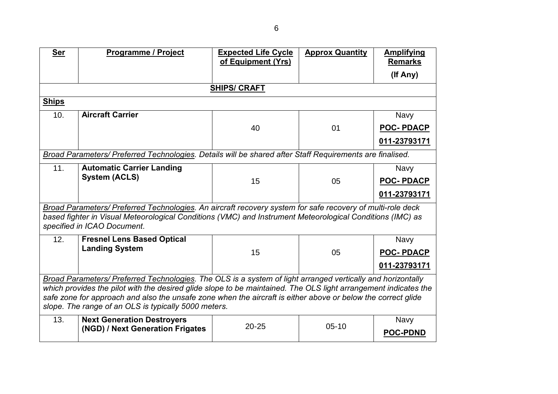| <b>Ser</b>                                                                                                                                                                                                                      | <b>Programme / Project</b>                                                                                                                                                                                                                             | <b>Expected Life Cycle</b><br>of Equipment (Yrs) | <b>Approx Quantity</b> | <b>Amplifying</b><br><b>Remarks</b> |  |
|---------------------------------------------------------------------------------------------------------------------------------------------------------------------------------------------------------------------------------|--------------------------------------------------------------------------------------------------------------------------------------------------------------------------------------------------------------------------------------------------------|--------------------------------------------------|------------------------|-------------------------------------|--|
|                                                                                                                                                                                                                                 |                                                                                                                                                                                                                                                        |                                                  |                        | (If Any)                            |  |
|                                                                                                                                                                                                                                 |                                                                                                                                                                                                                                                        | <b>SHIPS/CRAFT</b>                               |                        |                                     |  |
| <b>Ships</b>                                                                                                                                                                                                                    |                                                                                                                                                                                                                                                        |                                                  |                        |                                     |  |
| 10.                                                                                                                                                                                                                             | <b>Aircraft Carrier</b>                                                                                                                                                                                                                                |                                                  |                        | <b>Navy</b>                         |  |
|                                                                                                                                                                                                                                 |                                                                                                                                                                                                                                                        | 40                                               | 01                     | <b>POC-PDACP</b>                    |  |
|                                                                                                                                                                                                                                 |                                                                                                                                                                                                                                                        |                                                  |                        | 011-23793171                        |  |
|                                                                                                                                                                                                                                 | Broad Parameters/ Preferred Technologies. Details will be shared after Staff Requirements are finalised.                                                                                                                                               |                                                  |                        |                                     |  |
| 11.                                                                                                                                                                                                                             | <b>Automatic Carrier Landing</b>                                                                                                                                                                                                                       |                                                  |                        | <b>Navy</b>                         |  |
|                                                                                                                                                                                                                                 | <b>System (ACLS)</b>                                                                                                                                                                                                                                   | 15                                               | 05                     | <b>POC-PDACP</b>                    |  |
|                                                                                                                                                                                                                                 |                                                                                                                                                                                                                                                        |                                                  |                        | 011-23793171                        |  |
|                                                                                                                                                                                                                                 | Broad Parameters/ Preferred Technologies. An aircraft recovery system for safe recovery of multi-role deck<br>based fighter in Visual Meteorological Conditions (VMC) and Instrument Meteorological Conditions (IMC) as<br>specified in ICAO Document. |                                                  |                        |                                     |  |
| 12.                                                                                                                                                                                                                             | <b>Fresnel Lens Based Optical</b>                                                                                                                                                                                                                      |                                                  |                        | <b>Navy</b>                         |  |
|                                                                                                                                                                                                                                 | <b>Landing System</b>                                                                                                                                                                                                                                  | 15                                               | 05                     | <b>POC-PDACP</b>                    |  |
|                                                                                                                                                                                                                                 |                                                                                                                                                                                                                                                        |                                                  |                        | 011-23793171                        |  |
| Broad Parameters/ Preferred Technologies. The OLS is a system of light arranged vertically and horizontally                                                                                                                     |                                                                                                                                                                                                                                                        |                                                  |                        |                                     |  |
| which provides the pilot with the desired glide slope to be maintained. The OLS light arrangement indicates the<br>safe zone for approach and also the unsafe zone when the aircraft is either above or below the correct glide |                                                                                                                                                                                                                                                        |                                                  |                        |                                     |  |
| slope. The range of an OLS is typically 5000 meters.                                                                                                                                                                            |                                                                                                                                                                                                                                                        |                                                  |                        |                                     |  |
| 13.                                                                                                                                                                                                                             | <b>Next Generation Destroyers</b>                                                                                                                                                                                                                      | $20 - 25$                                        | $05-10$                | <b>Navy</b>                         |  |
|                                                                                                                                                                                                                                 | (NGD) / Next Generation Frigates                                                                                                                                                                                                                       |                                                  |                        | <b>POC-PDND</b>                     |  |
|                                                                                                                                                                                                                                 |                                                                                                                                                                                                                                                        |                                                  |                        |                                     |  |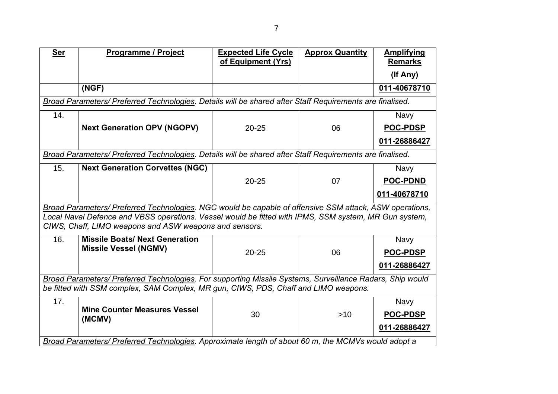| <b>Ser</b>                                                                          | Programme / Project                                                                                                                                                                                                                                                        | <b>Expected Life Cycle</b><br>of Equipment (Yrs) | <b>Approx Quantity</b> | <b>Amplifying</b><br><b>Remarks</b> |  |
|-------------------------------------------------------------------------------------|----------------------------------------------------------------------------------------------------------------------------------------------------------------------------------------------------------------------------------------------------------------------------|--------------------------------------------------|------------------------|-------------------------------------|--|
|                                                                                     |                                                                                                                                                                                                                                                                            |                                                  |                        | (If Any)                            |  |
|                                                                                     | (NGF)                                                                                                                                                                                                                                                                      |                                                  |                        | 011-40678710                        |  |
|                                                                                     | Broad Parameters/ Preferred Technologies. Details will be shared after Staff Requirements are finalised.                                                                                                                                                                   |                                                  |                        |                                     |  |
| 14.                                                                                 |                                                                                                                                                                                                                                                                            |                                                  |                        | <b>Navy</b>                         |  |
|                                                                                     | <b>Next Generation OPV (NGOPV)</b>                                                                                                                                                                                                                                         | $20 - 25$                                        | 06                     | <b>POC-PDSP</b>                     |  |
|                                                                                     |                                                                                                                                                                                                                                                                            |                                                  |                        | 011-26886427                        |  |
|                                                                                     | Broad Parameters/ Preferred Technologies. Details will be shared after Staff Requirements are finalised.                                                                                                                                                                   |                                                  |                        |                                     |  |
| 15.                                                                                 | <b>Next Generation Corvettes (NGC)</b>                                                                                                                                                                                                                                     |                                                  |                        | <b>Navy</b>                         |  |
|                                                                                     |                                                                                                                                                                                                                                                                            | $20 - 25$                                        | 07                     | <b>POC-PDND</b>                     |  |
|                                                                                     |                                                                                                                                                                                                                                                                            |                                                  |                        | 011-40678710                        |  |
|                                                                                     | Broad Parameters/ Preferred Technologies. NGC would be capable of offensive SSM attack, ASW operations,<br>Local Naval Defence and VBSS operations. Vessel would be fitted with IPMS, SSM system, MR Gun system,<br>CIWS, Chaff, LIMO weapons and ASW weapons and sensors. |                                                  |                        |                                     |  |
| 16.                                                                                 | <b>Missile Boats/ Next Generation</b>                                                                                                                                                                                                                                      |                                                  |                        | <b>Navy</b>                         |  |
|                                                                                     | <b>Missile Vessel (NGMV)</b>                                                                                                                                                                                                                                               | $20 - 25$                                        | 06                     | <b>POC-PDSP</b>                     |  |
|                                                                                     |                                                                                                                                                                                                                                                                            |                                                  |                        | 011-26886427                        |  |
|                                                                                     | Broad Parameters/ Preferred Technologies. For supporting Missile Systems, Surveillance Radars, Ship would                                                                                                                                                                  |                                                  |                        |                                     |  |
| be fitted with SSM complex, SAM Complex, MR gun, CIWS, PDS, Chaff and LIMO weapons. |                                                                                                                                                                                                                                                                            |                                                  |                        |                                     |  |
| 17.                                                                                 | <b>Mine Counter Measures Vessel</b>                                                                                                                                                                                                                                        |                                                  |                        | <b>Navy</b>                         |  |
|                                                                                     | (MCMV)                                                                                                                                                                                                                                                                     | 30                                               | $>10$                  | <b>POC-PDSP</b>                     |  |
|                                                                                     |                                                                                                                                                                                                                                                                            |                                                  |                        | 011-26886427                        |  |
|                                                                                     | Broad Parameters/ Preferred Technologies. Approximate length of about 60 m, the MCMVs would adopt a                                                                                                                                                                        |                                                  |                        |                                     |  |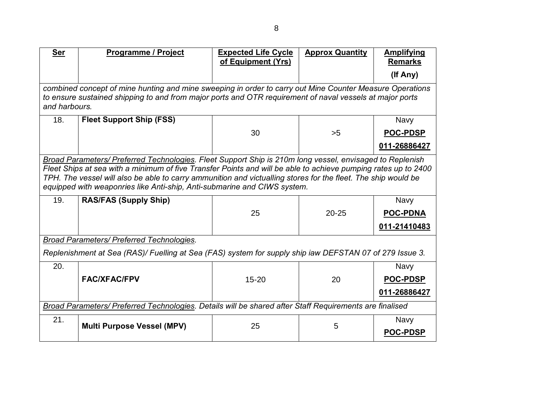| <b>Ser</b> | <b>Programme / Project</b>                                                                                                                                                                                                                                                                                                                                                                                              | <b>Expected Life Cycle</b><br>of Equipment (Yrs) | <b>Approx Quantity</b> | <b>Amplifying</b><br><b>Remarks</b> |  |
|------------|-------------------------------------------------------------------------------------------------------------------------------------------------------------------------------------------------------------------------------------------------------------------------------------------------------------------------------------------------------------------------------------------------------------------------|--------------------------------------------------|------------------------|-------------------------------------|--|
|            |                                                                                                                                                                                                                                                                                                                                                                                                                         |                                                  |                        | (If Any)                            |  |
|            | combined concept of mine hunting and mine sweeping in order to carry out Mine Counter Measure Operations<br>to ensure sustained shipping to and from major ports and OTR requirement of naval vessels at major ports<br>and harbours.                                                                                                                                                                                   |                                                  |                        |                                     |  |
| 18.        | <b>Fleet Support Ship (FSS)</b>                                                                                                                                                                                                                                                                                                                                                                                         |                                                  |                        | <b>Navy</b>                         |  |
|            |                                                                                                                                                                                                                                                                                                                                                                                                                         | 30                                               | >5                     | <b>POC-PDSP</b>                     |  |
|            |                                                                                                                                                                                                                                                                                                                                                                                                                         |                                                  |                        | 011-26886427                        |  |
|            | Broad Parameters/ Preferred Technologies. Fleet Support Ship is 210m long vessel, envisaged to Replenish<br>Fleet Ships at sea with a minimum of five Transfer Points and will be able to achieve pumping rates up to 2400<br>TPH. The vessel will also be able to carry ammunition and victualling stores for the fleet. The ship would be<br>equipped with weaponries like Anti-ship, Anti-submarine and CIWS system. |                                                  |                        |                                     |  |
| 19.        | <b>RAS/FAS (Supply Ship)</b>                                                                                                                                                                                                                                                                                                                                                                                            |                                                  |                        | <b>Navy</b>                         |  |
|            |                                                                                                                                                                                                                                                                                                                                                                                                                         | 25                                               | $20 - 25$              | <b>POC-PDNA</b>                     |  |
|            |                                                                                                                                                                                                                                                                                                                                                                                                                         |                                                  |                        | 011-21410483                        |  |
|            | Broad Parameters/ Preferred Technologies.                                                                                                                                                                                                                                                                                                                                                                               |                                                  |                        |                                     |  |
|            | Replenishment at Sea (RAS)/ Fuelling at Sea (FAS) system for supply ship iaw DEFSTAN 07 of 279 Issue 3.                                                                                                                                                                                                                                                                                                                 |                                                  |                        |                                     |  |
| 20.        |                                                                                                                                                                                                                                                                                                                                                                                                                         |                                                  |                        | <b>Navy</b>                         |  |
|            | <b>FAC/XFAC/FPV</b>                                                                                                                                                                                                                                                                                                                                                                                                     | $15 - 20$                                        | 20                     | <b>POC-PDSP</b>                     |  |
|            |                                                                                                                                                                                                                                                                                                                                                                                                                         |                                                  |                        | 011-26886427                        |  |
|            | Broad Parameters/ Preferred Technologies. Details will be shared after Staff Requirements are finalised                                                                                                                                                                                                                                                                                                                 |                                                  |                        |                                     |  |
| 21.        | <b>Multi Purpose Vessel (MPV)</b>                                                                                                                                                                                                                                                                                                                                                                                       | 25                                               | 5                      | <b>Navy</b>                         |  |
|            |                                                                                                                                                                                                                                                                                                                                                                                                                         |                                                  |                        | <b>POC-PDSP</b>                     |  |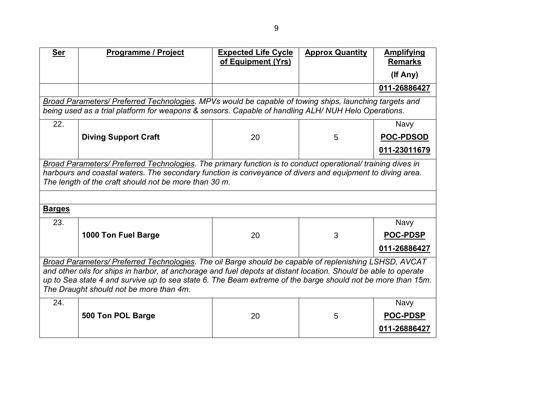| <b>Ser</b>                                                                                                  | Programme / Project                                                                                             | <b>Expected Life Cycle</b> | <b>Approx Quantity</b> | <b>Amplifying</b> |  |
|-------------------------------------------------------------------------------------------------------------|-----------------------------------------------------------------------------------------------------------------|----------------------------|------------------------|-------------------|--|
|                                                                                                             |                                                                                                                 | of Equipment (Yrs)         |                        | <b>Remarks</b>    |  |
|                                                                                                             |                                                                                                                 |                            |                        | (If Any)          |  |
|                                                                                                             |                                                                                                                 |                            |                        | 011-26886427      |  |
|                                                                                                             | Broad Parameters/ Preferred Technologies. MPVs would be capable of towing ships, launching targets and          |                            |                        |                   |  |
|                                                                                                             | being used as a trial platform for weapons & sensors. Capable of handling ALH/NUH Helo Operations.              |                            |                        |                   |  |
| 22.                                                                                                         |                                                                                                                 |                            |                        | <b>Navy</b>       |  |
|                                                                                                             | <b>Diving Support Craft</b>                                                                                     | 20                         | 5                      | <b>POC-PDSOD</b>  |  |
|                                                                                                             |                                                                                                                 |                            |                        | 011-23011679      |  |
|                                                                                                             | Broad Parameters/ Preferred Technologies. The primary function is to conduct operational/ training dives in     |                            |                        |                   |  |
|                                                                                                             | harbours and coastal waters. The secondary function is conveyance of divers and equipment to diving area.       |                            |                        |                   |  |
|                                                                                                             | The length of the craft should not be more than 30 m.                                                           |                            |                        |                   |  |
|                                                                                                             |                                                                                                                 |                            |                        |                   |  |
| <b>Barges</b>                                                                                               |                                                                                                                 |                            |                        |                   |  |
| 23.                                                                                                         |                                                                                                                 |                            |                        | <b>Navy</b>       |  |
|                                                                                                             | 1000 Ton Fuel Barge                                                                                             | 20                         | 3                      | <b>POC-PDSP</b>   |  |
|                                                                                                             |                                                                                                                 |                            |                        | 011-26886427      |  |
|                                                                                                             | Broad Parameters/ Preferred Technologies. The oil Barge should be capable of replenishing LSHSD, AVCAT          |                            |                        |                   |  |
|                                                                                                             | and other oils for ships in harbor, at anchorage and fuel depots at distant location. Should be able to operate |                            |                        |                   |  |
| up to Sea state 4 and survive up to sea state 6. The Beam extreme of the barge should not be more than 15m. |                                                                                                                 |                            |                        |                   |  |
| The Draught should not be more than 4m.                                                                     |                                                                                                                 |                            |                        |                   |  |
| 24.                                                                                                         |                                                                                                                 |                            |                        | Navy              |  |
|                                                                                                             | 500 Ton POL Barge                                                                                               | 20                         | 5                      | <b>POC-PDSP</b>   |  |
|                                                                                                             |                                                                                                                 |                            |                        | 011-26886427      |  |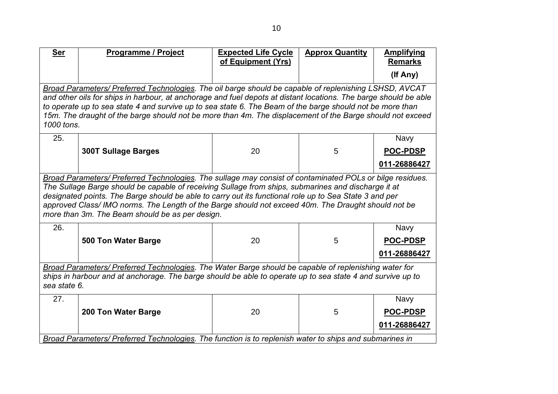| <b>Ser</b>                                                                                                                                                                                                                                                                                                                                                                                                                                                                           | Programme / Project                                                                                                                                                                                                                                                                                                                                                                                                                                                | <b>Expected Life Cycle</b><br>of Equipment (Yrs) | <b>Approx Quantity</b> | <b>Amplifying</b><br><b>Remarks</b> |  |  |
|--------------------------------------------------------------------------------------------------------------------------------------------------------------------------------------------------------------------------------------------------------------------------------------------------------------------------------------------------------------------------------------------------------------------------------------------------------------------------------------|--------------------------------------------------------------------------------------------------------------------------------------------------------------------------------------------------------------------------------------------------------------------------------------------------------------------------------------------------------------------------------------------------------------------------------------------------------------------|--------------------------------------------------|------------------------|-------------------------------------|--|--|
|                                                                                                                                                                                                                                                                                                                                                                                                                                                                                      |                                                                                                                                                                                                                                                                                                                                                                                                                                                                    |                                                  |                        | (If Any)                            |  |  |
|                                                                                                                                                                                                                                                                                                                                                                                                                                                                                      | Broad Parameters/ Preferred Technologies. The oil barge should be capable of replenishing LSHSD, AVCAT<br>and other oils for ships in harbour, at anchorage and fuel depots at distant locations. The barge should be able<br>to operate up to sea state 4 and survive up to sea state 6. The Beam of the barge should not be more than<br>15m. The draught of the barge should not be more than 4m. The displacement of the Barge should not exceed<br>1000 tons. |                                                  |                        |                                     |  |  |
| 25.                                                                                                                                                                                                                                                                                                                                                                                                                                                                                  |                                                                                                                                                                                                                                                                                                                                                                                                                                                                    |                                                  |                        | Navy                                |  |  |
|                                                                                                                                                                                                                                                                                                                                                                                                                                                                                      | <b>300T Sullage Barges</b>                                                                                                                                                                                                                                                                                                                                                                                                                                         | 20                                               | 5                      | <b>POC-PDSP</b>                     |  |  |
|                                                                                                                                                                                                                                                                                                                                                                                                                                                                                      |                                                                                                                                                                                                                                                                                                                                                                                                                                                                    |                                                  |                        | 011-26886427                        |  |  |
| Broad Parameters/ Preferred Technologies. The sullage may consist of contaminated POLs or bilge residues.<br>The Sullage Barge should be capable of receiving Sullage from ships, submarines and discharge it at<br>designated points. The Barge should be able to carry out its functional role up to Sea State 3 and per<br>approved Class/ IMO norms. The Length of the Barge should not exceed 40m. The Draught should not be<br>more than 3m. The Beam should be as per design. |                                                                                                                                                                                                                                                                                                                                                                                                                                                                    |                                                  |                        |                                     |  |  |
| 26.                                                                                                                                                                                                                                                                                                                                                                                                                                                                                  |                                                                                                                                                                                                                                                                                                                                                                                                                                                                    |                                                  |                        | Navy                                |  |  |
|                                                                                                                                                                                                                                                                                                                                                                                                                                                                                      | <b>500 Ton Water Barge</b>                                                                                                                                                                                                                                                                                                                                                                                                                                         | 20                                               | 5                      | <b>POC-PDSP</b>                     |  |  |
|                                                                                                                                                                                                                                                                                                                                                                                                                                                                                      |                                                                                                                                                                                                                                                                                                                                                                                                                                                                    |                                                  |                        | 011-26886427                        |  |  |
| Broad Parameters/ Preferred Technologies. The Water Barge should be capable of replenishing water for<br>ships in harbour and at anchorage. The barge should be able to operate up to sea state 4 and survive up to<br>sea state 6.                                                                                                                                                                                                                                                  |                                                                                                                                                                                                                                                                                                                                                                                                                                                                    |                                                  |                        |                                     |  |  |
| 27.                                                                                                                                                                                                                                                                                                                                                                                                                                                                                  |                                                                                                                                                                                                                                                                                                                                                                                                                                                                    |                                                  |                        | <b>Navy</b>                         |  |  |
|                                                                                                                                                                                                                                                                                                                                                                                                                                                                                      | 200 Ton Water Barge                                                                                                                                                                                                                                                                                                                                                                                                                                                | 20                                               | 5                      | <b>POC-PDSP</b>                     |  |  |
|                                                                                                                                                                                                                                                                                                                                                                                                                                                                                      |                                                                                                                                                                                                                                                                                                                                                                                                                                                                    |                                                  |                        | 011-26886427                        |  |  |
|                                                                                                                                                                                                                                                                                                                                                                                                                                                                                      | Broad Parameters/ Preferred Technologies. The function is to replenish water to ships and submarines in                                                                                                                                                                                                                                                                                                                                                            |                                                  |                        |                                     |  |  |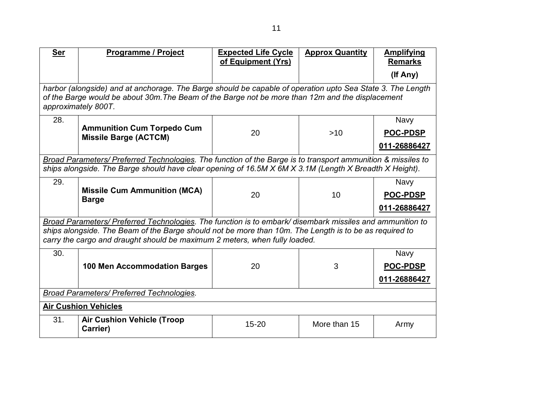| <b>Ser</b>                                                                                                                                                                                                                                                                                        | <b>Programme / Project</b>                                                                                                                                                                                                            | <b>Expected Life Cycle</b><br>of Equipment (Yrs) | <b>Approx Quantity</b> | <b>Amplifying</b><br><b>Remarks</b>            |
|---------------------------------------------------------------------------------------------------------------------------------------------------------------------------------------------------------------------------------------------------------------------------------------------------|---------------------------------------------------------------------------------------------------------------------------------------------------------------------------------------------------------------------------------------|--------------------------------------------------|------------------------|------------------------------------------------|
|                                                                                                                                                                                                                                                                                                   |                                                                                                                                                                                                                                       |                                                  |                        | (If Any)                                       |
|                                                                                                                                                                                                                                                                                                   | harbor (alongside) and at anchorage. The Barge should be capable of operation upto Sea State 3. The Length<br>of the Barge would be about 30m. The Beam of the Barge not be more than 12m and the displacement<br>approximately 800T. |                                                  |                        |                                                |
| 28.                                                                                                                                                                                                                                                                                               | <b>Ammunition Cum Torpedo Cum</b><br><b>Missile Barge (ACTCM)</b>                                                                                                                                                                     | 20                                               | $>10$                  | <b>Navy</b><br><b>POC-PDSP</b><br>011-26886427 |
|                                                                                                                                                                                                                                                                                                   | Broad Parameters/ Preferred Technologies. The function of the Barge is to transport ammunition & missiles to<br>ships alongside. The Barge should have clear opening of 16.5M X 6M X 3.1M (Length X Breadth X Height).                |                                                  |                        |                                                |
| 29.                                                                                                                                                                                                                                                                                               | <b>Missile Cum Ammunition (MCA)</b><br><b>Barge</b>                                                                                                                                                                                   | 20                                               | 10                     | <b>Navy</b><br><b>POC-PDSP</b><br>011-26886427 |
| Broad Parameters/ Preferred Technologies. The function is to embark/ disembark missiles and ammunition to<br>ships alongside. The Beam of the Barge should not be more than 10m. The Length is to be as required to<br>carry the cargo and draught should be maximum 2 meters, when fully loaded. |                                                                                                                                                                                                                                       |                                                  |                        |                                                |
| 30.                                                                                                                                                                                                                                                                                               | <b>100 Men Accommodation Barges</b>                                                                                                                                                                                                   | 20                                               | 3                      | <b>Navy</b><br><b>POC-PDSP</b><br>011-26886427 |
| Broad Parameters/ Preferred Technologies.                                                                                                                                                                                                                                                         |                                                                                                                                                                                                                                       |                                                  |                        |                                                |
| <b>Air Cushion Vehicles</b>                                                                                                                                                                                                                                                                       |                                                                                                                                                                                                                                       |                                                  |                        |                                                |
| 31.                                                                                                                                                                                                                                                                                               | <b>Air Cushion Vehicle (Troop</b><br>Carrier)                                                                                                                                                                                         | $15 - 20$                                        | More than 15           | Army                                           |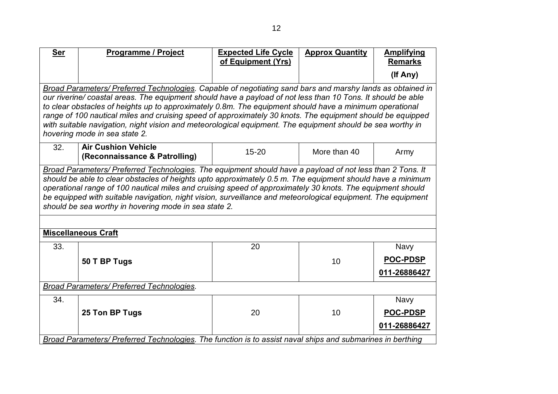| <b>Ser</b>                                | Programme / Project                                                                                                                                                                                                        | <b>Expected Life Cycle</b><br>of Equipment (Yrs) | <b>Approx Quantity</b> | <b>Amplifying</b><br><b>Remarks</b> |  |
|-------------------------------------------|----------------------------------------------------------------------------------------------------------------------------------------------------------------------------------------------------------------------------|--------------------------------------------------|------------------------|-------------------------------------|--|
|                                           |                                                                                                                                                                                                                            |                                                  |                        | (If Any)                            |  |
|                                           |                                                                                                                                                                                                                            |                                                  |                        |                                     |  |
|                                           | Broad Parameters/ Preferred Technologies. Capable of negotiating sand bars and marshy lands as obtained in<br>our riverine/ coastal areas. The equipment should have a payload of not less than 10 Tons. It should be able |                                                  |                        |                                     |  |
|                                           | to clear obstacles of heights up to approximately 0.8m. The equipment should have a minimum operational                                                                                                                    |                                                  |                        |                                     |  |
|                                           | range of 100 nautical miles and cruising speed of approximately 30 knots. The equipment should be equipped                                                                                                                 |                                                  |                        |                                     |  |
|                                           | with suitable navigation, night vision and meteorological equipment. The equipment should be sea worthy in                                                                                                                 |                                                  |                        |                                     |  |
|                                           | hovering mode in sea state 2.                                                                                                                                                                                              |                                                  |                        |                                     |  |
| 32.                                       | <b>Air Cushion Vehicle</b>                                                                                                                                                                                                 | $15 - 20$                                        | More than 40           |                                     |  |
|                                           | (Reconnaissance & Patrolling)                                                                                                                                                                                              |                                                  |                        | Army                                |  |
|                                           | Broad Parameters/ Preferred Technologies. The equipment should have a payload of not less than 2 Tons. It                                                                                                                  |                                                  |                        |                                     |  |
|                                           | should be able to clear obstacles of heights upto approximately 0.5 m. The equipment should have a minimum                                                                                                                 |                                                  |                        |                                     |  |
|                                           | operational range of 100 nautical miles and cruising speed of approximately 30 knots. The equipment should                                                                                                                 |                                                  |                        |                                     |  |
|                                           | be equipped with suitable navigation, night vision, surveillance and meteorological equipment. The equipment<br>should be sea worthy in hovering mode in sea state 2.                                                      |                                                  |                        |                                     |  |
|                                           |                                                                                                                                                                                                                            |                                                  |                        |                                     |  |
|                                           |                                                                                                                                                                                                                            |                                                  |                        |                                     |  |
|                                           | <b>Miscellaneous Craft</b>                                                                                                                                                                                                 |                                                  |                        |                                     |  |
| 33.                                       |                                                                                                                                                                                                                            | 20                                               |                        | <b>Navy</b>                         |  |
|                                           | 50 T BP Tugs                                                                                                                                                                                                               |                                                  | 10                     | <b>POC-PDSP</b>                     |  |
|                                           |                                                                                                                                                                                                                            |                                                  |                        | 011-26886427                        |  |
| Broad Parameters/ Preferred Technologies. |                                                                                                                                                                                                                            |                                                  |                        |                                     |  |
| 34.                                       |                                                                                                                                                                                                                            |                                                  |                        | <b>Navy</b>                         |  |
|                                           | 25 Ton BP Tugs                                                                                                                                                                                                             | 20                                               | 10                     | <b>POC-PDSP</b>                     |  |
|                                           |                                                                                                                                                                                                                            |                                                  |                        | 011-26886427                        |  |
|                                           | Broad Parameters/ Preferred Technologies. The function is to assist naval ships and submarines in berthing                                                                                                                 |                                                  |                        |                                     |  |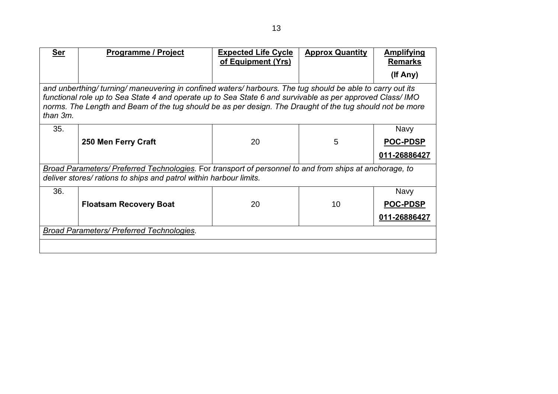| Ser                                              | <b>Programme / Project</b>                                                                                                                                                                                                                                                                                                          | <b>Expected Life Cycle</b><br>of Equipment (Yrs) | <b>Approx Quantity</b> | <b>Amplifying</b><br><b>Remarks</b><br>(If Any) |  |  |
|--------------------------------------------------|-------------------------------------------------------------------------------------------------------------------------------------------------------------------------------------------------------------------------------------------------------------------------------------------------------------------------------------|--------------------------------------------------|------------------------|-------------------------------------------------|--|--|
| than 3m.                                         | and unberthing/ turning/ maneuvering in confined waters/ harbours. The tug should be able to carry out its<br>functional role up to Sea State 4 and operate up to Sea State 6 and survivable as per approved Class/ IMO<br>norms. The Length and Beam of the tug should be as per design. The Draught of the tug should not be more |                                                  |                        |                                                 |  |  |
| 35.                                              |                                                                                                                                                                                                                                                                                                                                     |                                                  |                        | <b>Navy</b>                                     |  |  |
|                                                  | 250 Men Ferry Craft                                                                                                                                                                                                                                                                                                                 | 20                                               | 5                      | <b>POC-PDSP</b>                                 |  |  |
|                                                  |                                                                                                                                                                                                                                                                                                                                     |                                                  |                        | 011-26886427                                    |  |  |
|                                                  | Broad Parameters/ Preferred Technologies. For transport of personnel to and from ships at anchorage, to<br>deliver stores/ rations to ships and patrol within harbour limits.                                                                                                                                                       |                                                  |                        |                                                 |  |  |
| 36.                                              |                                                                                                                                                                                                                                                                                                                                     |                                                  |                        | <b>Navy</b>                                     |  |  |
|                                                  | <b>Floatsam Recovery Boat</b>                                                                                                                                                                                                                                                                                                       | 20                                               | 10                     | <b>POC-PDSP</b>                                 |  |  |
|                                                  |                                                                                                                                                                                                                                                                                                                                     |                                                  |                        | 011-26886427                                    |  |  |
| <b>Broad Parameters/ Preferred Technologies.</b> |                                                                                                                                                                                                                                                                                                                                     |                                                  |                        |                                                 |  |  |
|                                                  |                                                                                                                                                                                                                                                                                                                                     |                                                  |                        |                                                 |  |  |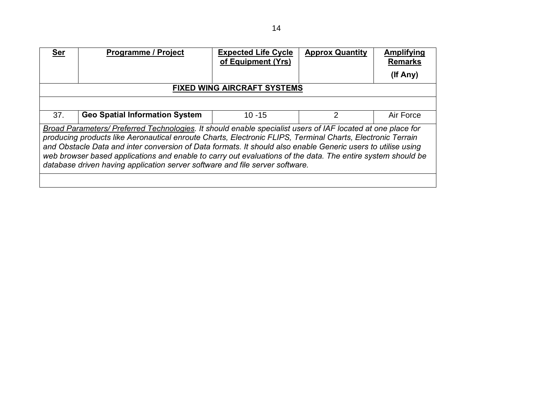| <b>Ser</b>                                                                                                                                                                                                                                                                                                                                                                                                                                                                                                                               | <b>Programme / Project</b>            | <b>Expected Life Cycle</b><br>of Equipment (Yrs) | <b>Approx Quantity</b> | <b>Amplifying</b><br><b>Remarks</b> |  |
|------------------------------------------------------------------------------------------------------------------------------------------------------------------------------------------------------------------------------------------------------------------------------------------------------------------------------------------------------------------------------------------------------------------------------------------------------------------------------------------------------------------------------------------|---------------------------------------|--------------------------------------------------|------------------------|-------------------------------------|--|
|                                                                                                                                                                                                                                                                                                                                                                                                                                                                                                                                          |                                       |                                                  |                        | (If Any)                            |  |
|                                                                                                                                                                                                                                                                                                                                                                                                                                                                                                                                          |                                       | <b>FIXED WING AIRCRAFT SYSTEMS</b>               |                        |                                     |  |
|                                                                                                                                                                                                                                                                                                                                                                                                                                                                                                                                          |                                       |                                                  |                        |                                     |  |
| 37.                                                                                                                                                                                                                                                                                                                                                                                                                                                                                                                                      | <b>Geo Spatial Information System</b> | $10 - 15$                                        | 2                      | Air Force                           |  |
| Broad Parameters/ Preferred Technologies. It should enable specialist users of IAF located at one place for<br>producing products like Aeronautical enroute Charts, Electronic FLIPS, Terminal Charts, Electronic Terrain<br>and Obstacle Data and inter conversion of Data formats. It should also enable Generic users to utilise using<br>web browser based applications and enable to carry out evaluations of the data. The entire system should be<br>database driven having application server software and file server software. |                                       |                                                  |                        |                                     |  |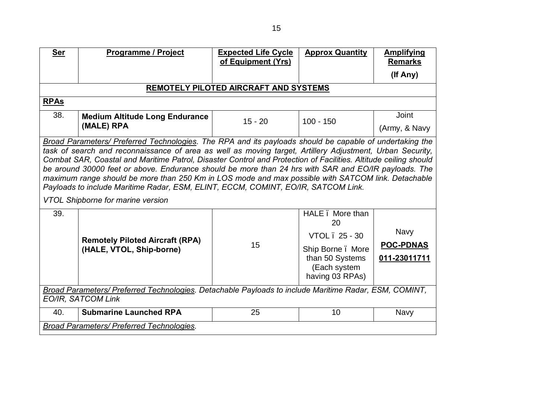| <b>Ser</b>                                                                                                                                                                                                                                                                                                                                                                                                                                                                                                                                                                                                                                                                             | <b>Programme / Project</b>                                         | <b>Expected Life Cycle</b><br>of Equipment (Yrs) | <b>Approx Quantity</b>                                                                                            | <b>Amplifying</b><br><b>Remarks</b>             |  |
|----------------------------------------------------------------------------------------------------------------------------------------------------------------------------------------------------------------------------------------------------------------------------------------------------------------------------------------------------------------------------------------------------------------------------------------------------------------------------------------------------------------------------------------------------------------------------------------------------------------------------------------------------------------------------------------|--------------------------------------------------------------------|--------------------------------------------------|-------------------------------------------------------------------------------------------------------------------|-------------------------------------------------|--|
|                                                                                                                                                                                                                                                                                                                                                                                                                                                                                                                                                                                                                                                                                        |                                                                    |                                                  |                                                                                                                   | (If Any)                                        |  |
|                                                                                                                                                                                                                                                                                                                                                                                                                                                                                                                                                                                                                                                                                        |                                                                    |                                                  |                                                                                                                   |                                                 |  |
| REMOTELY PILOTED AIRCRAFT AND SYSTEMS                                                                                                                                                                                                                                                                                                                                                                                                                                                                                                                                                                                                                                                  |                                                                    |                                                  |                                                                                                                   |                                                 |  |
| <b>RPAs</b>                                                                                                                                                                                                                                                                                                                                                                                                                                                                                                                                                                                                                                                                            |                                                                    |                                                  |                                                                                                                   |                                                 |  |
| 38.                                                                                                                                                                                                                                                                                                                                                                                                                                                                                                                                                                                                                                                                                    | <b>Medium Altitude Long Endurance</b>                              | $15 - 20$                                        | $100 - 150$                                                                                                       | <b>Joint</b>                                    |  |
|                                                                                                                                                                                                                                                                                                                                                                                                                                                                                                                                                                                                                                                                                        | (MALE) RPA                                                         |                                                  |                                                                                                                   | (Army, & Navy                                   |  |
| Broad Parameters/ Preferred Technologies. The RPA and its payloads should be capable of undertaking the<br>task of search and reconnaissance of area as well as moving target, Artillery Adjustment, Urban Security,<br>Combat SAR, Coastal and Maritime Patrol, Disaster Control and Protection of Facilities. Altitude ceiling should<br>be around 30000 feet or above. Endurance should be more than 24 hrs with SAR and EO/IR payloads. The<br>maximum range should be more than 250 Km in LOS mode and max possible with SATCOM link. Detachable<br>Payloads to include Maritime Radar, ESM, ELINT, ECCM, COMINT, EO/IR, SATCOM Link.<br><b>VTOL Shipborne for marine version</b> |                                                                    |                                                  |                                                                                                                   |                                                 |  |
| 39.                                                                                                                                                                                                                                                                                                                                                                                                                                                                                                                                                                                                                                                                                    | <b>Remotely Piloted Aircraft (RPA)</b><br>(HALE, VTOL, Ship-borne) | 15                                               | HALE. More than<br>20<br>VTOL . 25 - 30<br>Ship Borne. More<br>than 50 Systems<br>(Each system<br>having 03 RPAs) | <b>Navy</b><br><b>POC-PDNAS</b><br>011-23011711 |  |
| Broad Parameters/ Preferred Technologies. Detachable Payloads to include Maritime Radar, ESM, COMINT,<br><b>EO/IR, SATCOM Link</b>                                                                                                                                                                                                                                                                                                                                                                                                                                                                                                                                                     |                                                                    |                                                  |                                                                                                                   |                                                 |  |
| 40.                                                                                                                                                                                                                                                                                                                                                                                                                                                                                                                                                                                                                                                                                    | <b>Submarine Launched RPA</b>                                      | 25                                               | 10                                                                                                                | <b>Navy</b>                                     |  |
|                                                                                                                                                                                                                                                                                                                                                                                                                                                                                                                                                                                                                                                                                        | Broad Parameters/ Preferred Technologies.                          |                                                  |                                                                                                                   |                                                 |  |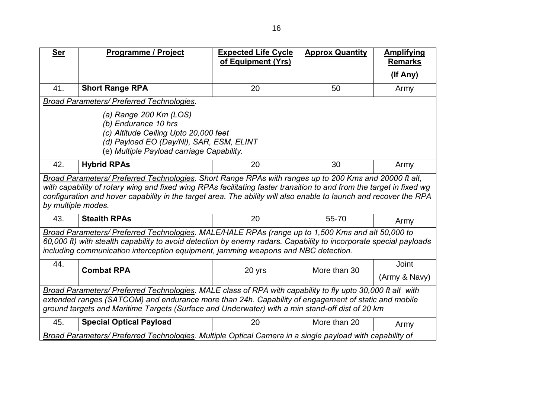| <b>Ser</b>                                                                                                                                                                                                                                                                                                           | <b>Programme / Project</b>                                                                                                                                                                                                                                                                                                                          | <b>Expected Life Cycle</b><br>of Equipment (Yrs) | <b>Approx Quantity</b> | <b>Amplifying</b><br><b>Remarks</b> |  |
|----------------------------------------------------------------------------------------------------------------------------------------------------------------------------------------------------------------------------------------------------------------------------------------------------------------------|-----------------------------------------------------------------------------------------------------------------------------------------------------------------------------------------------------------------------------------------------------------------------------------------------------------------------------------------------------|--------------------------------------------------|------------------------|-------------------------------------|--|
|                                                                                                                                                                                                                                                                                                                      |                                                                                                                                                                                                                                                                                                                                                     |                                                  |                        | (If Any)                            |  |
| 41.                                                                                                                                                                                                                                                                                                                  | <b>Short Range RPA</b>                                                                                                                                                                                                                                                                                                                              | 20                                               | 50                     | Army                                |  |
|                                                                                                                                                                                                                                                                                                                      | <b>Broad Parameters/ Preferred Technologies.</b>                                                                                                                                                                                                                                                                                                    |                                                  |                        |                                     |  |
|                                                                                                                                                                                                                                                                                                                      | (a) Range 200 Km (LOS)<br>(b) Endurance 10 hrs<br>(c) Altitude Ceiling Upto 20,000 feet<br>(d) Payload EO (Day/Ni), SAR, ESM, ELINT<br>(e) Multiple Payload carriage Capability.                                                                                                                                                                    |                                                  |                        |                                     |  |
| 42.                                                                                                                                                                                                                                                                                                                  | <b>Hybrid RPAs</b>                                                                                                                                                                                                                                                                                                                                  | 20                                               | 30                     | Army                                |  |
| by multiple modes.                                                                                                                                                                                                                                                                                                   | Broad Parameters/ Preferred Technologies. Short Range RPAs with ranges up to 200 Kms and 20000 ft alt,<br>with capability of rotary wing and fixed wing RPAs facilitating faster transition to and from the target in fixed wg<br>configuration and hover capability in the target area. The ability will also enable to launch and recover the RPA |                                                  |                        |                                     |  |
| 43.                                                                                                                                                                                                                                                                                                                  | <b>Stealth RPAs</b>                                                                                                                                                                                                                                                                                                                                 | 20                                               | 55-70                  | Army                                |  |
|                                                                                                                                                                                                                                                                                                                      | Broad Parameters/ Preferred Technologies. MALE/HALE RPAs (range up to 1,500 Kms and alt 50,000 to<br>60,000 ft) with stealth capability to avoid detection by enemy radars. Capability to incorporate special payloads<br>including communication interception equipment, jamming weapons and NBC detection.                                        |                                                  |                        |                                     |  |
| 44.                                                                                                                                                                                                                                                                                                                  | <b>Combat RPA</b>                                                                                                                                                                                                                                                                                                                                   | 20 yrs                                           | More than 30           | Joint                               |  |
|                                                                                                                                                                                                                                                                                                                      |                                                                                                                                                                                                                                                                                                                                                     |                                                  |                        | (Army & Navy)                       |  |
| Broad Parameters/ Preferred Technologies. MALE class of RPA with capability to fly upto 30,000 ft alt with<br>extended ranges (SATCOM) and endurance more than 24h. Capability of engagement of static and mobile<br>ground targets and Maritime Targets (Surface and Underwater) with a min stand-off dist of 20 km |                                                                                                                                                                                                                                                                                                                                                     |                                                  |                        |                                     |  |
| 45.                                                                                                                                                                                                                                                                                                                  | <b>Special Optical Payload</b>                                                                                                                                                                                                                                                                                                                      | 20                                               | More than 20           | Army                                |  |
|                                                                                                                                                                                                                                                                                                                      | Broad Parameters/ Preferred Technologies. Multiple Optical Camera in a single payload with capability of                                                                                                                                                                                                                                            |                                                  |                        |                                     |  |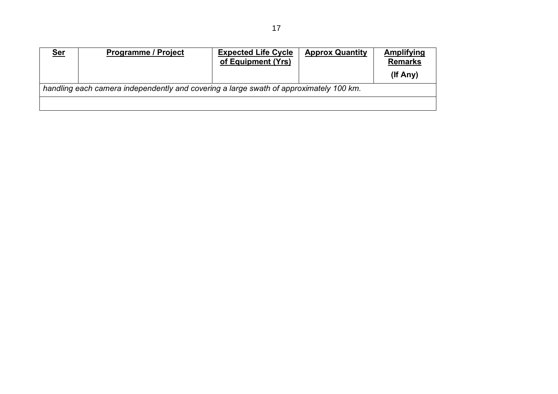| <u>Ser</u>                                                                             | <b>Programme / Project</b> | <b>Expected Life Cycle</b><br>of Equipment (Yrs) | <b>Approx Quantity</b> | Amplifying<br><b>Remarks</b> |  |
|----------------------------------------------------------------------------------------|----------------------------|--------------------------------------------------|------------------------|------------------------------|--|
|                                                                                        |                            |                                                  |                        | (If Any)                     |  |
| handling each camera independently and covering a large swath of approximately 100 km. |                            |                                                  |                        |                              |  |
|                                                                                        |                            |                                                  |                        |                              |  |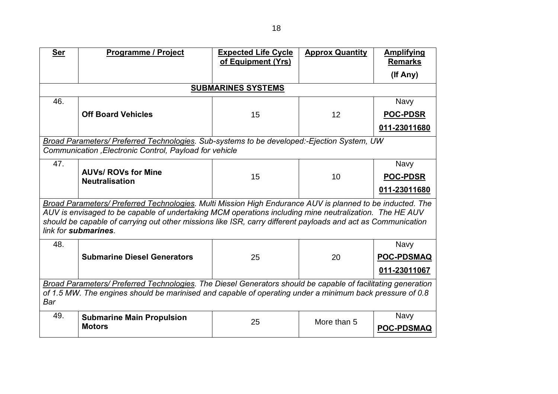| <b>Ser</b>                                                                                                                                                                                                                      | Programme / Project                                                                                                                                                                                                                                                                                                                                         | <b>Expected Life Cycle</b><br>of Equipment (Yrs) | <b>Approx Quantity</b> | <b>Amplifying</b><br><b>Remarks</b> |
|---------------------------------------------------------------------------------------------------------------------------------------------------------------------------------------------------------------------------------|-------------------------------------------------------------------------------------------------------------------------------------------------------------------------------------------------------------------------------------------------------------------------------------------------------------------------------------------------------------|--------------------------------------------------|------------------------|-------------------------------------|
|                                                                                                                                                                                                                                 |                                                                                                                                                                                                                                                                                                                                                             |                                                  |                        | (If Any)                            |
|                                                                                                                                                                                                                                 |                                                                                                                                                                                                                                                                                                                                                             | <b>SUBMARINES SYSTEMS</b>                        |                        |                                     |
| 46.                                                                                                                                                                                                                             |                                                                                                                                                                                                                                                                                                                                                             |                                                  |                        | <b>Navy</b>                         |
|                                                                                                                                                                                                                                 | <b>Off Board Vehicles</b>                                                                                                                                                                                                                                                                                                                                   | 15                                               | 12                     | <b>POC-PDSR</b>                     |
|                                                                                                                                                                                                                                 |                                                                                                                                                                                                                                                                                                                                                             |                                                  |                        | 011-23011680                        |
|                                                                                                                                                                                                                                 | Broad Parameters/ Preferred Technologies. Sub-systems to be developed:-Ejection System, UW<br>Communication , Electronic Control, Payload for vehicle                                                                                                                                                                                                       |                                                  |                        |                                     |
| 47.                                                                                                                                                                                                                             |                                                                                                                                                                                                                                                                                                                                                             |                                                  |                        | <b>Navy</b>                         |
|                                                                                                                                                                                                                                 | <b>AUVs/ ROVs for Mine</b><br><b>Neutralisation</b>                                                                                                                                                                                                                                                                                                         | 15                                               | 10                     | <b>POC-PDSR</b>                     |
|                                                                                                                                                                                                                                 |                                                                                                                                                                                                                                                                                                                                                             |                                                  |                        | 011-23011680                        |
|                                                                                                                                                                                                                                 | Broad Parameters/ Preferred Technologies. Multi Mission High Endurance AUV is planned to be inducted. The<br>AUV is envisaged to be capable of undertaking MCM operations including mine neutralization. The HE AUV<br>should be capable of carrying out other missions like ISR, carry different payloads and act as Communication<br>link for submarines. |                                                  |                        |                                     |
| 48.                                                                                                                                                                                                                             |                                                                                                                                                                                                                                                                                                                                                             |                                                  |                        | <b>Navy</b>                         |
|                                                                                                                                                                                                                                 | <b>Submarine Diesel Generators</b>                                                                                                                                                                                                                                                                                                                          | 25                                               | 20                     | <b>POC-PDSMAQ</b>                   |
|                                                                                                                                                                                                                                 |                                                                                                                                                                                                                                                                                                                                                             |                                                  |                        | 011-23011067                        |
| Broad Parameters/ Preferred Technologies. The Diesel Generators should be capable of facilitating generation<br>of 1.5 MW. The engines should be marinised and capable of operating under a minimum back pressure of 0.8<br>Bar |                                                                                                                                                                                                                                                                                                                                                             |                                                  |                        |                                     |
| 49.                                                                                                                                                                                                                             | <b>Submarine Main Propulsion</b><br><b>Motors</b>                                                                                                                                                                                                                                                                                                           | 25                                               | More than 5            | <b>Navy</b><br><b>POC-PDSMAQ</b>    |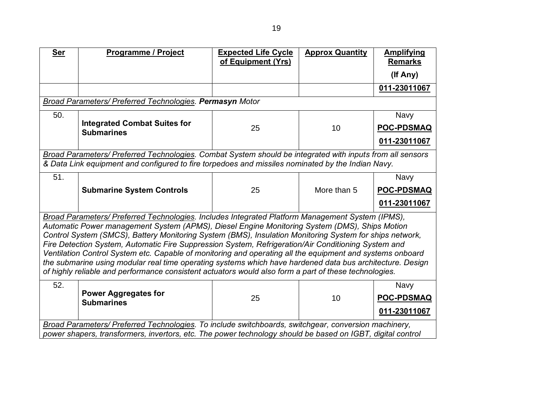| <b>Ser</b>                                                                                                                                                                                                                                                                                                                                                                                                                                                                                                                                                                                                                                                                                                                                             | <b>Programme / Project</b>                                                                                                                                                                                         | <b>Expected Life Cycle</b><br>of Equipment (Yrs) | <b>Approx Quantity</b> | <b>Amplifying</b><br><b>Remarks</b>              |  |
|--------------------------------------------------------------------------------------------------------------------------------------------------------------------------------------------------------------------------------------------------------------------------------------------------------------------------------------------------------------------------------------------------------------------------------------------------------------------------------------------------------------------------------------------------------------------------------------------------------------------------------------------------------------------------------------------------------------------------------------------------------|--------------------------------------------------------------------------------------------------------------------------------------------------------------------------------------------------------------------|--------------------------------------------------|------------------------|--------------------------------------------------|--|
|                                                                                                                                                                                                                                                                                                                                                                                                                                                                                                                                                                                                                                                                                                                                                        |                                                                                                                                                                                                                    |                                                  |                        | (If Any)                                         |  |
|                                                                                                                                                                                                                                                                                                                                                                                                                                                                                                                                                                                                                                                                                                                                                        |                                                                                                                                                                                                                    |                                                  |                        | 011-23011067                                     |  |
|                                                                                                                                                                                                                                                                                                                                                                                                                                                                                                                                                                                                                                                                                                                                                        | <b>Broad Parameters/ Preferred Technologies. Permasyn Motor</b>                                                                                                                                                    |                                                  |                        |                                                  |  |
| 50.                                                                                                                                                                                                                                                                                                                                                                                                                                                                                                                                                                                                                                                                                                                                                    |                                                                                                                                                                                                                    |                                                  |                        | <b>Navy</b>                                      |  |
|                                                                                                                                                                                                                                                                                                                                                                                                                                                                                                                                                                                                                                                                                                                                                        | <b>Integrated Combat Suites for</b><br><b>Submarines</b>                                                                                                                                                           | 25                                               | 10                     | <b>POC-PDSMAQ</b>                                |  |
|                                                                                                                                                                                                                                                                                                                                                                                                                                                                                                                                                                                                                                                                                                                                                        |                                                                                                                                                                                                                    |                                                  |                        | 011-23011067                                     |  |
|                                                                                                                                                                                                                                                                                                                                                                                                                                                                                                                                                                                                                                                                                                                                                        | Broad Parameters/ Preferred Technologies. Combat System should be integrated with inputs from all sensors<br>& Data Link equipment and configured to fire torpedoes and missiles nominated by the Indian Navy.     |                                                  |                        |                                                  |  |
| 51.                                                                                                                                                                                                                                                                                                                                                                                                                                                                                                                                                                                                                                                                                                                                                    |                                                                                                                                                                                                                    |                                                  |                        | <b>Navy</b>                                      |  |
|                                                                                                                                                                                                                                                                                                                                                                                                                                                                                                                                                                                                                                                                                                                                                        | <b>Submarine System Controls</b>                                                                                                                                                                                   | 25                                               | More than 5            | <b>POC-PDSMAQ</b>                                |  |
|                                                                                                                                                                                                                                                                                                                                                                                                                                                                                                                                                                                                                                                                                                                                                        |                                                                                                                                                                                                                    |                                                  |                        | 011-23011067                                     |  |
| Broad Parameters/ Preferred Technologies. Includes Integrated Platform Management System (IPMS),<br>Automatic Power management System (APMS), Diesel Engine Monitoring System (DMS), Ships Motion<br>Control System (SMCS), Battery Monitoring System (BMS), Insulation Monitoring System for ships network,<br>Fire Detection System, Automatic Fire Suppression System, Refrigeration/Air Conditioning System and<br>Ventilation Control System etc. Capable of monitoring and operating all the equipment and systems onboard<br>the submarine using modular real time operating systems which have hardened data bus architecture. Design<br>of highly reliable and performance consistent actuators would also form a part of these technologies. |                                                                                                                                                                                                                    |                                                  |                        |                                                  |  |
| 52.                                                                                                                                                                                                                                                                                                                                                                                                                                                                                                                                                                                                                                                                                                                                                    | <b>Power Aggregates for</b><br><b>Submarines</b>                                                                                                                                                                   | 25                                               | 10                     | <b>Navy</b><br><b>POC-PDSMAQ</b><br>011-23011067 |  |
|                                                                                                                                                                                                                                                                                                                                                                                                                                                                                                                                                                                                                                                                                                                                                        | Broad Parameters/ Preferred Technologies. To include switchboards, switchgear, conversion machinery,<br>power shapers, transformers, invertors, etc. The power technology should be based on IGBT, digital control |                                                  |                        |                                                  |  |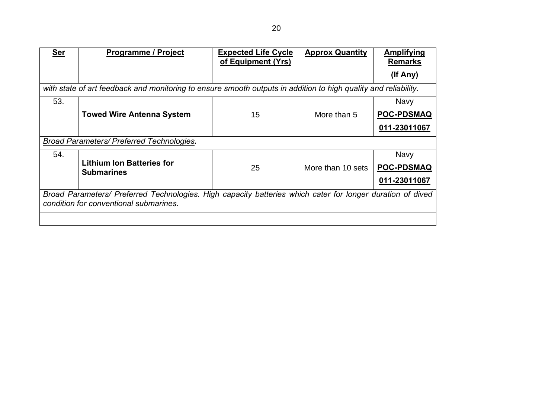| <b>Ser</b> | <b>Programme / Project</b>                                                                                      | <b>Expected Life Cycle</b><br>of Equipment (Yrs) | <b>Approx Quantity</b> | <b>Amplifying</b><br><b>Remarks</b> |  |
|------------|-----------------------------------------------------------------------------------------------------------------|--------------------------------------------------|------------------------|-------------------------------------|--|
|            |                                                                                                                 |                                                  |                        | (If Any)                            |  |
|            | with state of art feedback and monitoring to ensure smooth outputs in addition to high quality and reliability. |                                                  |                        |                                     |  |
| 53.        |                                                                                                                 |                                                  |                        | Navy                                |  |
|            | <b>Towed Wire Antenna System</b>                                                                                | 15                                               | More than 5            | <b>POC-PDSMAQ</b>                   |  |
|            |                                                                                                                 |                                                  |                        | 011-23011067                        |  |
|            | <b>Broad Parameters/ Preferred Technologies.</b>                                                                |                                                  |                        |                                     |  |
| 54.        |                                                                                                                 |                                                  |                        | <b>Navy</b>                         |  |
|            | <b>Lithium Ion Batteries for</b><br><b>Submarines</b>                                                           | 25                                               | More than 10 sets      | <b>POC-PDSMAQ</b>                   |  |
|            |                                                                                                                 |                                                  |                        | 011-23011067                        |  |
|            | Broad Parameters/ Preferred Technologies. High capacity batteries which cater for longer duration of dived      |                                                  |                        |                                     |  |
|            | condition for conventional submarines.                                                                          |                                                  |                        |                                     |  |
|            |                                                                                                                 |                                                  |                        |                                     |  |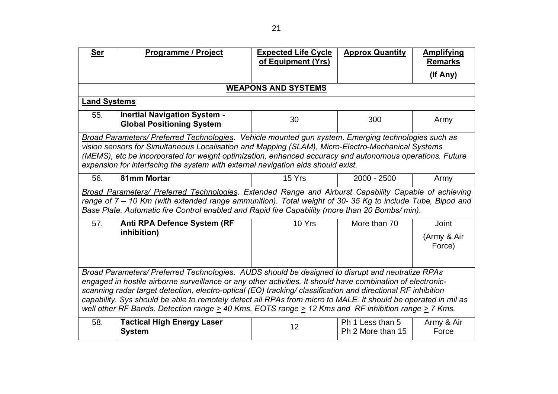| <b>Ser</b>                                                                                                                                                                                                                                                                                                                                                                                                                                                                                                                                                              | Programme / Project                                                                                                                                                                                                                                                                                                   | <b>Expected Life Cycle</b><br>of Equipment (Yrs) | <b>Approx Quantity</b>                | <b>Amplifying</b><br><b>Remarks</b> |  |
|-------------------------------------------------------------------------------------------------------------------------------------------------------------------------------------------------------------------------------------------------------------------------------------------------------------------------------------------------------------------------------------------------------------------------------------------------------------------------------------------------------------------------------------------------------------------------|-----------------------------------------------------------------------------------------------------------------------------------------------------------------------------------------------------------------------------------------------------------------------------------------------------------------------|--------------------------------------------------|---------------------------------------|-------------------------------------|--|
|                                                                                                                                                                                                                                                                                                                                                                                                                                                                                                                                                                         |                                                                                                                                                                                                                                                                                                                       |                                                  |                                       | (If Any)                            |  |
|                                                                                                                                                                                                                                                                                                                                                                                                                                                                                                                                                                         |                                                                                                                                                                                                                                                                                                                       | <b>WEAPONS AND SYSTEMS</b>                       |                                       |                                     |  |
|                                                                                                                                                                                                                                                                                                                                                                                                                                                                                                                                                                         | <b>Land Systems</b>                                                                                                                                                                                                                                                                                                   |                                                  |                                       |                                     |  |
| 55.                                                                                                                                                                                                                                                                                                                                                                                                                                                                                                                                                                     | <b>Inertial Navigation System -</b><br><b>Global Positioning System</b>                                                                                                                                                                                                                                               | 30                                               | 300                                   | Army                                |  |
| Broad Parameters/ Preferred Technologies. Vehicle mounted gun system. Emerging technologies such as<br>vision sensors for Simultaneous Localisation and Mapping (SLAM), Micro-Electro-Mechanical Systems<br>(MEMS), etc be incorporated for weight optimization, enhanced accuracy and autonomous operations. Future<br>expansion for interfacing the system with external navigation aids should exist.                                                                                                                                                                |                                                                                                                                                                                                                                                                                                                       |                                                  |                                       |                                     |  |
| 56.                                                                                                                                                                                                                                                                                                                                                                                                                                                                                                                                                                     | 81mm Mortar                                                                                                                                                                                                                                                                                                           | 15 Yrs                                           | $2000 - 2500$                         | Army                                |  |
|                                                                                                                                                                                                                                                                                                                                                                                                                                                                                                                                                                         | Broad Parameters/ Preferred Technologies. Extended Range and Airburst Capability Capable of achieving<br>range of 7 – 10 Km (with extended range ammunition). Total weight of 30- 35 Kg to include Tube, Bipod and<br>Base Plate. Automatic fire Control enabled and Rapid fire Capability (more than 20 Bombs/ min). |                                                  |                                       |                                     |  |
| 57.                                                                                                                                                                                                                                                                                                                                                                                                                                                                                                                                                                     | Anti RPA Defence System (RF<br>inhibition)                                                                                                                                                                                                                                                                            | 10 Yrs                                           | More than 70                          | Joint<br>(Army & Air<br>Force)      |  |
| Broad Parameters/ Preferred Technologies. AUDS should be designed to disrupt and neutralize RPAs<br>engaged in hostile airborne surveillance or any other activities. It should have combination of electronic-<br>scanning radar target detection, electro-optical (EO) tracking/ classification and directional RF inhibition<br>capability. Sys should be able to remotely detect all RPAs from micro to MALE. It should be operated in mil as<br>well other RF Bands. Detection range $\geq$ 40 Kms, EOTS range $\geq$ 12 Kms and RF inhibition range $\geq$ 7 Kms. |                                                                                                                                                                                                                                                                                                                       |                                                  |                                       |                                     |  |
| 58.                                                                                                                                                                                                                                                                                                                                                                                                                                                                                                                                                                     | <b>Tactical High Energy Laser</b><br><b>System</b>                                                                                                                                                                                                                                                                    | 12                                               | Ph 1 Less than 5<br>Ph 2 More than 15 | Army & Air<br>Force                 |  |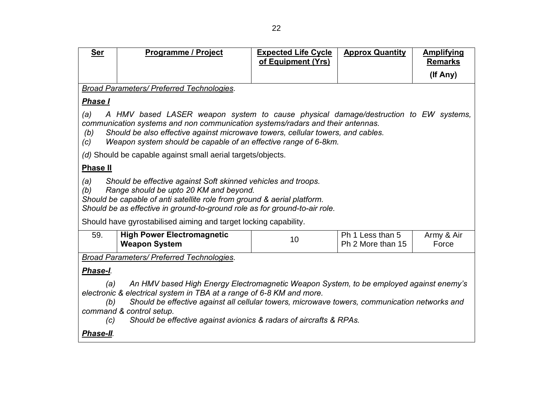| Ser                                                                                                                                                                                                                                                                                                                                                                                    | <b>Programme / Project</b>                                                                                                                                                                                                                                                                                                  | <b>Expected Life Cycle</b><br>of Equipment (Yrs) | <b>Approx Quantity</b>                | <b>Amplifying</b><br><b>Remarks</b> |  |
|----------------------------------------------------------------------------------------------------------------------------------------------------------------------------------------------------------------------------------------------------------------------------------------------------------------------------------------------------------------------------------------|-----------------------------------------------------------------------------------------------------------------------------------------------------------------------------------------------------------------------------------------------------------------------------------------------------------------------------|--------------------------------------------------|---------------------------------------|-------------------------------------|--|
|                                                                                                                                                                                                                                                                                                                                                                                        |                                                                                                                                                                                                                                                                                                                             |                                                  |                                       | (If Any)                            |  |
|                                                                                                                                                                                                                                                                                                                                                                                        | <b>Broad Parameters/ Preferred Technologies.</b>                                                                                                                                                                                                                                                                            |                                                  |                                       |                                     |  |
| <b>Phase I</b>                                                                                                                                                                                                                                                                                                                                                                         |                                                                                                                                                                                                                                                                                                                             |                                                  |                                       |                                     |  |
| (a)<br>(b)<br>(c)                                                                                                                                                                                                                                                                                                                                                                      | A HMV based LASER weapon system to cause physical damage/destruction to EW systems,<br>communication systems and non communication systems/radars and their antennas.<br>Should be also effective against microwave towers, cellular towers, and cables.<br>Weapon system should be capable of an effective range of 6-8km. |                                                  |                                       |                                     |  |
|                                                                                                                                                                                                                                                                                                                                                                                        | (d) Should be capable against small aerial targets/objects.                                                                                                                                                                                                                                                                 |                                                  |                                       |                                     |  |
| <b>Phase II</b>                                                                                                                                                                                                                                                                                                                                                                        |                                                                                                                                                                                                                                                                                                                             |                                                  |                                       |                                     |  |
| (a)<br>(b)                                                                                                                                                                                                                                                                                                                                                                             | Should be effective against Soft skinned vehicles and troops.<br>Range should be upto 20 KM and beyond.<br>Should be capable of anti satellite role from ground & aerial platform.<br>Should be as effective in ground-to-ground role as for ground-to-air role.                                                            |                                                  |                                       |                                     |  |
|                                                                                                                                                                                                                                                                                                                                                                                        | Should have gyrostabilised aiming and target locking capability.                                                                                                                                                                                                                                                            |                                                  |                                       |                                     |  |
| 59.                                                                                                                                                                                                                                                                                                                                                                                    | <b>High Power Electromagnetic</b><br><b>Weapon System</b>                                                                                                                                                                                                                                                                   | 10                                               | Ph 1 Less than 5<br>Ph 2 More than 15 | Army & Air<br>Force                 |  |
|                                                                                                                                                                                                                                                                                                                                                                                        | <b>Broad Parameters/ Preferred Technologies.</b>                                                                                                                                                                                                                                                                            |                                                  |                                       |                                     |  |
| Phase-I.                                                                                                                                                                                                                                                                                                                                                                               |                                                                                                                                                                                                                                                                                                                             |                                                  |                                       |                                     |  |
| An HMV based High Energy Electromagnetic Weapon System, to be employed against enemy's<br>(a)<br>electronic & electrical system in TBA at a range of 6-8 KM and more.<br>Should be effective against all cellular towers, microwave towers, communication networks and<br>(b)<br>command & control setup.<br>Should be effective against avionics & radars of aircrafts & RPAs.<br>(c) |                                                                                                                                                                                                                                                                                                                             |                                                  |                                       |                                     |  |
| Phase-II.                                                                                                                                                                                                                                                                                                                                                                              |                                                                                                                                                                                                                                                                                                                             |                                                  |                                       |                                     |  |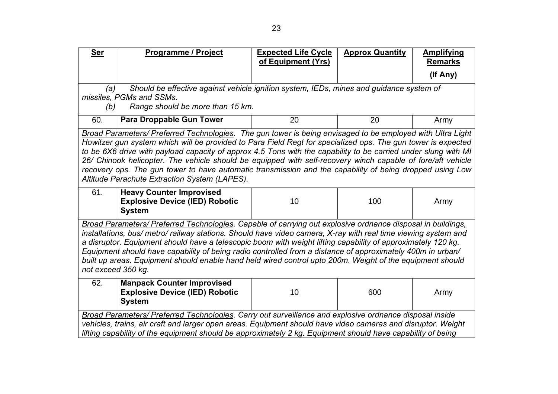| <b>Ser</b>                                                                                                                                                                                                                                                                                                                                                                                                                                                                                                                                                                                     | Programme / Project                                                                                                                                                                                                                                                                                                                                                                                                                                                                                                                                                                                                      | <b>Expected Life Cycle</b><br>of Equipment (Yrs) | <b>Approx Quantity</b> | <b>Amplifying</b><br><b>Remarks</b> |  |
|------------------------------------------------------------------------------------------------------------------------------------------------------------------------------------------------------------------------------------------------------------------------------------------------------------------------------------------------------------------------------------------------------------------------------------------------------------------------------------------------------------------------------------------------------------------------------------------------|--------------------------------------------------------------------------------------------------------------------------------------------------------------------------------------------------------------------------------------------------------------------------------------------------------------------------------------------------------------------------------------------------------------------------------------------------------------------------------------------------------------------------------------------------------------------------------------------------------------------------|--------------------------------------------------|------------------------|-------------------------------------|--|
|                                                                                                                                                                                                                                                                                                                                                                                                                                                                                                                                                                                                |                                                                                                                                                                                                                                                                                                                                                                                                                                                                                                                                                                                                                          |                                                  |                        | (If Any)                            |  |
| (b)                                                                                                                                                                                                                                                                                                                                                                                                                                                                                                                                                                                            | Should be effective against vehicle ignition system, IEDs, mines and guidance system of<br>(a)<br>missiles, PGMs and SSMs.<br>Range should be more than 15 km.                                                                                                                                                                                                                                                                                                                                                                                                                                                           |                                                  |                        |                                     |  |
| 60.                                                                                                                                                                                                                                                                                                                                                                                                                                                                                                                                                                                            | <b>Para Droppable Gun Tower</b>                                                                                                                                                                                                                                                                                                                                                                                                                                                                                                                                                                                          | 20                                               | 20                     | Army                                |  |
|                                                                                                                                                                                                                                                                                                                                                                                                                                                                                                                                                                                                | Broad Parameters/ Preferred Technologies. The gun tower is being envisaged to be employed with Ultra Light<br>Howitzer gun system which will be provided to Para Field Regt for specialized ops. The gun tower is expected<br>to be 6X6 drive with payload capacity of approx 4.5 Tons with the capability to be carried under slung with MI<br>26/ Chinook helicopter. The vehicle should be equipped with self-recovery winch capable of fore/aft vehicle<br>recovery ops. The gun tower to have automatic transmission and the capability of being dropped using Low<br>Altitude Parachute Extraction System (LAPES). |                                                  |                        |                                     |  |
| 61.                                                                                                                                                                                                                                                                                                                                                                                                                                                                                                                                                                                            | <b>Heavy Counter Improvised</b><br><b>Explosive Device (IED) Robotic</b><br><b>System</b>                                                                                                                                                                                                                                                                                                                                                                                                                                                                                                                                | 10                                               | 100                    | Army                                |  |
| Broad Parameters/ Preferred Technologies. Capable of carrying out explosive ordnance disposal in buildings,<br>installations, bus/ metro/ railway stations. Should have video camera, X-ray with real time viewing system and<br>a disruptor. Equipment should have a telescopic boom with weight lifting capability of approximately 120 kg.<br>Equipment should have capability of being radio controlled from a distance of approximately 400m in urban/<br>built up areas. Equipment should enable hand held wired control upto 200m. Weight of the equipment should<br>not exceed 350 kg. |                                                                                                                                                                                                                                                                                                                                                                                                                                                                                                                                                                                                                          |                                                  |                        |                                     |  |
| 62.                                                                                                                                                                                                                                                                                                                                                                                                                                                                                                                                                                                            | <b>Manpack Counter Improvised</b><br><b>Explosive Device (IED) Robotic</b><br><b>System</b>                                                                                                                                                                                                                                                                                                                                                                                                                                                                                                                              | 10                                               | 600                    | Army                                |  |
| Broad Parameters/ Preferred Technologies. Carry out surveillance and explosive ordnance disposal inside<br>vehicles, trains, air craft and larger open areas. Equipment should have video cameras and disruptor. Weight<br>lifting capability of the equipment should be approximately 2 kg. Equipment should have capability of being                                                                                                                                                                                                                                                         |                                                                                                                                                                                                                                                                                                                                                                                                                                                                                                                                                                                                                          |                                                  |                        |                                     |  |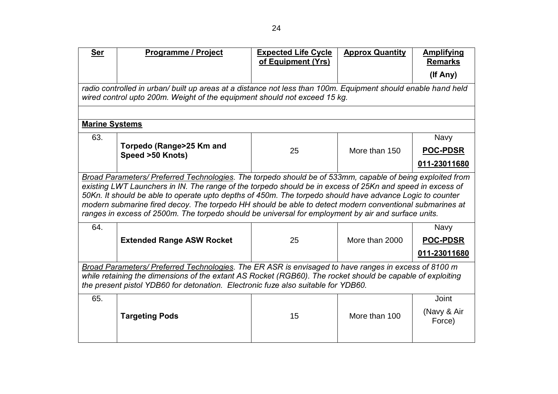| <b>Ser</b>                                                                        | <b>Programme / Project</b>                                                                                                                                                                                          | <b>Expected Life Cycle</b><br>of Equipment (Yrs) | <b>Approx Quantity</b> | <b>Amplifying</b><br><b>Remarks</b> |  |  |
|-----------------------------------------------------------------------------------|---------------------------------------------------------------------------------------------------------------------------------------------------------------------------------------------------------------------|--------------------------------------------------|------------------------|-------------------------------------|--|--|
|                                                                                   |                                                                                                                                                                                                                     |                                                  |                        | (If Any)                            |  |  |
|                                                                                   | radio controlled in urban/ built up areas at a distance not less than 100m. Equipment should enable hand held<br>wired control upto 200m. Weight of the equipment should not exceed 15 kg.                          |                                                  |                        |                                     |  |  |
|                                                                                   |                                                                                                                                                                                                                     |                                                  |                        |                                     |  |  |
| <b>Marine Systems</b>                                                             |                                                                                                                                                                                                                     |                                                  |                        |                                     |  |  |
| 63.                                                                               |                                                                                                                                                                                                                     |                                                  |                        | <b>Navy</b>                         |  |  |
|                                                                                   | Torpedo (Range>25 Km and<br>Speed >50 Knots)                                                                                                                                                                        | 25                                               | More than 150          | <b>POC-PDSR</b>                     |  |  |
|                                                                                   |                                                                                                                                                                                                                     |                                                  |                        | 011-23011680                        |  |  |
|                                                                                   | Broad Parameters/ Preferred Technologies. The torpedo should be of 533mm, capable of being exploited from                                                                                                           |                                                  |                        |                                     |  |  |
|                                                                                   | existing LWT Launchers in IN. The range of the torpedo should be in excess of 25Kn and speed in excess of                                                                                                           |                                                  |                        |                                     |  |  |
|                                                                                   | 50Kn. It should be able to operate upto depths of 450m. The torpedo should have advance Logic to counter<br>modern submarine fired decoy. The torpedo HH should be able to detect modern conventional submarines at |                                                  |                        |                                     |  |  |
|                                                                                   | ranges in excess of 2500m. The torpedo should be universal for employment by air and surface units.                                                                                                                 |                                                  |                        |                                     |  |  |
| 64.                                                                               |                                                                                                                                                                                                                     |                                                  |                        | <b>Navy</b>                         |  |  |
|                                                                                   | <b>Extended Range ASW Rocket</b>                                                                                                                                                                                    | 25                                               | More than 2000         | <b>POC-PDSR</b>                     |  |  |
|                                                                                   |                                                                                                                                                                                                                     |                                                  |                        | 011-23011680                        |  |  |
|                                                                                   | Broad Parameters/ Preferred Technologies. The ER ASR is envisaged to have ranges in excess of 8100 m                                                                                                                |                                                  |                        |                                     |  |  |
|                                                                                   | while retaining the dimensions of the extant AS Rocket (RGB60). The rocket should be capable of exploiting                                                                                                          |                                                  |                        |                                     |  |  |
| the present pistol YDB60 for detonation. Electronic fuze also suitable for YDB60. |                                                                                                                                                                                                                     |                                                  |                        |                                     |  |  |
| 65.                                                                               |                                                                                                                                                                                                                     |                                                  |                        | Joint                               |  |  |
|                                                                                   | <b>Targeting Pods</b>                                                                                                                                                                                               | 15                                               | More than 100          | (Navy & Air<br>Force)               |  |  |
|                                                                                   |                                                                                                                                                                                                                     |                                                  |                        |                                     |  |  |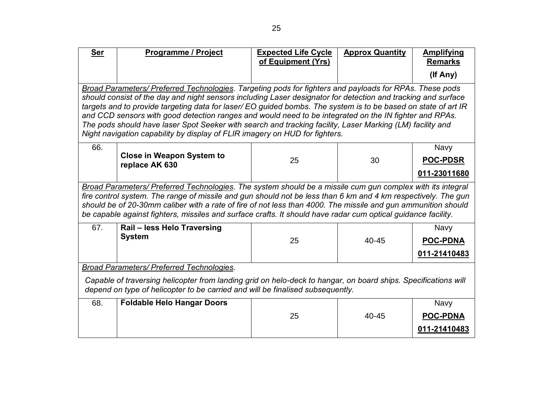| <b>Ser</b>                                                                                                                                                                                                                                    | Programme / Project                                                                                                                                                                                                                                                                                                                                                                                                                                                                                                                                                                                                                              | <b>Expected Life Cycle</b><br>of Equipment (Yrs) | <b>Approx Quantity</b> | <b>Amplifying</b><br><b>Remarks</b>            |  |
|-----------------------------------------------------------------------------------------------------------------------------------------------------------------------------------------------------------------------------------------------|--------------------------------------------------------------------------------------------------------------------------------------------------------------------------------------------------------------------------------------------------------------------------------------------------------------------------------------------------------------------------------------------------------------------------------------------------------------------------------------------------------------------------------------------------------------------------------------------------------------------------------------------------|--------------------------------------------------|------------------------|------------------------------------------------|--|
|                                                                                                                                                                                                                                               |                                                                                                                                                                                                                                                                                                                                                                                                                                                                                                                                                                                                                                                  |                                                  |                        | (If Any)                                       |  |
|                                                                                                                                                                                                                                               | Broad Parameters/ Preferred Technologies. Targeting pods for fighters and payloads for RPAs. These pods<br>should consist of the day and night sensors including Laser designator for detection and tracking and surface<br>targets and to provide targeting data for laser/ EO guided bombs. The system is to be based on state of art IR<br>and CCD sensors with good detection ranges and would need to be integrated on the IN fighter and RPAs.<br>The pods should have laser Spot Seeker with search and tracking facility, Laser Marking (LM) facility and<br>Night navigation capability by display of FLIR imagery on HUD for fighters. |                                                  |                        |                                                |  |
| 66.                                                                                                                                                                                                                                           | <b>Close in Weapon System to</b><br>replace AK 630                                                                                                                                                                                                                                                                                                                                                                                                                                                                                                                                                                                               | 25                                               | 30                     | <b>Navy</b><br><b>POC-PDSR</b><br>011-23011680 |  |
|                                                                                                                                                                                                                                               | Broad Parameters/ Preferred Technologies. The system should be a missile cum gun complex with its integral<br>fire control system. The range of missile and gun should not be less than 6 km and 4 km respectively. The gun<br>should be of 20-30mm caliber with a rate of fire of not less than 4000. The missile and gun ammunition should<br>be capable against fighters, missiles and surface crafts. It should have radar cum optical guidance facility.                                                                                                                                                                                    |                                                  |                        |                                                |  |
| 67.                                                                                                                                                                                                                                           | Rail - less Helo Traversing<br><b>System</b>                                                                                                                                                                                                                                                                                                                                                                                                                                                                                                                                                                                                     | 25                                               | $40 - 45$              | <b>Navy</b><br><b>POC-PDNA</b><br>011-21410483 |  |
| Broad Parameters/ Preferred Technologies.<br>Capable of traversing helicopter from landing grid on helo-deck to hangar, on board ships. Specifications will<br>depend on type of helicopter to be carried and will be finalised subsequently. |                                                                                                                                                                                                                                                                                                                                                                                                                                                                                                                                                                                                                                                  |                                                  |                        |                                                |  |
| 68.                                                                                                                                                                                                                                           | <b>Foldable Helo Hangar Doors</b>                                                                                                                                                                                                                                                                                                                                                                                                                                                                                                                                                                                                                | 25                                               | 40-45                  | <b>Navy</b><br><b>POC-PDNA</b><br>011-21410483 |  |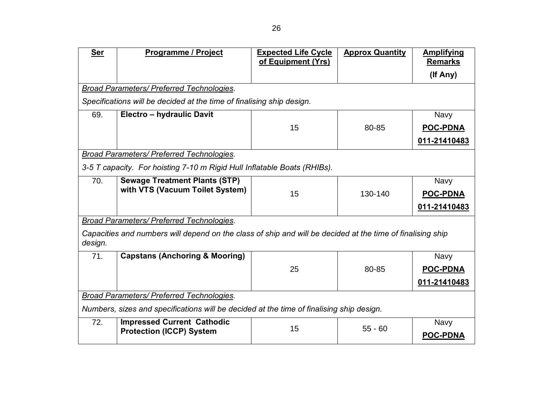| <b>Expected Life Cycle</b><br>of Equipment (Yrs)                                         | <b>Approx Quantity</b> | <b>Amplifying</b><br><b>Remarks</b>                                                                                     |  |  |
|------------------------------------------------------------------------------------------|------------------------|-------------------------------------------------------------------------------------------------------------------------|--|--|
|                                                                                          |                        | (If Any)                                                                                                                |  |  |
|                                                                                          |                        |                                                                                                                         |  |  |
| Specifications will be decided at the time of finalising ship design.                    |                        |                                                                                                                         |  |  |
|                                                                                          |                        | <b>Navy</b>                                                                                                             |  |  |
| 15                                                                                       | 80-85                  | <b>POC-PDNA</b>                                                                                                         |  |  |
|                                                                                          |                        | 011-21410483                                                                                                            |  |  |
|                                                                                          |                        |                                                                                                                         |  |  |
| 3-5 T capacity. For hoisting 7-10 m Rigid Hull Inflatable Boats (RHIBs).                 |                        |                                                                                                                         |  |  |
|                                                                                          |                        | <b>Navy</b>                                                                                                             |  |  |
| 15                                                                                       | 130-140                | <b>POC-PDNA</b>                                                                                                         |  |  |
|                                                                                          |                        | 011-21410483                                                                                                            |  |  |
|                                                                                          |                        |                                                                                                                         |  |  |
|                                                                                          |                        |                                                                                                                         |  |  |
|                                                                                          |                        | <b>Navy</b>                                                                                                             |  |  |
| 25                                                                                       | 80-85                  | <b>POC-PDNA</b>                                                                                                         |  |  |
|                                                                                          |                        | 011-21410483                                                                                                            |  |  |
| Broad Parameters/ Preferred Technologies.                                                |                        |                                                                                                                         |  |  |
| Numbers, sizes and specifications will be decided at the time of finalising ship design. |                        |                                                                                                                         |  |  |
|                                                                                          |                        | <b>Navy</b>                                                                                                             |  |  |
|                                                                                          |                        | <b>POC-PDNA</b>                                                                                                         |  |  |
|                                                                                          | 15                     | Capacities and numbers will depend on the class of ship and will be decided at the time of finalising ship<br>$55 - 60$ |  |  |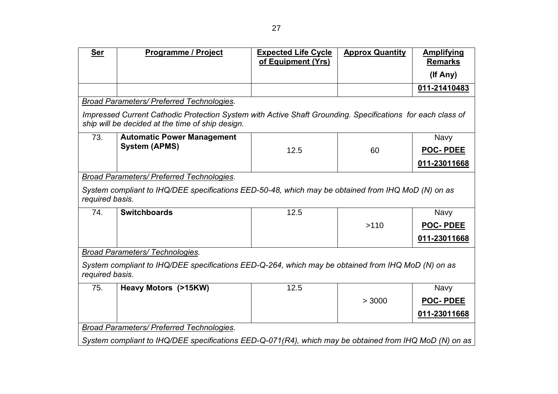| <b>Ser</b>                                                                                                            | <b>Programme / Project</b>                                                                                                                                     | <b>Expected Life Cycle</b><br>of Equipment (Yrs) | <b>Approx Quantity</b> | <b>Amplifying</b><br><b>Remarks</b> |
|-----------------------------------------------------------------------------------------------------------------------|----------------------------------------------------------------------------------------------------------------------------------------------------------------|--------------------------------------------------|------------------------|-------------------------------------|
|                                                                                                                       |                                                                                                                                                                |                                                  |                        | (If Any)                            |
|                                                                                                                       |                                                                                                                                                                |                                                  |                        | 011-21410483                        |
|                                                                                                                       | Broad Parameters/ Preferred Technologies.                                                                                                                      |                                                  |                        |                                     |
|                                                                                                                       | Impressed Current Cathodic Protection System with Active Shaft Grounding. Specifications for each class of<br>ship will be decided at the time of ship design. |                                                  |                        |                                     |
| 73.                                                                                                                   | <b>Automatic Power Management</b>                                                                                                                              |                                                  |                        | <b>Navy</b>                         |
|                                                                                                                       | <b>System (APMS)</b>                                                                                                                                           | 12.5                                             | 60                     | <b>POC-PDEE</b>                     |
|                                                                                                                       |                                                                                                                                                                |                                                  |                        | 011-23011668                        |
|                                                                                                                       | Broad Parameters/ Preferred Technologies.                                                                                                                      |                                                  |                        |                                     |
| required basis.                                                                                                       | System compliant to IHQ/DEE specifications EED-50-48, which may be obtained from IHQ MoD (N) on as                                                             |                                                  |                        |                                     |
| 74.                                                                                                                   | <b>Switchboards</b>                                                                                                                                            | 12.5                                             |                        | Navy                                |
|                                                                                                                       |                                                                                                                                                                |                                                  | >110                   | <b>POC-PDEE</b>                     |
|                                                                                                                       |                                                                                                                                                                |                                                  |                        | 011-23011668                        |
|                                                                                                                       | <b>Broad Parameters/ Technologies.</b>                                                                                                                         |                                                  |                        |                                     |
| System compliant to IHQ/DEE specifications EED-Q-264, which may be obtained from IHQ MoD (N) on as<br>required basis. |                                                                                                                                                                |                                                  |                        |                                     |
| 75.                                                                                                                   | Heavy Motors (>15KW)                                                                                                                                           | 12.5                                             |                        | <b>Navy</b>                         |
|                                                                                                                       |                                                                                                                                                                |                                                  | > 3000                 | <b>POC-PDEE</b>                     |
|                                                                                                                       |                                                                                                                                                                |                                                  |                        | 011-23011668                        |
|                                                                                                                       | Broad Parameters/ Preferred Technologies.                                                                                                                      |                                                  |                        |                                     |
|                                                                                                                       | System compliant to IHQ/DEE specifications EED-Q-071(R4), which may be obtained from IHQ MoD (N) on as                                                         |                                                  |                        |                                     |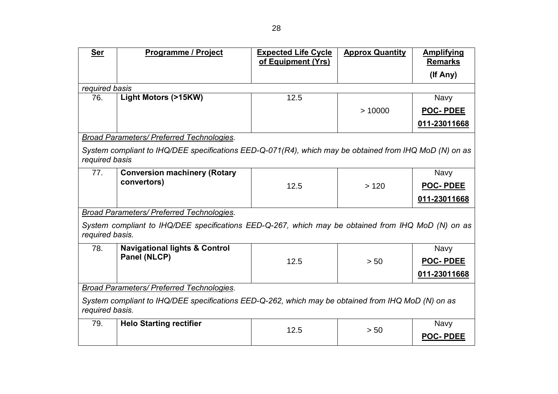| <b>Ser</b>                                                                                                            | <b>Programme / Project</b>                                                                             | <b>Expected Life Cycle</b><br>of Equipment (Yrs) | <b>Approx Quantity</b> | <b>Amplifying</b><br><b>Remarks</b> |  |
|-----------------------------------------------------------------------------------------------------------------------|--------------------------------------------------------------------------------------------------------|--------------------------------------------------|------------------------|-------------------------------------|--|
|                                                                                                                       |                                                                                                        |                                                  |                        |                                     |  |
|                                                                                                                       |                                                                                                        |                                                  |                        | (If Any)                            |  |
| required basis                                                                                                        |                                                                                                        |                                                  |                        |                                     |  |
| 76.                                                                                                                   | Light Motors (>15KW)                                                                                   | 12.5                                             |                        | <b>Navy</b>                         |  |
|                                                                                                                       |                                                                                                        |                                                  | >10000                 | <b>POC-PDEE</b>                     |  |
|                                                                                                                       |                                                                                                        |                                                  |                        | 011-23011668                        |  |
|                                                                                                                       | Broad Parameters/ Preferred Technologies.                                                              |                                                  |                        |                                     |  |
| required basis                                                                                                        | System compliant to IHQ/DEE specifications EED-Q-071(R4), which may be obtained from IHQ MoD (N) on as |                                                  |                        |                                     |  |
| 77.                                                                                                                   | <b>Conversion machinery (Rotary</b>                                                                    |                                                  |                        | Navy                                |  |
|                                                                                                                       | convertors)                                                                                            | 12.5                                             | >120                   | <b>POC-PDEE</b>                     |  |
|                                                                                                                       |                                                                                                        |                                                  |                        | 011-23011668                        |  |
|                                                                                                                       | <b>Broad Parameters/ Preferred Technologies.</b>                                                       |                                                  |                        |                                     |  |
| required basis.                                                                                                       | System compliant to IHQ/DEE specifications EED-Q-267, which may be obtained from IHQ MoD (N) on as     |                                                  |                        |                                     |  |
| 78.                                                                                                                   | <b>Navigational lights &amp; Control</b>                                                               |                                                  |                        | <b>Navy</b>                         |  |
|                                                                                                                       | Panel (NLCP)                                                                                           | 12.5                                             | > 50                   | <b>POC-PDEE</b>                     |  |
|                                                                                                                       |                                                                                                        |                                                  |                        | 011-23011668                        |  |
|                                                                                                                       | <b>Broad Parameters/ Preferred Technologies.</b>                                                       |                                                  |                        |                                     |  |
| System compliant to IHQ/DEE specifications EED-Q-262, which may be obtained from IHQ MoD (N) on as<br>required basis. |                                                                                                        |                                                  |                        |                                     |  |
| 79.                                                                                                                   | <b>Helo Starting rectifier</b>                                                                         | 12.5                                             | > 50                   | <b>Navy</b>                         |  |
|                                                                                                                       |                                                                                                        |                                                  |                        | <b>POC-PDEE</b>                     |  |
|                                                                                                                       |                                                                                                        |                                                  |                        |                                     |  |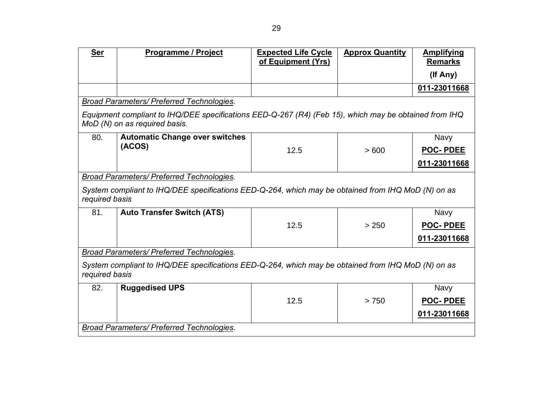| <b>Ser</b>                                                                                                           | <b>Programme / Project</b>                                                                                                             | <b>Expected Life Cycle</b><br>of Equipment (Yrs) | <b>Approx Quantity</b> | <b>Amplifying</b><br><b>Remarks</b> |
|----------------------------------------------------------------------------------------------------------------------|----------------------------------------------------------------------------------------------------------------------------------------|--------------------------------------------------|------------------------|-------------------------------------|
|                                                                                                                      |                                                                                                                                        |                                                  |                        | (If Any)                            |
|                                                                                                                      |                                                                                                                                        |                                                  |                        | 011-23011668                        |
|                                                                                                                      | <b>Broad Parameters/ Preferred Technologies.</b>                                                                                       |                                                  |                        |                                     |
|                                                                                                                      | Equipment compliant to IHQ/DEE specifications EED-Q-267 (R4) (Feb 15), which may be obtained from IHQ<br>MoD (N) on as required basis. |                                                  |                        |                                     |
| 80.                                                                                                                  | <b>Automatic Change over switches</b>                                                                                                  |                                                  |                        | <b>Navy</b>                         |
|                                                                                                                      | (ACOS)                                                                                                                                 | 12.5                                             | >600                   | <b>POC-PDEE</b>                     |
|                                                                                                                      |                                                                                                                                        |                                                  |                        | 011-23011668                        |
|                                                                                                                      | <b>Broad Parameters/ Preferred Technologies.</b>                                                                                       |                                                  |                        |                                     |
| required basis                                                                                                       | System compliant to IHQ/DEE specifications EED-Q-264, which may be obtained from IHQ MoD (N) on as                                     |                                                  |                        |                                     |
| 81.                                                                                                                  | <b>Auto Transfer Switch (ATS)</b>                                                                                                      |                                                  |                        | <b>Navy</b>                         |
|                                                                                                                      |                                                                                                                                        | 12.5                                             | > 250                  | <b>POC-PDEE</b>                     |
|                                                                                                                      |                                                                                                                                        |                                                  |                        | 011-23011668                        |
|                                                                                                                      | <b>Broad Parameters/ Preferred Technologies.</b>                                                                                       |                                                  |                        |                                     |
| System compliant to IHQ/DEE specifications EED-Q-264, which may be obtained from IHQ MoD (N) on as<br>required basis |                                                                                                                                        |                                                  |                        |                                     |
| 82.                                                                                                                  | <b>Ruggedised UPS</b>                                                                                                                  |                                                  |                        | <b>Navy</b>                         |
|                                                                                                                      |                                                                                                                                        | 12.5                                             | > 750                  | <b>POC-PDEE</b>                     |
|                                                                                                                      |                                                                                                                                        |                                                  |                        | 011-23011668                        |
|                                                                                                                      | Broad Parameters/ Preferred Technologies.                                                                                              |                                                  |                        |                                     |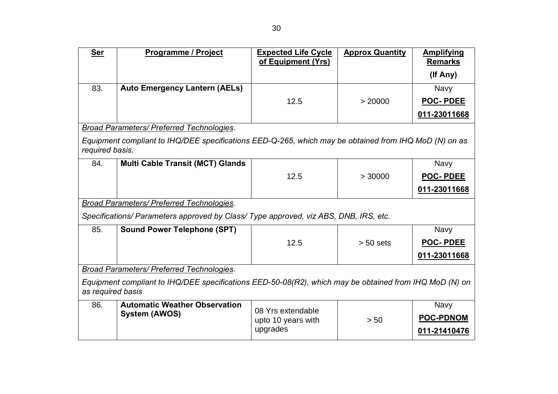| <b>Ser</b>                                                                                                                  | <b>Programme / Project</b>                                                                            | <b>Expected Life Cycle</b><br>of Equipment (Yrs) | <b>Approx Quantity</b> | <b>Amplifying</b><br><b>Remarks</b> |
|-----------------------------------------------------------------------------------------------------------------------------|-------------------------------------------------------------------------------------------------------|--------------------------------------------------|------------------------|-------------------------------------|
|                                                                                                                             |                                                                                                       |                                                  |                        | (If Any)                            |
| 83.                                                                                                                         | <b>Auto Emergency Lantern (AELs)</b>                                                                  |                                                  |                        | <b>Navy</b>                         |
|                                                                                                                             |                                                                                                       | 12.5                                             | > 20000                | <b>POC-PDEE</b>                     |
|                                                                                                                             |                                                                                                       |                                                  |                        | 011-23011668                        |
|                                                                                                                             | <b>Broad Parameters/ Preferred Technologies.</b>                                                      |                                                  |                        |                                     |
| required basis.                                                                                                             | Equipment compliant to IHQ/DEE specifications EED-Q-265, which may be obtained from IHQ MoD (N) on as |                                                  |                        |                                     |
| 84.                                                                                                                         | <b>Multi Cable Transit (MCT) Glands</b>                                                               |                                                  |                        | Navy                                |
|                                                                                                                             |                                                                                                       | 12.5                                             | > 30000                | <b>POC-PDEE</b>                     |
|                                                                                                                             |                                                                                                       |                                                  |                        | 011-23011668                        |
|                                                                                                                             | Broad Parameters/ Preferred Technologies.                                                             |                                                  |                        |                                     |
|                                                                                                                             | Specifications/ Parameters approved by Class/ Type approved, viz ABS, DNB, IRS, etc.                  |                                                  |                        |                                     |
| 85.                                                                                                                         | <b>Sound Power Telephone (SPT)</b>                                                                    |                                                  |                        | <b>Navy</b>                         |
|                                                                                                                             |                                                                                                       | 12.5                                             | $> 50$ sets            | <b>POC-PDEE</b>                     |
|                                                                                                                             |                                                                                                       |                                                  |                        | 011-23011668                        |
|                                                                                                                             | Broad Parameters/ Preferred Technologies.                                                             |                                                  |                        |                                     |
| Equipment compliant to IHQ/DEE specifications EED-50-08(R2), which may be obtained from IHQ MoD (N) on<br>as required basis |                                                                                                       |                                                  |                        |                                     |
| 86.                                                                                                                         | <b>Automatic Weather Observation</b>                                                                  | 08 Yrs extendable                                |                        | <b>Navy</b>                         |
|                                                                                                                             | <b>System (AWOS)</b>                                                                                  | upto 10 years with                               | > 50                   | <b>POC-PDNOM</b>                    |
|                                                                                                                             |                                                                                                       | upgrades                                         |                        | 011-21410476                        |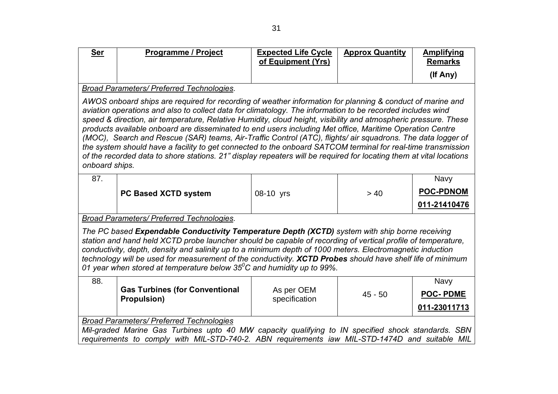| <b>Ser</b>                                                                                                                                                                                                                                                                                                                                                                                                                                                                                                                                                                                                                                                                                                                                                                                                                     | <b>Programme / Project</b>                                                                                                                                                                           | <b>Expected Life Cycle</b><br>of Equipment (Yrs) | <b>Approx Quantity</b> | <b>Amplifying</b><br><b>Remarks</b> |
|--------------------------------------------------------------------------------------------------------------------------------------------------------------------------------------------------------------------------------------------------------------------------------------------------------------------------------------------------------------------------------------------------------------------------------------------------------------------------------------------------------------------------------------------------------------------------------------------------------------------------------------------------------------------------------------------------------------------------------------------------------------------------------------------------------------------------------|------------------------------------------------------------------------------------------------------------------------------------------------------------------------------------------------------|--------------------------------------------------|------------------------|-------------------------------------|
|                                                                                                                                                                                                                                                                                                                                                                                                                                                                                                                                                                                                                                                                                                                                                                                                                                |                                                                                                                                                                                                      |                                                  |                        | (If Any)                            |
|                                                                                                                                                                                                                                                                                                                                                                                                                                                                                                                                                                                                                                                                                                                                                                                                                                | <b>Broad Parameters/ Preferred Technologies.</b>                                                                                                                                                     |                                                  |                        |                                     |
| AWOS onboard ships are required for recording of weather information for planning & conduct of marine and<br>aviation operations and also to collect data for climatology. The information to be recorded includes wind<br>speed & direction, air temperature, Relative Humidity, cloud height, visibility and atmospheric pressure. These<br>products available onboard are disseminated to end users including Met office, Maritime Operation Centre<br>(MOC), Search and Rescue (SAR) teams, Air-Traffic Control (ATC), flights/ air squadrons. The data logger of<br>the system should have a facility to get connected to the onboard SATCOM terminal for real-time transmission<br>of the recorded data to shore stations. 21" display repeaters will be required for locating them at vital locations<br>onboard ships. |                                                                                                                                                                                                      |                                                  |                        |                                     |
| 87.                                                                                                                                                                                                                                                                                                                                                                                                                                                                                                                                                                                                                                                                                                                                                                                                                            |                                                                                                                                                                                                      |                                                  |                        | <b>Navy</b>                         |
|                                                                                                                                                                                                                                                                                                                                                                                                                                                                                                                                                                                                                                                                                                                                                                                                                                | PC Based XCTD system                                                                                                                                                                                 | 08-10 yrs                                        | > 40                   | <b>POC-PDNOM</b>                    |
|                                                                                                                                                                                                                                                                                                                                                                                                                                                                                                                                                                                                                                                                                                                                                                                                                                |                                                                                                                                                                                                      |                                                  |                        | 011-21410476                        |
|                                                                                                                                                                                                                                                                                                                                                                                                                                                                                                                                                                                                                                                                                                                                                                                                                                | Broad Parameters/ Preferred Technologies.                                                                                                                                                            |                                                  |                        |                                     |
| The PC based Expendable Conductivity Temperature Depth (XCTD) system with ship borne receiving<br>station and hand held XCTD probe launcher should be capable of recording of vertical profile of temperature,<br>conductivity, depth, density and salinity up to a minimum depth of 1000 meters. Electromagnetic induction<br>technology will be used for measurement of the conductivity. XCTD Probes should have shelf life of minimum<br>01 year when stored at temperature below 35 $^0$ C and humidity up to 99%.                                                                                                                                                                                                                                                                                                        |                                                                                                                                                                                                      |                                                  |                        |                                     |
| 88.                                                                                                                                                                                                                                                                                                                                                                                                                                                                                                                                                                                                                                                                                                                                                                                                                            |                                                                                                                                                                                                      |                                                  |                        | Navy                                |
|                                                                                                                                                                                                                                                                                                                                                                                                                                                                                                                                                                                                                                                                                                                                                                                                                                | <b>Gas Turbines (for Conventional</b><br><b>Propulsion)</b>                                                                                                                                          | As per OEM<br>specification                      | $45 - 50$              | <b>POC-PDME</b>                     |
|                                                                                                                                                                                                                                                                                                                                                                                                                                                                                                                                                                                                                                                                                                                                                                                                                                |                                                                                                                                                                                                      |                                                  |                        | 011-23011713                        |
|                                                                                                                                                                                                                                                                                                                                                                                                                                                                                                                                                                                                                                                                                                                                                                                                                                | <b>Broad Parameters/ Preferred Technologies</b>                                                                                                                                                      |                                                  |                        |                                     |
|                                                                                                                                                                                                                                                                                                                                                                                                                                                                                                                                                                                                                                                                                                                                                                                                                                | Mil-graded Marine Gas Turbines upto 40 MW capacity qualifying to IN specified shock standards. SBN<br>requirements to comply with MIL-STD-740-2. ABN requirements iaw MIL-STD-1474D and suitable MIL |                                                  |                        |                                     |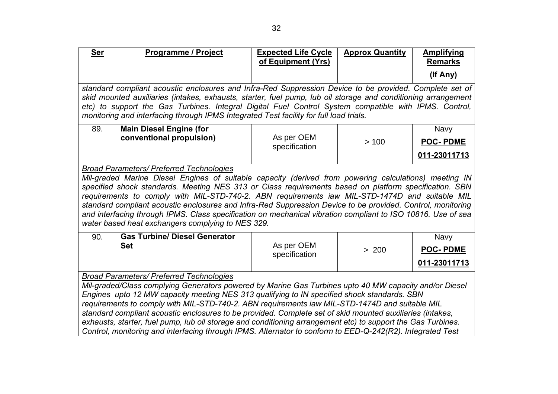| <b>Ser</b> | <b>Programme / Project</b>                                                                                                                                                                                                                                                                                                                                                                                                                                                                                                                                                                                                                              | <b>Expected Life Cycle</b><br>of Equipment (Yrs) | <b>Approx Quantity</b> | <b>Amplifying</b><br><b>Remarks</b>            |  |
|------------|---------------------------------------------------------------------------------------------------------------------------------------------------------------------------------------------------------------------------------------------------------------------------------------------------------------------------------------------------------------------------------------------------------------------------------------------------------------------------------------------------------------------------------------------------------------------------------------------------------------------------------------------------------|--------------------------------------------------|------------------------|------------------------------------------------|--|
|            |                                                                                                                                                                                                                                                                                                                                                                                                                                                                                                                                                                                                                                                         |                                                  |                        | (If Any)                                       |  |
|            | standard compliant acoustic enclosures and Infra-Red Suppression Device to be provided. Complete set of<br>skid mounted auxiliaries (intakes, exhausts, starter, fuel pump, lub oil storage and conditioning arrangement<br>etc) to support the Gas Turbines. Integral Digital Fuel Control System compatible with IPMS. Control,<br>monitoring and interfacing through IPMS Integrated Test facility for full load trials.                                                                                                                                                                                                                             |                                                  |                        |                                                |  |
| 89.        | <b>Main Diesel Engine (for</b><br>conventional propulsion)                                                                                                                                                                                                                                                                                                                                                                                                                                                                                                                                                                                              | As per OEM                                       | >100                   | Navy<br><b>POC-PDME</b>                        |  |
|            |                                                                                                                                                                                                                                                                                                                                                                                                                                                                                                                                                                                                                                                         | specification                                    |                        | 011-23011713                                   |  |
|            | <b>Broad Parameters/ Preferred Technologies</b><br>Mil-graded Marine Diesel Engines of suitable capacity (derived from powering calculations) meeting IN<br>specified shock standards. Meeting NES 313 or Class requirements based on platform specification. SBN<br>requirements to comply with MIL-STD-740-2. ABN requirements iaw MIL-STD-1474D and suitable MIL<br>standard compliant acoustic enclosures and Infra-Red Suppression Device to be provided. Control, monitoring<br>and interfacing through IPMS. Class specification on mechanical vibration compliant to ISO 10816. Use of sea<br>water based heat exchangers complying to NES 329. |                                                  |                        |                                                |  |
| 90.        | <b>Gas Turbine/ Diesel Generator</b><br><b>Set</b>                                                                                                                                                                                                                                                                                                                                                                                                                                                                                                                                                                                                      | As per OEM<br>specification                      | > 200                  | <b>Navy</b><br><b>POC-PDME</b><br>011-23011713 |  |
|            | <b>Broad Parameters/ Preferred Technologies</b>                                                                                                                                                                                                                                                                                                                                                                                                                                                                                                                                                                                                         |                                                  |                        |                                                |  |
|            | Mil-graded/Class complying Generators powered by Marine Gas Turbines upto 40 MW capacity and/or Diesel<br>Engines upto 12 MW capacity meeting NES 313 qualifying to IN specified shock standards. SBN<br>requirements to comply with MIL-STD-740-2. ABN requirements iaw MIL-STD-1474D and suitable MIL<br>standard compliant acoustic enclosures to be provided. Complete set of skid mounted auxiliaries (intakes,<br>exhausts, starter, fuel pump, lub oil storage and conditioning arrangement etc) to support the Gas Turbines.<br>Control, monitoring and interfacing through IPMS. Alternator to conform to EED-Q-242(R2). Integrated Test       |                                                  |                        |                                                |  |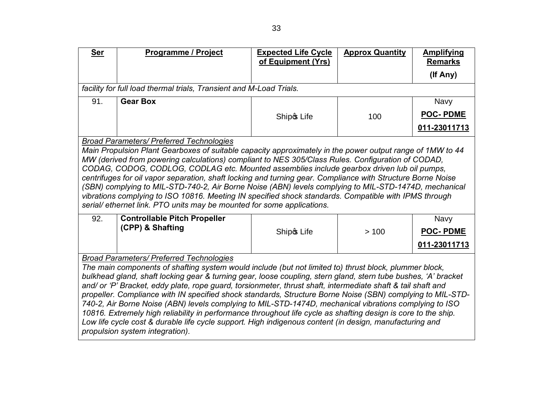| <b>Ser</b>                                                                                                                                                                                                                                                                                                                                                                                                                                                                                                                                                                                                                                                                                                                                                                                                                                                                          | <b>Programme / Project</b>                                          | <b>Expected Life Cycle</b><br>of Equipment (Yrs) | <b>Approx Quantity</b> | <b>Amplifying</b><br><b>Remarks</b>            |
|-------------------------------------------------------------------------------------------------------------------------------------------------------------------------------------------------------------------------------------------------------------------------------------------------------------------------------------------------------------------------------------------------------------------------------------------------------------------------------------------------------------------------------------------------------------------------------------------------------------------------------------------------------------------------------------------------------------------------------------------------------------------------------------------------------------------------------------------------------------------------------------|---------------------------------------------------------------------|--------------------------------------------------|------------------------|------------------------------------------------|
|                                                                                                                                                                                                                                                                                                                                                                                                                                                                                                                                                                                                                                                                                                                                                                                                                                                                                     |                                                                     |                                                  |                        | (If Any)                                       |
|                                                                                                                                                                                                                                                                                                                                                                                                                                                                                                                                                                                                                                                                                                                                                                                                                                                                                     | facility for full load thermal trials, Transient and M-Load Trials. |                                                  |                        |                                                |
| 91.                                                                                                                                                                                                                                                                                                                                                                                                                                                                                                                                                                                                                                                                                                                                                                                                                                                                                 | <b>Gear Box</b>                                                     |                                                  |                        | <b>Navy</b>                                    |
|                                                                                                                                                                                                                                                                                                                                                                                                                                                                                                                                                                                                                                                                                                                                                                                                                                                                                     |                                                                     | Ship & Life                                      | 100                    | <b>POC-PDME</b>                                |
|                                                                                                                                                                                                                                                                                                                                                                                                                                                                                                                                                                                                                                                                                                                                                                                                                                                                                     |                                                                     |                                                  |                        | 011-23011713                                   |
|                                                                                                                                                                                                                                                                                                                                                                                                                                                                                                                                                                                                                                                                                                                                                                                                                                                                                     | <b>Broad Parameters/ Preferred Technologies</b>                     |                                                  |                        |                                                |
| Main Propulsion Plant Gearboxes of suitable capacity approximately in the power output range of 1MW to 44<br>MW (derived from powering calculations) compliant to NES 305/Class Rules. Configuration of CODAD,<br>CODAG, CODOG, CODLOG, CODLAG etc. Mounted assemblies include gearbox driven lub oil pumps,<br>centrifuges for oil vapor separation, shaft locking and turning gear. Compliance with Structure Borne Noise<br>(SBN) complying to MIL-STD-740-2, Air Borne Noise (ABN) levels complying to MIL-STD-1474D, mechanical<br>vibrations complying to ISO 10816. Meeting IN specified shock standards. Compatible with IPMS through<br>serial/ethernet link. PTO units may be mounted for some applications.                                                                                                                                                              |                                                                     |                                                  |                        |                                                |
| 92.                                                                                                                                                                                                                                                                                                                                                                                                                                                                                                                                                                                                                                                                                                                                                                                                                                                                                 | <b>Controllable Pitch Propeller</b><br>(CPP) & Shafting             | Ship & Life                                      | >100                   | <b>Navy</b><br><b>POC-PDME</b><br>011-23011713 |
|                                                                                                                                                                                                                                                                                                                                                                                                                                                                                                                                                                                                                                                                                                                                                                                                                                                                                     |                                                                     |                                                  |                        |                                                |
| <b>Broad Parameters/ Preferred Technologies</b><br>The main components of shafting system would include (but not limited to) thrust block, plummer block,<br>bulkhead gland, shaft locking gear & turning gear, loose coupling, stern gland, stern tube bushes, 'A' bracket<br>and/ or 'P' Bracket, eddy plate, rope guard, torsionmeter, thrust shaft, intermediate shaft & tail shaft and<br>propeller. Compliance with IN specified shock standards, Structure Borne Noise (SBN) complying to MIL-STD-<br>740-2, Air Borne Noise (ABN) levels complying to MIL-STD-1474D, mechanical vibrations complying to ISO<br>10816. Extremely high reliability in performance throughout life cycle as shafting design is core to the ship.<br>Low life cycle cost & durable life cycle support. High indigenous content (in design, manufacturing and<br>propulsion system integration). |                                                                     |                                                  |                        |                                                |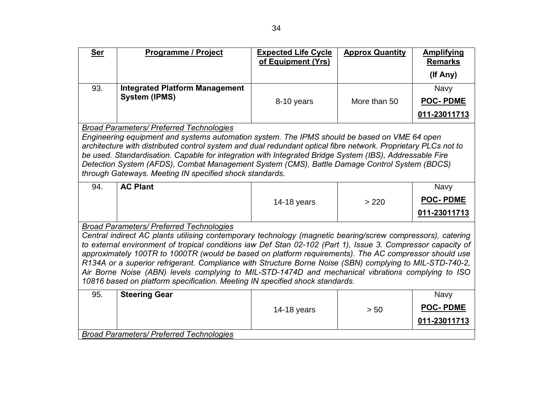| <b>Ser</b>                                                                                                                                                                         | Programme / Project                                                                                                                                                                                               | <b>Expected Life Cycle</b><br>of Equipment (Yrs) | <b>Approx Quantity</b> | <b>Amplifying</b><br><b>Remarks</b> |  |  |
|------------------------------------------------------------------------------------------------------------------------------------------------------------------------------------|-------------------------------------------------------------------------------------------------------------------------------------------------------------------------------------------------------------------|--------------------------------------------------|------------------------|-------------------------------------|--|--|
|                                                                                                                                                                                    |                                                                                                                                                                                                                   |                                                  |                        | (If Any)                            |  |  |
| 93.                                                                                                                                                                                | <b>Integrated Platform Management</b>                                                                                                                                                                             |                                                  |                        | <b>Navy</b>                         |  |  |
|                                                                                                                                                                                    | <b>System (IPMS)</b>                                                                                                                                                                                              | 8-10 years                                       | More than 50           | <b>POC-PDME</b>                     |  |  |
|                                                                                                                                                                                    |                                                                                                                                                                                                                   |                                                  |                        | 011-23011713                        |  |  |
|                                                                                                                                                                                    | <b>Broad Parameters/ Preferred Technologies</b>                                                                                                                                                                   |                                                  |                        |                                     |  |  |
|                                                                                                                                                                                    | Engineering equipment and systems automation system. The IPMS should be based on VME 64 open                                                                                                                      |                                                  |                        |                                     |  |  |
|                                                                                                                                                                                    | architecture with distributed control system and dual redundant optical fibre network. Proprietary PLCs not to                                                                                                    |                                                  |                        |                                     |  |  |
|                                                                                                                                                                                    | be used. Standardisation. Capable for integration with Integrated Bridge System (IBS), Addressable Fire<br>Detection System (AFDS), Combat Management System (CMS), Battle Damage Control System (BDCS)           |                                                  |                        |                                     |  |  |
|                                                                                                                                                                                    | through Gateways. Meeting IN specified shock standards.                                                                                                                                                           |                                                  |                        |                                     |  |  |
| 94.                                                                                                                                                                                | <b>AC Plant</b>                                                                                                                                                                                                   |                                                  |                        | <b>Navy</b>                         |  |  |
|                                                                                                                                                                                    |                                                                                                                                                                                                                   | 14-18 years                                      | > 220                  | <b>POC-PDME</b>                     |  |  |
|                                                                                                                                                                                    |                                                                                                                                                                                                                   |                                                  |                        | 011-23011713                        |  |  |
|                                                                                                                                                                                    | <b>Broad Parameters/ Preferred Technologies</b>                                                                                                                                                                   |                                                  |                        |                                     |  |  |
|                                                                                                                                                                                    | Central indirect AC plants utilising contemporary technology (magnetic bearing/screw compressors), catering                                                                                                       |                                                  |                        |                                     |  |  |
|                                                                                                                                                                                    | to external environment of tropical conditions iaw Def Stan 02-102 (Part 1), Issue 3. Compressor capacity of                                                                                                      |                                                  |                        |                                     |  |  |
|                                                                                                                                                                                    | approximately 100TR to 1000TR (would be based on platform requirements). The AC compressor should use<br>R134A or a superior refrigerant. Compliance with Structure Borne Noise (SBN) complying to MIL-STD-740-2, |                                                  |                        |                                     |  |  |
|                                                                                                                                                                                    |                                                                                                                                                                                                                   |                                                  |                        |                                     |  |  |
| Air Borne Noise (ABN) levels complying to MIL-STD-1474D and mechanical vibrations complying to ISO<br>10816 based on platform specification. Meeting IN specified shock standards. |                                                                                                                                                                                                                   |                                                  |                        |                                     |  |  |
| 95.                                                                                                                                                                                |                                                                                                                                                                                                                   |                                                  |                        |                                     |  |  |
|                                                                                                                                                                                    | <b>Steering Gear</b>                                                                                                                                                                                              |                                                  |                        | <b>Navy</b>                         |  |  |
|                                                                                                                                                                                    |                                                                                                                                                                                                                   | 14-18 years                                      | > 50                   | <b>POC-PDME</b>                     |  |  |
|                                                                                                                                                                                    |                                                                                                                                                                                                                   |                                                  |                        | 011-23011713                        |  |  |
|                                                                                                                                                                                    | <b>Broad Parameters/ Preferred Technologies</b>                                                                                                                                                                   |                                                  |                        |                                     |  |  |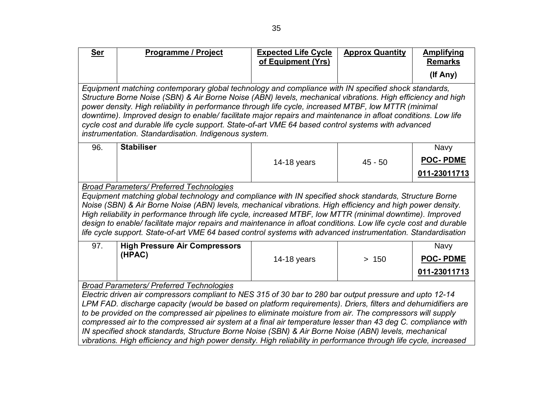| <b>Ser</b>                                                                                                                                                                                                                 | <b>Programme / Project</b>                                                                                                                                                                                                                                                                                                                                                                                                                                                                                                                                                                               | <b>Expected Life Cycle</b><br>of Equipment (Yrs) | <b>Approx Quantity</b> | <b>Amplifying</b><br><b>Remarks</b> |  |  |
|----------------------------------------------------------------------------------------------------------------------------------------------------------------------------------------------------------------------------|----------------------------------------------------------------------------------------------------------------------------------------------------------------------------------------------------------------------------------------------------------------------------------------------------------------------------------------------------------------------------------------------------------------------------------------------------------------------------------------------------------------------------------------------------------------------------------------------------------|--------------------------------------------------|------------------------|-------------------------------------|--|--|
|                                                                                                                                                                                                                            |                                                                                                                                                                                                                                                                                                                                                                                                                                                                                                                                                                                                          |                                                  |                        | (If Any)                            |  |  |
|                                                                                                                                                                                                                            | Equipment matching contemporary global technology and compliance with IN specified shock standards,<br>Structure Borne Noise (SBN) & Air Borne Noise (ABN) levels, mechanical vibrations. High efficiency and high<br>power density. High reliability in performance through life cycle, increased MTBF, low MTTR (minimal<br>downtime). Improved design to enable/facilitate major repairs and maintenance in afloat conditions. Low life<br>cycle cost and durable life cycle support. State-of-art VME 64 based control systems with advanced<br>instrumentation. Standardisation. Indigenous system. |                                                  |                        |                                     |  |  |
| 96.                                                                                                                                                                                                                        | <b>Stabiliser</b>                                                                                                                                                                                                                                                                                                                                                                                                                                                                                                                                                                                        |                                                  |                        | <b>Navy</b>                         |  |  |
|                                                                                                                                                                                                                            |                                                                                                                                                                                                                                                                                                                                                                                                                                                                                                                                                                                                          | 14-18 years                                      | $45 - 50$              | <b>POC-PDME</b>                     |  |  |
|                                                                                                                                                                                                                            |                                                                                                                                                                                                                                                                                                                                                                                                                                                                                                                                                                                                          |                                                  |                        | 011-23011713                        |  |  |
|                                                                                                                                                                                                                            | <b>Broad Parameters/ Preferred Technologies</b>                                                                                                                                                                                                                                                                                                                                                                                                                                                                                                                                                          |                                                  |                        |                                     |  |  |
|                                                                                                                                                                                                                            | Equipment matching global technology and compliance with IN specified shock standards, Structure Borne<br>Noise (SBN) & Air Borne Noise (ABN) levels, mechanical vibrations. High efficiency and high power density.<br>High reliability in performance through life cycle, increased MTBF, low MTTR (minimal downtime). Improved<br>design to enable/ facilitate major repairs and maintenance in afloat conditions. Low life cycle cost and durable<br>life cycle support. State-of-art VME 64 based control systems with advanced instrumentation. Standardisation                                    |                                                  |                        |                                     |  |  |
| 97.                                                                                                                                                                                                                        | <b>High Pressure Air Compressors</b>                                                                                                                                                                                                                                                                                                                                                                                                                                                                                                                                                                     |                                                  |                        | Navy                                |  |  |
|                                                                                                                                                                                                                            | (HPAC)                                                                                                                                                                                                                                                                                                                                                                                                                                                                                                                                                                                                   | 14-18 years                                      | > 150                  | <b>POC-PDME</b>                     |  |  |
|                                                                                                                                                                                                                            |                                                                                                                                                                                                                                                                                                                                                                                                                                                                                                                                                                                                          |                                                  |                        | 011-23011713                        |  |  |
| <b>Broad Parameters/ Preferred Technologies</b>                                                                                                                                                                            |                                                                                                                                                                                                                                                                                                                                                                                                                                                                                                                                                                                                          |                                                  |                        |                                     |  |  |
| Electric driven air compressors compliant to NES 315 of 30 bar to 280 bar output pressure and upto 12-14                                                                                                                   |                                                                                                                                                                                                                                                                                                                                                                                                                                                                                                                                                                                                          |                                                  |                        |                                     |  |  |
| LPM FAD. discharge capacity (would be based on platform requirements). Driers, filters and dehumidifiers are<br>to be provided on the compressed air pipelines to eliminate moisture from air. The compressors will supply |                                                                                                                                                                                                                                                                                                                                                                                                                                                                                                                                                                                                          |                                                  |                        |                                     |  |  |
|                                                                                                                                                                                                                            | compressed air to the compressed air system at a final air temperature lesser than 43 deg C. compliance with                                                                                                                                                                                                                                                                                                                                                                                                                                                                                             |                                                  |                        |                                     |  |  |
|                                                                                                                                                                                                                            | IN specified shock standards, Structure Borne Noise (SBN) & Air Borne Noise (ABN) levels, mechanical                                                                                                                                                                                                                                                                                                                                                                                                                                                                                                     |                                                  |                        |                                     |  |  |
|                                                                                                                                                                                                                            | vibrations. High efficiency and high power density. High reliability in performance through life cycle, increased                                                                                                                                                                                                                                                                                                                                                                                                                                                                                        |                                                  |                        |                                     |  |  |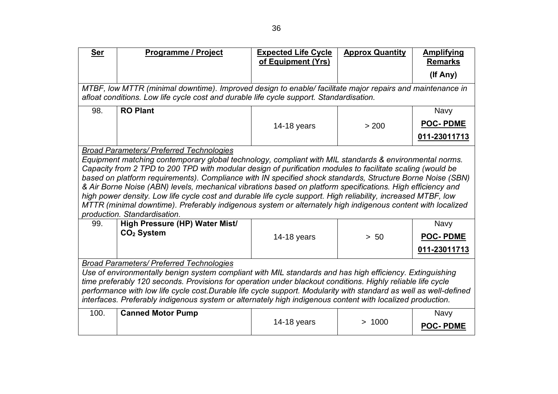| <b>Ser</b>                                                                                                                                                                                                                                                                                                                                                                                                                                                                                                                                                                                                                                                                                                                                                                                                                                                     | Programme / Project                                                                                                                                                                                 | <b>Expected Life Cycle</b><br>of Equipment (Yrs) | <b>Approx Quantity</b> | <b>Amplifying</b><br><b>Remarks</b> |
|----------------------------------------------------------------------------------------------------------------------------------------------------------------------------------------------------------------------------------------------------------------------------------------------------------------------------------------------------------------------------------------------------------------------------------------------------------------------------------------------------------------------------------------------------------------------------------------------------------------------------------------------------------------------------------------------------------------------------------------------------------------------------------------------------------------------------------------------------------------|-----------------------------------------------------------------------------------------------------------------------------------------------------------------------------------------------------|--------------------------------------------------|------------------------|-------------------------------------|
|                                                                                                                                                                                                                                                                                                                                                                                                                                                                                                                                                                                                                                                                                                                                                                                                                                                                |                                                                                                                                                                                                     |                                                  |                        | (If Any)                            |
|                                                                                                                                                                                                                                                                                                                                                                                                                                                                                                                                                                                                                                                                                                                                                                                                                                                                | MTBF, low MTTR (minimal downtime). Improved design to enable/facilitate major repairs and maintenance in<br>afloat conditions. Low life cycle cost and durable life cycle support. Standardisation. |                                                  |                        |                                     |
| 98.                                                                                                                                                                                                                                                                                                                                                                                                                                                                                                                                                                                                                                                                                                                                                                                                                                                            | <b>RO Plant</b>                                                                                                                                                                                     |                                                  |                        | <b>Navy</b>                         |
|                                                                                                                                                                                                                                                                                                                                                                                                                                                                                                                                                                                                                                                                                                                                                                                                                                                                |                                                                                                                                                                                                     | 14-18 years                                      | > 200                  | <b>POC-PDME</b>                     |
|                                                                                                                                                                                                                                                                                                                                                                                                                                                                                                                                                                                                                                                                                                                                                                                                                                                                |                                                                                                                                                                                                     |                                                  |                        | 011-23011713                        |
| <b>Broad Parameters/ Preferred Technologies</b><br>Equipment matching contemporary global technology, compliant with MIL standards & environmental norms.<br>Capacity from 2 TPD to 200 TPD with modular design of purification modules to facilitate scaling (would be<br>based on platform requirements). Compliance with IN specified shock standards, Structure Borne Noise (SBN)<br>& Air Borne Noise (ABN) levels, mechanical vibrations based on platform specifications. High efficiency and<br>high power density. Low life cycle cost and durable life cycle support. High reliability, increased MTBF, low<br>MTTR (minimal downtime). Preferably indigenous system or alternately high indigenous content with localized<br>production. Standardisation.<br>High Pressure (HP) Water Mist/<br>99.<br><b>Navy</b><br>CO <sub>2</sub> System<br>> 50 |                                                                                                                                                                                                     |                                                  |                        |                                     |
|                                                                                                                                                                                                                                                                                                                                                                                                                                                                                                                                                                                                                                                                                                                                                                                                                                                                |                                                                                                                                                                                                     | 14-18 years                                      |                        | <b>POC-PDME</b><br>011-23011713     |
| <b>Broad Parameters/ Preferred Technologies</b><br>Use of environmentally benign system compliant with MIL standards and has high efficiency. Extinguishing<br>time preferably 120 seconds. Provisions for operation under blackout conditions. Highly reliable life cycle<br>performance with low life cycle cost.Durable life cycle support. Modularity with standard as well as well-defined<br>interfaces. Preferably indigenous system or alternately high indigenous content with localized production.                                                                                                                                                                                                                                                                                                                                                  |                                                                                                                                                                                                     |                                                  |                        |                                     |
| 100.                                                                                                                                                                                                                                                                                                                                                                                                                                                                                                                                                                                                                                                                                                                                                                                                                                                           | <b>Canned Motor Pump</b>                                                                                                                                                                            | 14-18 years                                      | > 1000                 | <b>Navy</b><br><b>POC-PDME</b>      |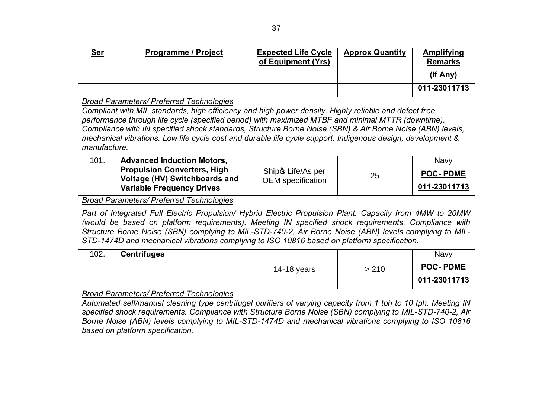| <b>Ser</b>                                                                                                                                                                                                                                                                                                                                                                                                                                                                  | Programme / Project                                                                                                                                                                                                                                                                                                                                                                                                                                                                                        | <b>Expected Life Cycle</b><br>of Equipment (Yrs) | <b>Approx Quantity</b> | <b>Amplifying</b><br><b>Remarks</b>     |  |
|-----------------------------------------------------------------------------------------------------------------------------------------------------------------------------------------------------------------------------------------------------------------------------------------------------------------------------------------------------------------------------------------------------------------------------------------------------------------------------|------------------------------------------------------------------------------------------------------------------------------------------------------------------------------------------------------------------------------------------------------------------------------------------------------------------------------------------------------------------------------------------------------------------------------------------------------------------------------------------------------------|--------------------------------------------------|------------------------|-----------------------------------------|--|
|                                                                                                                                                                                                                                                                                                                                                                                                                                                                             |                                                                                                                                                                                                                                                                                                                                                                                                                                                                                                            |                                                  |                        | (If Any)                                |  |
|                                                                                                                                                                                                                                                                                                                                                                                                                                                                             |                                                                                                                                                                                                                                                                                                                                                                                                                                                                                                            |                                                  |                        | 011-23011713                            |  |
|                                                                                                                                                                                                                                                                                                                                                                                                                                                                             | <b>Broad Parameters/ Preferred Technologies</b><br>Compliant with MIL standards, high efficiency and high power density. Highly reliable and defect free<br>performance through life cycle (specified period) with maximized MTBF and minimal MTTR (downtime).<br>Compliance with IN specified shock standards, Structure Borne Noise (SBN) & Air Borne Noise (ABN) levels,<br>mechanical vibrations. Low life cycle cost and durable life cycle support. Indigenous design, development &<br>manufacture. |                                                  |                        |                                         |  |
| 101.                                                                                                                                                                                                                                                                                                                                                                                                                                                                        | <b>Advanced Induction Motors,</b><br><b>Propulsion Converters, High</b><br>Voltage (HV) Switchboards and<br><b>Variable Frequency Drives</b>                                                                                                                                                                                                                                                                                                                                                               | Ship & Life/As per<br><b>OEM</b> specification   | 25                     | Navy<br><b>POC-PDME</b><br>011-23011713 |  |
| <b>Broad Parameters/ Preferred Technologies</b><br>Part of Integrated Full Electric Propulsion/ Hybrid Electric Propulsion Plant. Capacity from 4MW to 20MW<br>(would be based on platform requirements). Meeting IN specified shock requirements. Compliance with<br>Structure Borne Noise (SBN) complying to MIL-STD-740-2, Air Borne Noise (ABN) levels complying to MIL-<br>STD-1474D and mechanical vibrations complying to ISO 10816 based on platform specification. |                                                                                                                                                                                                                                                                                                                                                                                                                                                                                                            |                                                  |                        |                                         |  |
| 102.                                                                                                                                                                                                                                                                                                                                                                                                                                                                        | <b>Centrifuges</b>                                                                                                                                                                                                                                                                                                                                                                                                                                                                                         | 14-18 years                                      | > 210                  | Navy<br><b>POC-PDME</b><br>011-23011713 |  |
| <b>Broad Parameters/ Preferred Technologies</b><br>Automated self/manual cleaning type centrifugal purifiers of varying capacity from 1 tph to 10 tph. Meeting IN<br>specified shock requirements. Compliance with Structure Borne Noise (SBN) complying to MIL-STD-740-2, Air<br>Borne Noise (ABN) levels complying to MIL-STD-1474D and mechanical vibrations complying to ISO 10816<br>based on platform specification.                                                  |                                                                                                                                                                                                                                                                                                                                                                                                                                                                                                            |                                                  |                        |                                         |  |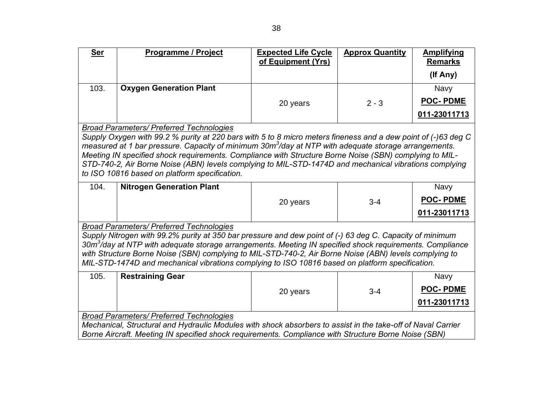| <u>Ser</u> | <b>Programme / Project</b>     | <b>Expected Life Cycle</b><br>of Equipment (Yrs) | <b>Approx Quantity</b> | <b>Amplifying</b><br><b>Remarks</b><br>(If Any) |
|------------|--------------------------------|--------------------------------------------------|------------------------|-------------------------------------------------|
| 103.       | <b>Oxygen Generation Plant</b> | 20 years                                         | $2 - 3$                | <b>Navy</b><br><b>POC-PDME</b><br>011-23011713  |

*Broad Parameters/ Preferred Technologies*

*Supply Oxygen with 99.2 % purity at 220 bars with 5 to 8 micro meters fineness and a dew point of (-)63 deg C measured at 1 bar pressure. Capacity of minimum 30m<sup>3</sup> /day at NTP with adequate storage arrangements. Meeting IN specified shock requirements. Compliance with Structure Borne Noise (SBN) complying to MIL-STD-740-2, Air Borne Noise (ABN) levels complying to MIL-STD-1474D and mechanical vibrations complying to ISO 10816 based on platform specification.*

| 104. | <b>Nitrogen Generation Plant</b> |          |         | Navy            |
|------|----------------------------------|----------|---------|-----------------|
|      |                                  | 20 years | $3 - 4$ | <b>POC-PDME</b> |
|      |                                  |          |         | 011-23011713    |

*Broad Parameters/ Preferred Technologies*

*Supply Nitrogen with 99.2% purity at 350 bar pressure and dew point of (-) 63 deg C. Capacity of minimum 30m<sup>3</sup> /day at NTP with adequate storage arrangements. Meeting IN specified shock requirements. Compliance with Structure Borne Noise (SBN) complying to MIL-STD-740-2, Air Borne Noise (ABN) levels complying to MIL-STD-1474D and mechanical vibrations complying to ISO 10816 based on platform specification.*

| 105. | <b>Restraining Gear</b> |          |         | <b>Navy</b>     |
|------|-------------------------|----------|---------|-----------------|
|      |                         | 20 years | $3 - 4$ | <b>POC-PDME</b> |
|      |                         |          |         | 011-23011713    |

*Broad Parameters/ Preferred Technologies*

*Mechanical, Structural and Hydraulic Modules with shock absorbers to assist in the take-off of Naval Carrier Borne Aircraft. Meeting IN specified shock requirements. Compliance with Structure Borne Noise (SBN)*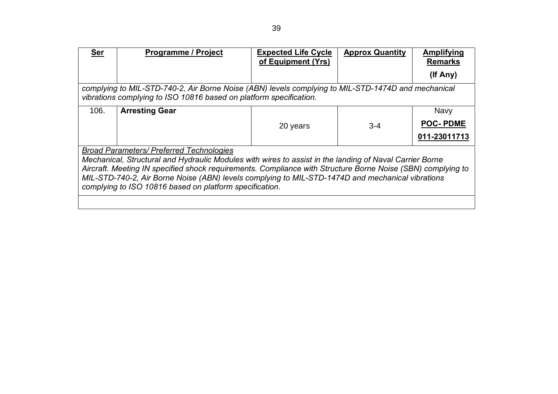| <u>Ser</u> | <b>Programme / Project</b>                                                                         | <b>Expected Life Cycle</b> | <b>Approx Quantity</b> | Amplifying     |
|------------|----------------------------------------------------------------------------------------------------|----------------------------|------------------------|----------------|
|            |                                                                                                    | of Equipment (Yrs)         |                        | <b>Remarks</b> |
|            |                                                                                                    |                            |                        | (If Any)       |
|            | complying to MIL-STD-740-2, Air Borne Noise (ABN) levels complying to MIL-STD-1474D and mechanical |                            |                        |                |
|            | vibrations complying to ISO 10816 based on platform specification.                                 |                            |                        |                |

| 106. | <b>Arresting Gear</b>                           |          |         | <b>Navy</b>     |
|------|-------------------------------------------------|----------|---------|-----------------|
|      |                                                 | 20 years | $3 - 4$ | <b>POC-PDME</b> |
|      |                                                 |          |         | 011-23011713    |
|      | <b>Broad Parameters/ Preferred Technologies</b> |          |         |                 |

*Broad Parameters/ Preferred Technologies*

*Mechanical, Structural and Hydraulic Modules with wires to assist in the landing of Naval Carrier Borne Aircraft. Meeting IN specified shock requirements. Compliance with Structure Borne Noise (SBN) complying to MIL-STD-740-2, Air Borne Noise (ABN) levels complying to MIL-STD-1474D and mechanical vibrations complying to ISO 10816 based on platform specification*.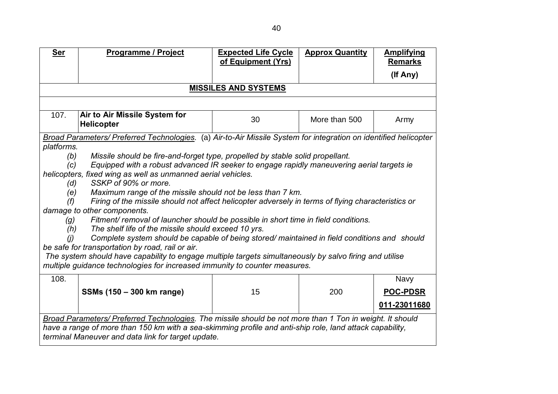| <b>Ser</b> | Programme / Project                                                                                              | <b>Expected Life Cycle</b><br>of Equipment (Yrs) | <b>Approx Quantity</b> | <b>Amplifying</b><br><b>Remarks</b> |  |
|------------|------------------------------------------------------------------------------------------------------------------|--------------------------------------------------|------------------------|-------------------------------------|--|
|            |                                                                                                                  |                                                  |                        | (If Any)                            |  |
|            | <b>MISSILES AND SYSTEMS</b>                                                                                      |                                                  |                        |                                     |  |
|            |                                                                                                                  |                                                  |                        |                                     |  |
| 107.       | Air to Air Missile System for<br><b>Helicopter</b>                                                               | 30                                               | More than 500          | Army                                |  |
|            | Broad Parameters/ Preferred Technologies. (a) Air-to-Air Missile System for integration on identified helicopter |                                                  |                        |                                     |  |
| platforms. |                                                                                                                  |                                                  |                        |                                     |  |
| (b)        | Missile should be fire-and-forget type, propelled by stable solid propellant.                                    |                                                  |                        |                                     |  |
| (c)        | Equipped with a robust advanced IR seeker to engage rapidly maneuvering aerial targets ie                        |                                                  |                        |                                     |  |
|            | helicopters, fixed wing as well as unmanned aerial vehicles.<br>SSKP of 90% or more.                             |                                                  |                        |                                     |  |
| (d)<br>(e) | Maximum range of the missile should not be less than 7 km.                                                       |                                                  |                        |                                     |  |
| (f)        | Firing of the missile should not affect helicopter adversely in terms of flying characteristics or               |                                                  |                        |                                     |  |
|            | damage to other components.                                                                                      |                                                  |                        |                                     |  |
| (g)        | Fitment/ removal of launcher should be possible in short time in field conditions.                               |                                                  |                        |                                     |  |
| (h)        | The shelf life of the missile should exceed 10 yrs.                                                              |                                                  |                        |                                     |  |
| (i)        | Complete system should be capable of being stored/ maintained in field conditions and should                     |                                                  |                        |                                     |  |
|            | be safe for transportation by road, rail or air.                                                                 |                                                  |                        |                                     |  |
|            | The system should have capability to engage multiple targets simultaneously by salvo firing and utilise          |                                                  |                        |                                     |  |
|            | multiple guidance technologies for increased immunity to counter measures.                                       |                                                  |                        |                                     |  |
| 108.       |                                                                                                                  |                                                  |                        | <b>Navy</b>                         |  |
|            | SSMs (150 - 300 km range)                                                                                        | 15                                               | 200                    | <b>POC-PDSR</b>                     |  |
|            |                                                                                                                  |                                                  |                        | 011-23011680                        |  |
|            | Broad Parameters/ Preferred Technologies. The missile should be not more than 1 Ton in weight. It should         |                                                  |                        |                                     |  |
|            | have a range of more than 150 km with a sea-skimming profile and anti-ship role, land attack capability,         |                                                  |                        |                                     |  |
|            | terminal Maneuver and data link for target update.                                                               |                                                  |                        |                                     |  |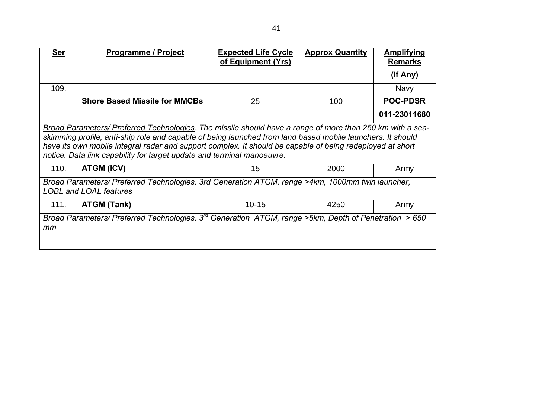| <b>Ser</b> | Programme / Project                                                                                                                                                                                                                                                                                                                                                                                            | <b>Expected Life Cycle</b><br>of Equipment (Yrs) | <b>Approx Quantity</b> | <u>Amplifying</u><br><b>Remarks</b> |  |  |
|------------|----------------------------------------------------------------------------------------------------------------------------------------------------------------------------------------------------------------------------------------------------------------------------------------------------------------------------------------------------------------------------------------------------------------|--------------------------------------------------|------------------------|-------------------------------------|--|--|
|            |                                                                                                                                                                                                                                                                                                                                                                                                                |                                                  |                        | (If Any)                            |  |  |
| 109.       |                                                                                                                                                                                                                                                                                                                                                                                                                |                                                  |                        | <b>Navy</b>                         |  |  |
|            | <b>Shore Based Missile for MMCBs</b>                                                                                                                                                                                                                                                                                                                                                                           | 25                                               | 100                    | <b>POC-PDSR</b>                     |  |  |
|            |                                                                                                                                                                                                                                                                                                                                                                                                                |                                                  |                        | 011-23011680                        |  |  |
|            | Broad Parameters/ Preferred Technologies. The missile should have a range of more than 250 km with a sea-<br>skimming profile, anti-ship role and capable of being launched from land based mobile launchers. It should<br>have its own mobile integral radar and support complex. It should be capable of being redeployed at short<br>notice. Data link capability for target update and terminal manoeuvre. |                                                  |                        |                                     |  |  |
| 110.       | ATGM (ICV)                                                                                                                                                                                                                                                                                                                                                                                                     | 15                                               | 2000                   | Army                                |  |  |
|            | Broad Parameters/ Preferred Technologies. 3rd Generation ATGM, range >4km, 1000mm twin launcher,<br><b>LOBL and LOAL features</b>                                                                                                                                                                                                                                                                              |                                                  |                        |                                     |  |  |
| 111.       | <b>ATGM (Tank)</b>                                                                                                                                                                                                                                                                                                                                                                                             | $10 - 15$                                        | 4250                   | Army                                |  |  |
| mm         | Broad Parameters/ Preferred Technologies. $3^{rd}$ Generation ATGM, range >5km, Depth of Penetration > 650                                                                                                                                                                                                                                                                                                     |                                                  |                        |                                     |  |  |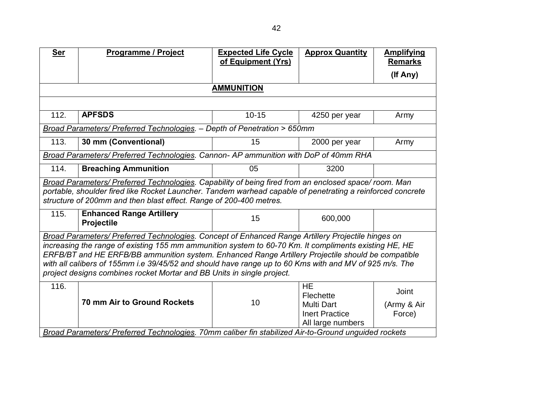| <b>Ser</b> | Programme / Project                                                                                        | <b>Expected Life Cycle</b> | <b>Approx Quantity</b> | <b>Amplifying</b> |
|------------|------------------------------------------------------------------------------------------------------------|----------------------------|------------------------|-------------------|
|            |                                                                                                            | of Equipment (Yrs)         |                        | <b>Remarks</b>    |
|            |                                                                                                            |                            |                        | (If Any)          |
|            |                                                                                                            | <b>AMMUNITION</b>          |                        |                   |
|            |                                                                                                            |                            |                        |                   |
| 112.       | <b>APFSDS</b>                                                                                              | $10 - 15$                  | 4250 per year          | Army              |
|            | Broad Parameters/ Preferred Technologies. - Depth of Penetration > 650mm                                   |                            |                        |                   |
| 113.       | 30 mm (Conventional)                                                                                       | 15                         | 2000 per year          | Army              |
|            | Broad Parameters/ Preferred Technologies. Cannon- AP ammunition with DoP of 40mm RHA                       |                            |                        |                   |
| 114.       | <b>Breaching Ammunition</b>                                                                                | 05                         | 3200                   |                   |
|            | Broad Parameters/ Preferred Technologies. Capability of being fired from an enclosed space/ room. Man      |                            |                        |                   |
|            | portable, shoulder fired like Rocket Launcher. Tandem warhead capable of penetrating a reinforced concrete |                            |                        |                   |
|            | structure of 200mm and then blast effect. Range of 200-400 metres.                                         |                            |                        |                   |
| 115.       | <b>Enhanced Range Artillery</b>                                                                            | 15                         | 600,000                |                   |
|            | Projectile                                                                                                 |                            |                        |                   |
|            | Broad Parameters/ Preferred Technologies. Concept of Enhanced Range Artillery Projectile hinges on         |                            |                        |                   |
|            | increasing the range of existing 155 mm ammunition system to 60-70 Km. It compliments existing HE, HE      |                            |                        |                   |
|            | ERFB/BT and HE ERFB/BB ammunition system. Enhanced Range Artillery Projectile should be compatible         |                            |                        |                   |
|            | with all calibers of 155mm i.e 39/45/52 and should have range up to 60 Kms with and MV of 925 m/s. The     |                            |                        |                   |
|            | project designs combines rocket Mortar and BB Units in single project.                                     |                            |                        |                   |
| 116.       |                                                                                                            |                            | <b>HE</b>              | Joint             |
|            | 70 mm Air to Ground Rockets                                                                                |                            | Flechette              |                   |
|            |                                                                                                            | 10                         | <b>Multi Dart</b>      | (Army & Air       |
|            |                                                                                                            |                            | <b>Inert Practice</b>  | Force)            |
|            |                                                                                                            |                            | All large numbers      |                   |
|            | Broad Parameters/ Preferred Technologies. 70mm caliber fin stabilized Air-to-Ground unguided rockets       |                            |                        |                   |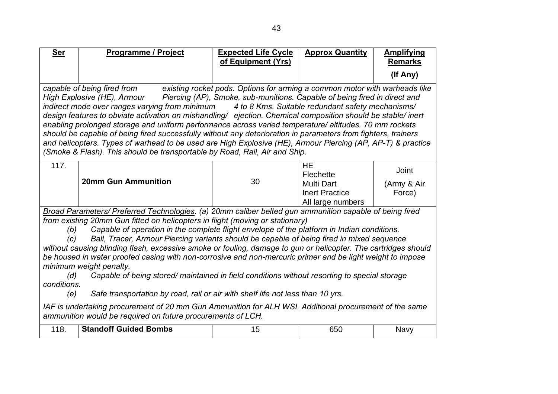| <b>Ser</b>                                                                                                                                                                                                                                                                                                                                                                                                                                                                                                                                                                                                                                                                                                                                                                                                                                                                                                                                                                                                                                           | <b>Programme / Project</b>   | <b>Expected Life Cycle</b><br>of Equipment (Yrs) | <b>Approx Quantity</b>                                                                    | <b>Amplifying</b><br><b>Remarks</b> |
|------------------------------------------------------------------------------------------------------------------------------------------------------------------------------------------------------------------------------------------------------------------------------------------------------------------------------------------------------------------------------------------------------------------------------------------------------------------------------------------------------------------------------------------------------------------------------------------------------------------------------------------------------------------------------------------------------------------------------------------------------------------------------------------------------------------------------------------------------------------------------------------------------------------------------------------------------------------------------------------------------------------------------------------------------|------------------------------|--------------------------------------------------|-------------------------------------------------------------------------------------------|-------------------------------------|
|                                                                                                                                                                                                                                                                                                                                                                                                                                                                                                                                                                                                                                                                                                                                                                                                                                                                                                                                                                                                                                                      |                              |                                                  |                                                                                           | (If Any)                            |
| capable of being fired from<br>existing rocket pods. Options for arming a common motor with warheads like<br>High Explosive (HE), Armour Fiercing (AP), Smoke, sub-munitions. Capable of being fired in direct and<br>indirect mode over ranges varying from minimum<br>4 to 8 Kms. Suitable redundant safety mechanisms/<br>design features to obviate activation on mishandling/ ejection. Chemical composition should be stable/inert<br>enabling prolonged storage and uniform performance across varied temperature/ altitudes. 70 mm rockets<br>should be capable of being fired successfully without any deterioration in parameters from fighters, trainers<br>and helicopters. Types of warhead to be used are High Explosive (HE), Armour Piercing (AP, AP-T) & practice<br>(Smoke & Flash). This should be transportable by Road, Rail, Air and Ship.                                                                                                                                                                                     |                              |                                                  |                                                                                           |                                     |
| 117.                                                                                                                                                                                                                                                                                                                                                                                                                                                                                                                                                                                                                                                                                                                                                                                                                                                                                                                                                                                                                                                 | <b>20mm Gun Ammunition</b>   | 30                                               | <b>HE</b><br>Flechette<br><b>Multi Dart</b><br><b>Inert Practice</b><br>All large numbers | Joint<br>(Army & Air<br>Force)      |
| Broad Parameters/ Preferred Technologies. (a) 20mm caliber belted gun ammunition capable of being fired<br>from existing 20mm Gun fitted on helicopters in flight (moving or stationary)<br>Capable of operation in the complete flight envelope of the platform in Indian conditions.<br>(b)<br>Ball, Tracer, Armour Piercing variants should be capable of being fired in mixed sequence<br>(c)<br>without causing blinding flash, excessive smoke or fouling, damage to gun or helicopter. The cartridges should<br>be housed in water proofed casing with non-corrosive and non-mercuric primer and be light weight to impose<br>minimum weight penalty.<br>Capable of being stored/ maintained in field conditions without resorting to special storage<br>(d)<br>conditions.<br>Safe transportation by road, rail or air with shelf life not less than 10 yrs.<br>(e)<br>IAF is undertaking procurement of 20 mm Gun Ammunition for ALH WSI. Additional procurement of the same<br>ammunition would be required on future procurements of LCH. |                              |                                                  |                                                                                           |                                     |
| 118.                                                                                                                                                                                                                                                                                                                                                                                                                                                                                                                                                                                                                                                                                                                                                                                                                                                                                                                                                                                                                                                 | <b>Standoff Guided Bombs</b> | 15                                               | 650                                                                                       | <b>Navy</b>                         |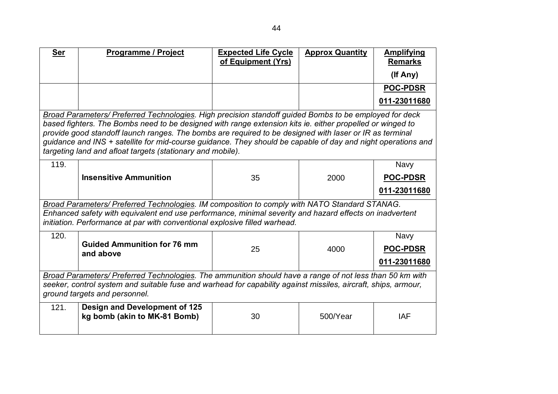| <b>Ser</b>                                                                                                                                                                                                                                                  | Programme / Project                                                                                                                                                                                                                                                                                                                                                                                                                                                                                          | <b>Expected Life Cycle</b><br>of Equipment (Yrs) | <b>Approx Quantity</b> | <b>Amplifying</b><br><b>Remarks</b>            |  |
|-------------------------------------------------------------------------------------------------------------------------------------------------------------------------------------------------------------------------------------------------------------|--------------------------------------------------------------------------------------------------------------------------------------------------------------------------------------------------------------------------------------------------------------------------------------------------------------------------------------------------------------------------------------------------------------------------------------------------------------------------------------------------------------|--------------------------------------------------|------------------------|------------------------------------------------|--|
|                                                                                                                                                                                                                                                             |                                                                                                                                                                                                                                                                                                                                                                                                                                                                                                              |                                                  |                        | (If Any)                                       |  |
|                                                                                                                                                                                                                                                             |                                                                                                                                                                                                                                                                                                                                                                                                                                                                                                              |                                                  |                        | <b>POC-PDSR</b>                                |  |
|                                                                                                                                                                                                                                                             |                                                                                                                                                                                                                                                                                                                                                                                                                                                                                                              |                                                  |                        | 011-23011680                                   |  |
|                                                                                                                                                                                                                                                             | Broad Parameters/ Preferred Technologies. High precision standoff guided Bombs to be employed for deck<br>based fighters. The Bombs need to be designed with range extension kits ie. either propelled or winged to<br>provide good standoff launch ranges. The bombs are required to be designed with laser or IR as terminal<br>guidance and INS + satellite for mid-course guidance. They should be capable of day and night operations and<br>targeting land and afloat targets (stationary and mobile). |                                                  |                        |                                                |  |
| 119.                                                                                                                                                                                                                                                        | <b>Insensitive Ammunition</b>                                                                                                                                                                                                                                                                                                                                                                                                                                                                                | 35                                               | 2000                   | <b>Navy</b><br>POC-PDSR<br>011-23011680        |  |
|                                                                                                                                                                                                                                                             | Broad Parameters/ Preferred Technologies. IM composition to comply with NATO Standard STANAG.<br>Enhanced safety with equivalent end use performance, minimal severity and hazard effects on inadvertent<br>initiation. Performance at par with conventional explosive filled warhead.                                                                                                                                                                                                                       |                                                  |                        |                                                |  |
| 120.                                                                                                                                                                                                                                                        | <b>Guided Ammunition for 76 mm</b><br>and above                                                                                                                                                                                                                                                                                                                                                                                                                                                              | 25                                               | 4000                   | <b>Navy</b><br><b>POC-PDSR</b><br>011-23011680 |  |
| Broad Parameters/ Preferred Technologies. The ammunition should have a range of not less than 50 km with<br>seeker, control system and suitable fuse and warhead for capability against missiles, aircraft, ships, armour,<br>ground targets and personnel. |                                                                                                                                                                                                                                                                                                                                                                                                                                                                                                              |                                                  |                        |                                                |  |
| 121.                                                                                                                                                                                                                                                        | Design and Development of 125<br>kg bomb (akin to MK-81 Bomb)                                                                                                                                                                                                                                                                                                                                                                                                                                                | 30                                               | 500/Year               | <b>IAF</b>                                     |  |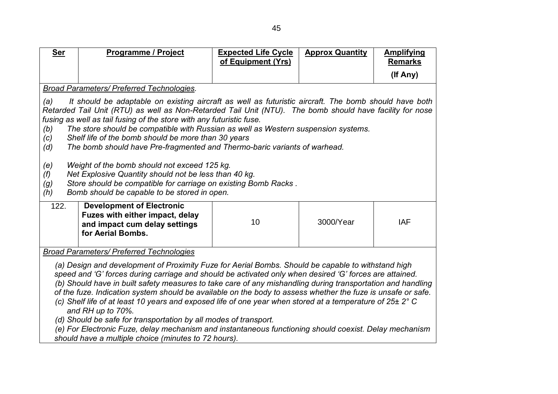| <b>Ser</b>                                                                                                                                                                                                                                                                                                                                                                                                                                                                                                                                                                                                                                                                                                                                                                                                                                                              | <b>Programme / Project</b>                                                                                                | <b>Expected Life Cycle</b> | <b>Approx Quantity</b> | <b>Amplifying</b> |  |  |  |
|-------------------------------------------------------------------------------------------------------------------------------------------------------------------------------------------------------------------------------------------------------------------------------------------------------------------------------------------------------------------------------------------------------------------------------------------------------------------------------------------------------------------------------------------------------------------------------------------------------------------------------------------------------------------------------------------------------------------------------------------------------------------------------------------------------------------------------------------------------------------------|---------------------------------------------------------------------------------------------------------------------------|----------------------------|------------------------|-------------------|--|--|--|
|                                                                                                                                                                                                                                                                                                                                                                                                                                                                                                                                                                                                                                                                                                                                                                                                                                                                         |                                                                                                                           | of Equipment (Yrs)         |                        | <b>Remarks</b>    |  |  |  |
|                                                                                                                                                                                                                                                                                                                                                                                                                                                                                                                                                                                                                                                                                                                                                                                                                                                                         |                                                                                                                           |                            |                        | (If Any)          |  |  |  |
|                                                                                                                                                                                                                                                                                                                                                                                                                                                                                                                                                                                                                                                                                                                                                                                                                                                                         | Broad Parameters/ Preferred Technologies.                                                                                 |                            |                        |                   |  |  |  |
| It should be adaptable on existing aircraft as well as futuristic aircraft. The bomb should have both<br>(a)<br>Retarded Tail Unit (RTU) as well as Non-Retarded Tail Unit (NTU). The bomb should have facility for nose<br>fusing as well as tail fusing of the store with any futuristic fuse.<br>The store should be compatible with Russian as well as Western suspension systems.<br>(b)<br>Shelf life of the bomb should be more than 30 years<br>(c)<br>The bomb should have Pre-fragmented and Thermo-baric variants of warhead.<br>(d)<br>Weight of the bomb should not exceed 125 kg.<br>(e)<br>Net Explosive Quantity should not be less than 40 kg.<br>(f)<br>Store should be compatible for carriage on existing Bomb Racks.<br>(g)<br>Bomb should be capable to be stored in open.<br>(h)                                                                 |                                                                                                                           |                            |                        |                   |  |  |  |
| 122.                                                                                                                                                                                                                                                                                                                                                                                                                                                                                                                                                                                                                                                                                                                                                                                                                                                                    | <b>Development of Electronic</b><br>Fuzes with either impact, delay<br>and impact cum delay settings<br>for Aerial Bombs. | 10                         | 3000/Year              | <b>IAF</b>        |  |  |  |
|                                                                                                                                                                                                                                                                                                                                                                                                                                                                                                                                                                                                                                                                                                                                                                                                                                                                         |                                                                                                                           |                            |                        |                   |  |  |  |
| <b>Broad Parameters/ Preferred Technologies</b><br>(a) Design and development of Proximity Fuze for Aerial Bombs. Should be capable to withstand high<br>speed and 'G' forces during carriage and should be activated only when desired 'G' forces are attained.<br>(b) Should have in built safety measures to take care of any mishandling during transportation and handling<br>of the fuze. Indication system should be available on the body to assess whether the fuze is unsafe or safe.<br>(c) Shelf life of at least 10 years and exposed life of one year when stored at a temperature of 25± 2° C<br>and RH up to 70%.<br>(d) Should be safe for transportation by all modes of transport.<br>(e) For Electronic Fuze, delay mechanism and instantaneous functioning should coexist. Delay mechanism<br>should have a multiple choice (minutes to 72 hours). |                                                                                                                           |                            |                        |                   |  |  |  |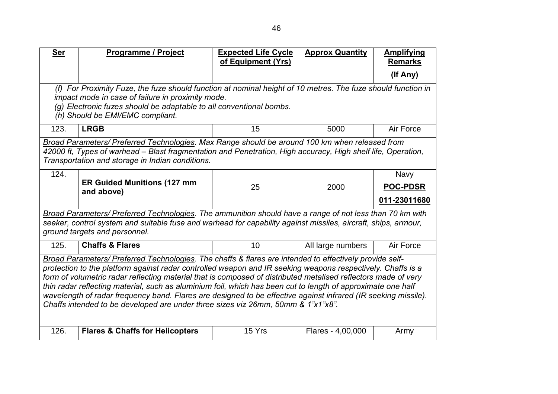| <b>Ser</b>                                                                                                                                                                                                                     | <b>Programme / Project</b>                                                                                                                                        | <b>Expected Life Cycle</b><br>of Equipment (Yrs) | <b>Approx Quantity</b> | <b>Amplifying</b><br><b>Remarks</b> |  |  |  |  |
|--------------------------------------------------------------------------------------------------------------------------------------------------------------------------------------------------------------------------------|-------------------------------------------------------------------------------------------------------------------------------------------------------------------|--------------------------------------------------|------------------------|-------------------------------------|--|--|--|--|
|                                                                                                                                                                                                                                |                                                                                                                                                                   |                                                  |                        | (If Any)                            |  |  |  |  |
|                                                                                                                                                                                                                                | (f) For Proximity Fuze, the fuze should function at nominal height of 10 metres. The fuze should function in<br>impact mode in case of failure in proximity mode. |                                                  |                        |                                     |  |  |  |  |
|                                                                                                                                                                                                                                | (g) Electronic fuzes should be adaptable to all conventional bombs.                                                                                               |                                                  |                        |                                     |  |  |  |  |
|                                                                                                                                                                                                                                | (h) Should be EMI/EMC compliant.                                                                                                                                  |                                                  |                        |                                     |  |  |  |  |
| 123.                                                                                                                                                                                                                           | <b>LRGB</b>                                                                                                                                                       | 15                                               | 5000                   | Air Force                           |  |  |  |  |
|                                                                                                                                                                                                                                | Broad Parameters/ Preferred Technologies. Max Range should be around 100 km when released from                                                                    |                                                  |                        |                                     |  |  |  |  |
|                                                                                                                                                                                                                                | 42000 ft, Types of warhead – Blast fragmentation and Penetration, High accuracy, High shelf life, Operation,                                                      |                                                  |                        |                                     |  |  |  |  |
|                                                                                                                                                                                                                                | Transportation and storage in Indian conditions.                                                                                                                  |                                                  |                        |                                     |  |  |  |  |
| 124.                                                                                                                                                                                                                           | <b>ER Guided Munitions (127 mm</b>                                                                                                                                |                                                  |                        | <b>Navy</b>                         |  |  |  |  |
|                                                                                                                                                                                                                                | and above)                                                                                                                                                        | 25                                               | 2000                   | <b>POC-PDSR</b>                     |  |  |  |  |
|                                                                                                                                                                                                                                |                                                                                                                                                                   |                                                  |                        | 011-23011680                        |  |  |  |  |
|                                                                                                                                                                                                                                | Broad Parameters/ Preferred Technologies. The ammunition should have a range of not less than 70 km with                                                          |                                                  |                        |                                     |  |  |  |  |
|                                                                                                                                                                                                                                | seeker, control system and suitable fuse and warhead for capability against missiles, aircraft, ships, armour,<br>ground targets and personnel.                   |                                                  |                        |                                     |  |  |  |  |
| 125.                                                                                                                                                                                                                           | <b>Chaffs &amp; Flares</b>                                                                                                                                        | 10                                               | All large numbers      | Air Force                           |  |  |  |  |
|                                                                                                                                                                                                                                | Broad Parameters/ Preferred Technologies. The chaffs & flares are intended to effectively provide self-                                                           |                                                  |                        |                                     |  |  |  |  |
| protection to the platform against radar controlled weapon and IR seeking weapons respectively. Chaffs is a                                                                                                                    |                                                                                                                                                                   |                                                  |                        |                                     |  |  |  |  |
| form of volumetric radar reflecting material that is composed of distributed metalised reflectors made of very<br>thin radar reflecting material, such as aluminium foil, which has been cut to length of approximate one half |                                                                                                                                                                   |                                                  |                        |                                     |  |  |  |  |
| wavelength of radar frequency band. Flares are designed to be effective against infrared (IR seeking missile).                                                                                                                 |                                                                                                                                                                   |                                                  |                        |                                     |  |  |  |  |
| Chaffs intended to be developed are under three sizes viz 26mm, 50mm & 1"x1"x8".                                                                                                                                               |                                                                                                                                                                   |                                                  |                        |                                     |  |  |  |  |
|                                                                                                                                                                                                                                |                                                                                                                                                                   |                                                  |                        |                                     |  |  |  |  |
| 126.                                                                                                                                                                                                                           | <b>Flares &amp; Chaffs for Helicopters</b>                                                                                                                        | 15 Yrs                                           | Flares - 4,00,000      | Army                                |  |  |  |  |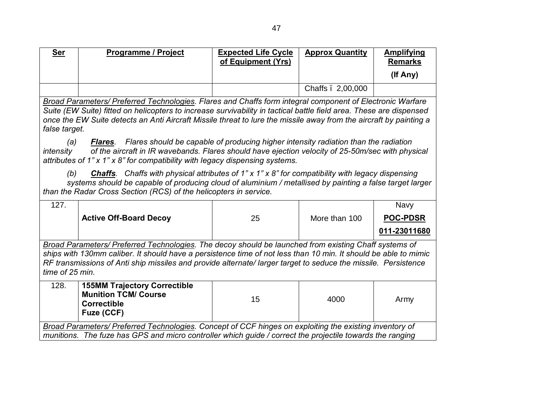| <b>Ser</b>                                                                                                                                                                                                                                                                                                                                                                                                                                                                                                                                                                                                | <b>Programme / Project</b>                                                                                                                                                                                                                                                                                                                                                         | <b>Expected Life Cycle</b><br>of Equipment (Yrs) | <b>Approx Quantity</b> | <b>Amplifying</b><br><b>Remarks</b> |  |
|-----------------------------------------------------------------------------------------------------------------------------------------------------------------------------------------------------------------------------------------------------------------------------------------------------------------------------------------------------------------------------------------------------------------------------------------------------------------------------------------------------------------------------------------------------------------------------------------------------------|------------------------------------------------------------------------------------------------------------------------------------------------------------------------------------------------------------------------------------------------------------------------------------------------------------------------------------------------------------------------------------|--------------------------------------------------|------------------------|-------------------------------------|--|
|                                                                                                                                                                                                                                                                                                                                                                                                                                                                                                                                                                                                           |                                                                                                                                                                                                                                                                                                                                                                                    |                                                  |                        | (If Any)                            |  |
|                                                                                                                                                                                                                                                                                                                                                                                                                                                                                                                                                                                                           |                                                                                                                                                                                                                                                                                                                                                                                    |                                                  | Chaffs . 2,00,000      |                                     |  |
| Broad Parameters/ Preferred Technologies. Flares and Chaffs form integral component of Electronic Warfare<br>Suite (EW Suite) fitted on helicopters to increase survivability in tactical battle field area. These are dispensed<br>once the EW Suite detects an Anti Aircraft Missile threat to lure the missile away from the aircraft by painting a<br>false target.<br>Flares should be capable of producing higher intensity radiation than the radiation<br>(a)<br><b>Flares.</b><br>of the aircraft in IR wavebands. Flares should have ejection velocity of 25-50m/sec with physical<br>intensity |                                                                                                                                                                                                                                                                                                                                                                                    |                                                  |                        |                                     |  |
| (b)                                                                                                                                                                                                                                                                                                                                                                                                                                                                                                                                                                                                       | attributes of 1" x 1" x 8" for compatibility with legacy dispensing systems.<br><b>Chaffs</b> . Chaffs with physical attributes of $1$ " x $1$ " x $8$ " for compatibility with legacy dispensing<br>systems should be capable of producing cloud of aluminium / metallised by painting a false target larger<br>than the Radar Cross Section (RCS) of the helicopters in service. |                                                  |                        |                                     |  |
| 127.                                                                                                                                                                                                                                                                                                                                                                                                                                                                                                                                                                                                      | <b>Active Off-Board Decoy</b>                                                                                                                                                                                                                                                                                                                                                      | 25                                               | More than 100          | <b>Navy</b><br><b>POC-PDSR</b>      |  |
| 011-23011680<br>Broad Parameters/ Preferred Technologies. The decoy should be launched from existing Chaff systems of<br>ships with 130mm caliber. It should have a persistence time of not less than 10 min. It should be able to mimic<br>RF transmissions of Anti ship missiles and provide alternate/larger target to seduce the missile. Persistence<br>time of 25 min.                                                                                                                                                                                                                              |                                                                                                                                                                                                                                                                                                                                                                                    |                                                  |                        |                                     |  |
| 128.                                                                                                                                                                                                                                                                                                                                                                                                                                                                                                                                                                                                      | <b>155MM Trajectory Correctible</b><br><b>Munition TCM/ Course</b><br><b>Correctible</b><br>Fuze (CCF)                                                                                                                                                                                                                                                                             | 15                                               | 4000                   | Army                                |  |
|                                                                                                                                                                                                                                                                                                                                                                                                                                                                                                                                                                                                           | Broad Parameters/ Preferred Technologies. Concept of CCF hinges on exploiting the existing inventory of<br>munitions. The fuze has GPS and micro controller which guide / correct the projectile towards the ranging                                                                                                                                                               |                                                  |                        |                                     |  |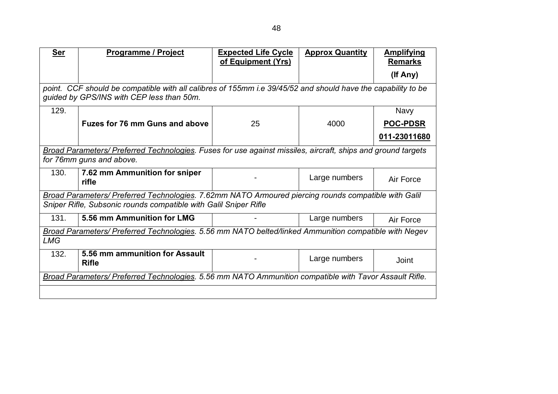| <b>Ser</b> | <b>Programme / Project</b>                                                                                                                                | <b>Expected Life Cycle</b><br>of Equipment (Yrs) | <b>Approx Quantity</b> | <b>Amplifying</b><br><b>Remarks</b> |  |  |  |
|------------|-----------------------------------------------------------------------------------------------------------------------------------------------------------|--------------------------------------------------|------------------------|-------------------------------------|--|--|--|
|            |                                                                                                                                                           |                                                  |                        | (If Any)                            |  |  |  |
|            | point. CCF should be compatible with all calibres of 155mm i.e 39/45/52 and should have the capability to be<br>guided by GPS/INS with CEP less than 50m. |                                                  |                        |                                     |  |  |  |
| 129.       |                                                                                                                                                           |                                                  |                        | <b>Navy</b>                         |  |  |  |
|            | <b>Fuzes for 76 mm Guns and above</b>                                                                                                                     | 25                                               | 4000                   | <b>POC-PDSR</b>                     |  |  |  |
|            |                                                                                                                                                           |                                                  |                        | 011-23011680                        |  |  |  |
|            | Broad Parameters/ Preferred Technologies. Fuses for use against missiles, aircraft, ships and ground targets                                              |                                                  |                        |                                     |  |  |  |
|            | for 76mm guns and above.                                                                                                                                  |                                                  |                        |                                     |  |  |  |
| 130.       | 7.62 mm Ammunition for sniper<br>rifle                                                                                                                    |                                                  | Large numbers          | Air Force                           |  |  |  |
|            | Broad Parameters/ Preferred Technologies. 7.62mm NATO Armoured piercing rounds compatible with Galil                                                      |                                                  |                        |                                     |  |  |  |
|            | Sniper Rifle, Subsonic rounds compatible with Galil Sniper Rifle                                                                                          |                                                  |                        |                                     |  |  |  |
| 131.       | 5.56 mm Ammunition for LMG                                                                                                                                |                                                  | Large numbers          | Air Force                           |  |  |  |
|            | Broad Parameters/ Preferred Technologies. 5.56 mm NATO belted/linked Ammunition compatible with Negev                                                     |                                                  |                        |                                     |  |  |  |
| <b>LMG</b> |                                                                                                                                                           |                                                  |                        |                                     |  |  |  |
| 132.       | 5.56 mm ammunition for Assault<br><b>Rifle</b>                                                                                                            |                                                  | Large numbers          | Joint                               |  |  |  |
|            | Broad Parameters/ Preferred Technologies. 5.56 mm NATO Ammunition compatible with Tavor Assault Rifle.                                                    |                                                  |                        |                                     |  |  |  |
|            |                                                                                                                                                           |                                                  |                        |                                     |  |  |  |
|            |                                                                                                                                                           |                                                  |                        |                                     |  |  |  |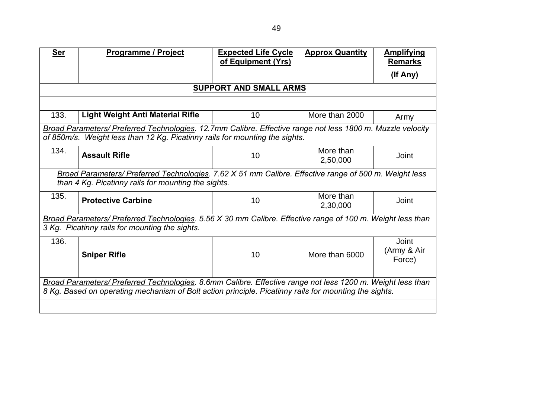| <b>Ser</b>                                                                                                 | <b>Programme / Project</b>                                                                                 | <b>Expected Life Cycle</b><br>of Equipment (Yrs) | <b>Approx Quantity</b> | <b>Amplifying</b><br><b>Remarks</b> |  |  |  |
|------------------------------------------------------------------------------------------------------------|------------------------------------------------------------------------------------------------------------|--------------------------------------------------|------------------------|-------------------------------------|--|--|--|
|                                                                                                            |                                                                                                            |                                                  |                        | (If Any)                            |  |  |  |
|                                                                                                            | <b>SUPPORT AND SMALL ARMS</b>                                                                              |                                                  |                        |                                     |  |  |  |
|                                                                                                            |                                                                                                            |                                                  |                        |                                     |  |  |  |
| 133.                                                                                                       | Light Weight Anti Material Rifle                                                                           | 10                                               | More than 2000         | Army                                |  |  |  |
|                                                                                                            | Broad Parameters/ Preferred Technologies. 12.7mm Calibre. Effective range not less 1800 m. Muzzle velocity |                                                  |                        |                                     |  |  |  |
|                                                                                                            | of 850m/s. Weight less than 12 Kg. Picatinny rails for mounting the sights.                                |                                                  |                        |                                     |  |  |  |
| 134.                                                                                                       | <b>Assault Rifle</b>                                                                                       | 10                                               | More than<br>2,50,000  | Joint                               |  |  |  |
|                                                                                                            | Broad Parameters/ Preferred Technologies. 7.62 X 51 mm Calibre. Effective range of 500 m. Weight less      |                                                  |                        |                                     |  |  |  |
|                                                                                                            | than 4 Kg. Picatinny rails for mounting the sights.                                                        |                                                  |                        |                                     |  |  |  |
| 135.                                                                                                       | <b>Protective Carbine</b>                                                                                  | 10                                               | More than<br>2,30,000  | Joint                               |  |  |  |
|                                                                                                            | Broad Parameters/ Preferred Technologies. 5.56 X 30 mm Calibre. Effective range of 100 m. Weight less than |                                                  |                        |                                     |  |  |  |
|                                                                                                            | 3 Kg. Picatinny rails for mounting the sights.                                                             |                                                  |                        |                                     |  |  |  |
| 136.                                                                                                       | <b>Sniper Rifle</b>                                                                                        | 10                                               | More than 6000         | Joint<br>(Army & Air<br>Force)      |  |  |  |
| Broad Parameters/ Preferred Technologies. 8.6mm Calibre. Effective range not less 1200 m. Weight less than |                                                                                                            |                                                  |                        |                                     |  |  |  |
|                                                                                                            | 8 Kg. Based on operating mechanism of Bolt action principle. Picatinny rails for mounting the sights.      |                                                  |                        |                                     |  |  |  |
|                                                                                                            |                                                                                                            |                                                  |                        |                                     |  |  |  |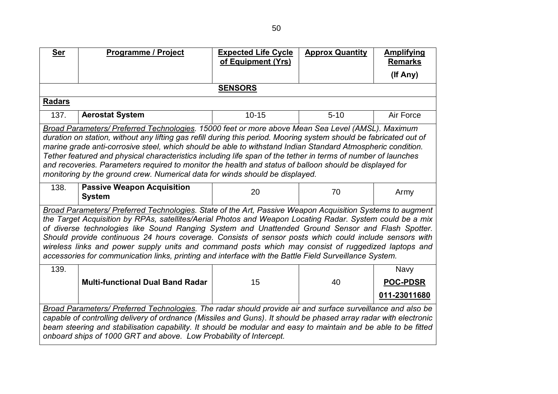| <b>Ser</b>                                                                                                                                                                                                                                                                                                                                                                                                                                                                                                                                                                                                                                             | <b>Programme / Project</b>              | <b>Expected Life Cycle</b><br>of Equipment (Yrs) | <b>Approx Quantity</b> | <b>Amplifying</b><br><b>Remarks</b> |  |  |  |
|--------------------------------------------------------------------------------------------------------------------------------------------------------------------------------------------------------------------------------------------------------------------------------------------------------------------------------------------------------------------------------------------------------------------------------------------------------------------------------------------------------------------------------------------------------------------------------------------------------------------------------------------------------|-----------------------------------------|--------------------------------------------------|------------------------|-------------------------------------|--|--|--|
|                                                                                                                                                                                                                                                                                                                                                                                                                                                                                                                                                                                                                                                        |                                         |                                                  |                        | (If Any)                            |  |  |  |
|                                                                                                                                                                                                                                                                                                                                                                                                                                                                                                                                                                                                                                                        | <b>SENSORS</b>                          |                                                  |                        |                                     |  |  |  |
| <b>Radars</b>                                                                                                                                                                                                                                                                                                                                                                                                                                                                                                                                                                                                                                          |                                         |                                                  |                        |                                     |  |  |  |
| 137.                                                                                                                                                                                                                                                                                                                                                                                                                                                                                                                                                                                                                                                   | <b>Aerostat System</b>                  | $10 - 15$                                        | $5 - 10$               | Air Force                           |  |  |  |
| Broad Parameters/ Preferred Technologies. 15000 feet or more above Mean Sea Level (AMSL). Maximum<br>duration on station, without any lifting gas refill during this period. Mooring system should be fabricated out of<br>marine grade anti-corrosive steel, which should be able to withstand Indian Standard Atmospheric condition.<br>Tether featured and physical characteristics including life span of the tether in terms of number of launches<br>and recoveries. Parameters required to monitor the health and status of balloon should be displayed for<br>monitoring by the ground crew. Numerical data for winds should be displayed.     |                                         |                                                  |                        |                                     |  |  |  |
| 138.<br><b>Passive Weapon Acquisition</b><br><b>System</b>                                                                                                                                                                                                                                                                                                                                                                                                                                                                                                                                                                                             |                                         | 20                                               | 70                     | Army                                |  |  |  |
| Broad Parameters/ Preferred Technologies. State of the Art, Passive Weapon Acquisition Systems to augment<br>the Target Acquisition by RPAs, satellites/Aerial Photos and Weapon Locating Radar. System could be a mix<br>of diverse technologies like Sound Ranging System and Unattended Ground Sensor and Flash Spotter.<br>Should provide continuous 24 hours coverage. Consists of sensor posts which could include sensors with<br>wireless links and power supply units and command posts which may consist of ruggedized laptops and<br>accessories for communication links, printing and interface with the Battle Field Surveillance System. |                                         |                                                  |                        |                                     |  |  |  |
| 139.                                                                                                                                                                                                                                                                                                                                                                                                                                                                                                                                                                                                                                                   |                                         |                                                  |                        | <b>Navy</b>                         |  |  |  |
|                                                                                                                                                                                                                                                                                                                                                                                                                                                                                                                                                                                                                                                        | <b>Multi-functional Dual Band Radar</b> | 15                                               | 40                     | <b>POC-PDSR</b>                     |  |  |  |
|                                                                                                                                                                                                                                                                                                                                                                                                                                                                                                                                                                                                                                                        |                                         |                                                  |                        | 011-23011680                        |  |  |  |
| Broad Parameters/ Preferred Technologies. The radar should provide air and surface surveillance and also be<br>capable of controlling delivery of ordnance (Missiles and Guns). It should be phased array radar with electronic<br>beam steering and stabilisation capability. It should be modular and easy to maintain and be able to be fitted<br>onboard ships of 1000 GRT and above. Low Probability of Intercept.                                                                                                                                                                                                                                |                                         |                                                  |                        |                                     |  |  |  |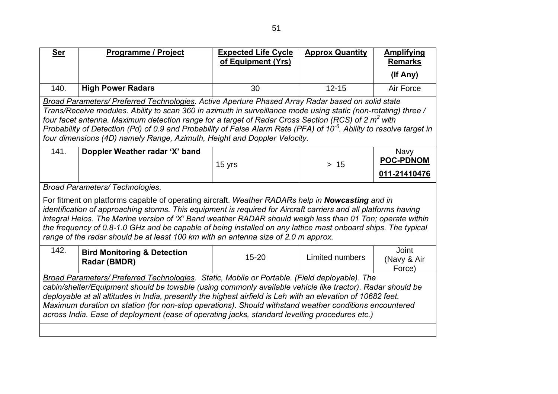| <b>Ser</b>                                                                                                                                                                                                                                                                                                                                                                                                                                                                                                                                             | <b>Programme / Project</b>                                                                                                                                                                                                                                                                                                                                                                                                                                                                                                               | <b>Expected Life Cycle</b><br>of Equipment (Yrs) | <b>Approx Quantity</b> | <b>Amplifying</b><br><b>Remarks</b>      |  |
|--------------------------------------------------------------------------------------------------------------------------------------------------------------------------------------------------------------------------------------------------------------------------------------------------------------------------------------------------------------------------------------------------------------------------------------------------------------------------------------------------------------------------------------------------------|------------------------------------------------------------------------------------------------------------------------------------------------------------------------------------------------------------------------------------------------------------------------------------------------------------------------------------------------------------------------------------------------------------------------------------------------------------------------------------------------------------------------------------------|--------------------------------------------------|------------------------|------------------------------------------|--|
|                                                                                                                                                                                                                                                                                                                                                                                                                                                                                                                                                        |                                                                                                                                                                                                                                                                                                                                                                                                                                                                                                                                          |                                                  |                        | (If Any)                                 |  |
| 140.                                                                                                                                                                                                                                                                                                                                                                                                                                                                                                                                                   | <b>High Power Radars</b>                                                                                                                                                                                                                                                                                                                                                                                                                                                                                                                 | 30                                               | $12 - 15$              | Air Force                                |  |
| Broad Parameters/ Preferred Technologies. Active Aperture Phased Array Radar based on solid state<br>Trans/Receive modules. Ability to scan 360 in azimuth in surveillance mode using static (non-rotating) three /<br>four facet antenna. Maximum detection range for a target of Radar Cross Section (RCS) of 2 m <sup>2</sup> with<br>Probability of Detection (Pd) of 0.9 and Probability of False Alarm Rate (PFA) of 10 <sup>-6</sup> . Ability to resolve target in<br>four dimensions (4D) namely Range, Azimuth, Height and Doppler Velocity. |                                                                                                                                                                                                                                                                                                                                                                                                                                                                                                                                          |                                                  |                        |                                          |  |
| 141.                                                                                                                                                                                                                                                                                                                                                                                                                                                                                                                                                   | Doppler Weather radar 'X' band                                                                                                                                                                                                                                                                                                                                                                                                                                                                                                           | 15 yrs                                           | $>15$                  | Navy<br><b>POC-PDNOM</b><br>011-21410476 |  |
|                                                                                                                                                                                                                                                                                                                                                                                                                                                                                                                                                        | <b>Broad Parameters/ Technologies.</b>                                                                                                                                                                                                                                                                                                                                                                                                                                                                                                   |                                                  |                        |                                          |  |
|                                                                                                                                                                                                                                                                                                                                                                                                                                                                                                                                                        | For fitment on platforms capable of operating aircraft. Weather RADARs help in Nowcasting and in<br>identification of approaching storms. This equipment is required for Aircraft carriers and all platforms having<br>integral Helos. The Marine version of 'X' Band weather RADAR should weigh less than 01 Ton; operate within<br>the frequency of 0.8-1.0 GHz and be capable of being installed on any lattice mast onboard ships. The typical<br>range of the radar should be at least 100 km with an antenna size of 2.0 m approx. |                                                  |                        |                                          |  |
| 142.                                                                                                                                                                                                                                                                                                                                                                                                                                                                                                                                                   | <b>Bird Monitoring &amp; Detection</b><br>Radar (BMDR)                                                                                                                                                                                                                                                                                                                                                                                                                                                                                   | $15 - 20$                                        | Limited numbers        | <b>Joint</b><br>(Navy & Air<br>Force)    |  |
| Broad Parameters/ Preferred Technologies. Static, Mobile or Portable. (Field deployable). The<br>cabin/shelter/Equipment should be towable (using commonly available vehicle like tractor). Radar should be<br>deployable at all altitudes in India, presently the highest airfield is Leh with an elevation of 10682 feet.<br>Maximum duration on station (for non-stop operations). Should withstand weather conditions encountered<br>across India. Ease of deployment (ease of operating jacks, standard levelling procedures etc.)                |                                                                                                                                                                                                                                                                                                                                                                                                                                                                                                                                          |                                                  |                        |                                          |  |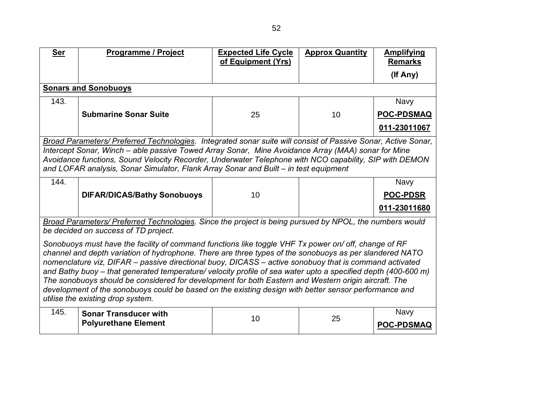| <b>Ser</b>                                                                                                                                                                                                                                                                                                                                                                                                                                                                                                                                                                                                                                                                                       | <b>Programme / Project</b>                                                                                                                      | <b>Expected Life Cycle</b><br>of Equipment (Yrs) | <b>Approx Quantity</b> | <b>Amplifying</b><br><b>Remarks</b> |  |
|--------------------------------------------------------------------------------------------------------------------------------------------------------------------------------------------------------------------------------------------------------------------------------------------------------------------------------------------------------------------------------------------------------------------------------------------------------------------------------------------------------------------------------------------------------------------------------------------------------------------------------------------------------------------------------------------------|-------------------------------------------------------------------------------------------------------------------------------------------------|--------------------------------------------------|------------------------|-------------------------------------|--|
|                                                                                                                                                                                                                                                                                                                                                                                                                                                                                                                                                                                                                                                                                                  |                                                                                                                                                 |                                                  |                        | (If Any)                            |  |
| <b>Sonars and Sonobuoys</b>                                                                                                                                                                                                                                                                                                                                                                                                                                                                                                                                                                                                                                                                      |                                                                                                                                                 |                                                  |                        |                                     |  |
| 143.                                                                                                                                                                                                                                                                                                                                                                                                                                                                                                                                                                                                                                                                                             |                                                                                                                                                 |                                                  |                        | <b>Navy</b>                         |  |
|                                                                                                                                                                                                                                                                                                                                                                                                                                                                                                                                                                                                                                                                                                  | <b>Submarine Sonar Suite</b>                                                                                                                    | 25                                               | 10                     | <b>POC-PDSMAQ</b>                   |  |
|                                                                                                                                                                                                                                                                                                                                                                                                                                                                                                                                                                                                                                                                                                  |                                                                                                                                                 |                                                  |                        | 011-23011067                        |  |
| Broad Parameters/ Preferred Technologies. Integrated sonar suite will consist of Passive Sonar, Active Sonar,<br>Intercept Sonar, Winch – able passive Towed Array Sonar, Mine Avoidance Array (MAA) sonar for Mine<br>Avoidance functions, Sound Velocity Recorder, Underwater Telephone with NCO capability, SIP with DEMON<br>and LOFAR analysis, Sonar Simulator, Flank Array Sonar and Built – in test equipment                                                                                                                                                                                                                                                                            |                                                                                                                                                 |                                                  |                        |                                     |  |
| 144.                                                                                                                                                                                                                                                                                                                                                                                                                                                                                                                                                                                                                                                                                             |                                                                                                                                                 |                                                  |                        | <b>Navy</b>                         |  |
|                                                                                                                                                                                                                                                                                                                                                                                                                                                                                                                                                                                                                                                                                                  | <b>DIFAR/DICAS/Bathy Sonobuoys</b>                                                                                                              | 10                                               |                        | <b>POC-PDSR</b>                     |  |
|                                                                                                                                                                                                                                                                                                                                                                                                                                                                                                                                                                                                                                                                                                  |                                                                                                                                                 |                                                  |                        | 011-23011680                        |  |
|                                                                                                                                                                                                                                                                                                                                                                                                                                                                                                                                                                                                                                                                                                  | Broad Parameters/ Preferred Technologies. Since the project is being pursued by NPOL, the numbers would<br>be decided on success of TD project. |                                                  |                        |                                     |  |
| Sonobuoys must have the facility of command functions like toggle VHF Tx power on/ off, change of RF<br>channel and depth variation of hydrophone. There are three types of the sonobuoys as per slandered NATO<br>nomenclature viz, DIFAR – passive directional buoy, DICASS – active sonobuoy that is command activated<br>and Bathy buoy – that generated temperature/ velocity profile of sea water upto a specified depth (400-600 m)<br>The sonobuoys should be considered for development for both Eastern and Western origin aircraft. The<br>development of the sonobuoys could be based on the existing design with better sensor performance and<br>utilise the existing drop system. |                                                                                                                                                 |                                                  |                        |                                     |  |
| 145.                                                                                                                                                                                                                                                                                                                                                                                                                                                                                                                                                                                                                                                                                             | <b>Sonar Transducer with</b><br><b>Polyurethane Element</b>                                                                                     | 10                                               | 25                     | <b>Navy</b><br><b>POC-PDSMAQ</b>    |  |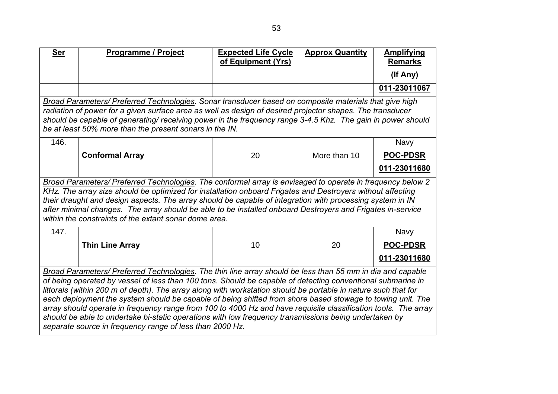| <b>Ser</b>                                                                                                                                                                                                                                                                                                                                                                                                                                                                                                                                                                                                                                                                                                                                       | <b>Programme / Project</b>                                                                                                                                                                                                                                                                                                                                                                                                                                                                                   | <b>Expected Life Cycle</b><br>of Equipment (Yrs) | <b>Approx Quantity</b> | <b>Amplifying</b><br><b>Remarks</b> |  |  |
|--------------------------------------------------------------------------------------------------------------------------------------------------------------------------------------------------------------------------------------------------------------------------------------------------------------------------------------------------------------------------------------------------------------------------------------------------------------------------------------------------------------------------------------------------------------------------------------------------------------------------------------------------------------------------------------------------------------------------------------------------|--------------------------------------------------------------------------------------------------------------------------------------------------------------------------------------------------------------------------------------------------------------------------------------------------------------------------------------------------------------------------------------------------------------------------------------------------------------------------------------------------------------|--------------------------------------------------|------------------------|-------------------------------------|--|--|
|                                                                                                                                                                                                                                                                                                                                                                                                                                                                                                                                                                                                                                                                                                                                                  |                                                                                                                                                                                                                                                                                                                                                                                                                                                                                                              |                                                  |                        | (If Any)                            |  |  |
|                                                                                                                                                                                                                                                                                                                                                                                                                                                                                                                                                                                                                                                                                                                                                  |                                                                                                                                                                                                                                                                                                                                                                                                                                                                                                              |                                                  |                        | 011-23011067                        |  |  |
|                                                                                                                                                                                                                                                                                                                                                                                                                                                                                                                                                                                                                                                                                                                                                  | Broad Parameters/ Preferred Technologies. Sonar transducer based on composite materials that give high<br>radiation of power for a given surface area as well as design of desired projector shapes. The transducer<br>should be capable of generating/ receiving power in the frequency range 3-4.5 Khz. The gain in power should<br>be at least 50% more than the present sonars in the IN.                                                                                                                |                                                  |                        |                                     |  |  |
| 146.                                                                                                                                                                                                                                                                                                                                                                                                                                                                                                                                                                                                                                                                                                                                             |                                                                                                                                                                                                                                                                                                                                                                                                                                                                                                              |                                                  |                        | <b>Navy</b>                         |  |  |
|                                                                                                                                                                                                                                                                                                                                                                                                                                                                                                                                                                                                                                                                                                                                                  | <b>Conformal Array</b>                                                                                                                                                                                                                                                                                                                                                                                                                                                                                       | 20                                               | More than 10           | <b>POC-PDSR</b>                     |  |  |
|                                                                                                                                                                                                                                                                                                                                                                                                                                                                                                                                                                                                                                                                                                                                                  |                                                                                                                                                                                                                                                                                                                                                                                                                                                                                                              |                                                  |                        | 011-23011680                        |  |  |
|                                                                                                                                                                                                                                                                                                                                                                                                                                                                                                                                                                                                                                                                                                                                                  | Broad Parameters/ Preferred Technologies. The conformal array is envisaged to operate in frequency below 2<br>KHz. The array size should be optimized for installation onboard Frigates and Destroyers without affecting<br>their draught and design aspects. The array should be capable of integration with processing system in IN<br>after minimal changes. The array should be able to be installed onboard Destroyers and Frigates in-service<br>within the constraints of the extant sonar dome area. |                                                  |                        |                                     |  |  |
| 147.                                                                                                                                                                                                                                                                                                                                                                                                                                                                                                                                                                                                                                                                                                                                             |                                                                                                                                                                                                                                                                                                                                                                                                                                                                                                              |                                                  |                        | <b>Navy</b>                         |  |  |
|                                                                                                                                                                                                                                                                                                                                                                                                                                                                                                                                                                                                                                                                                                                                                  | <b>Thin Line Array</b>                                                                                                                                                                                                                                                                                                                                                                                                                                                                                       | 10                                               | 20                     | <b>POC-PDSR</b>                     |  |  |
|                                                                                                                                                                                                                                                                                                                                                                                                                                                                                                                                                                                                                                                                                                                                                  |                                                                                                                                                                                                                                                                                                                                                                                                                                                                                                              |                                                  |                        | 011-23011680                        |  |  |
| Broad Parameters/ Preferred Technologies. The thin line array should be less than 55 mm in dia and capable<br>of being operated by vessel of less than 100 tons. Should be capable of detecting conventional submarine in<br>littorals (within 200 m of depth). The array along with workstation should be portable in nature such that for<br>each deployment the system should be capable of being shifted from shore based stowage to towing unit. The<br>array should operate in frequency range from 100 to 4000 Hz and have requisite classification tools. The array<br>should be able to undertake bi-static operations with low frequency transmissions being undertaken by<br>separate source in frequency range of less than 2000 Hz. |                                                                                                                                                                                                                                                                                                                                                                                                                                                                                                              |                                                  |                        |                                     |  |  |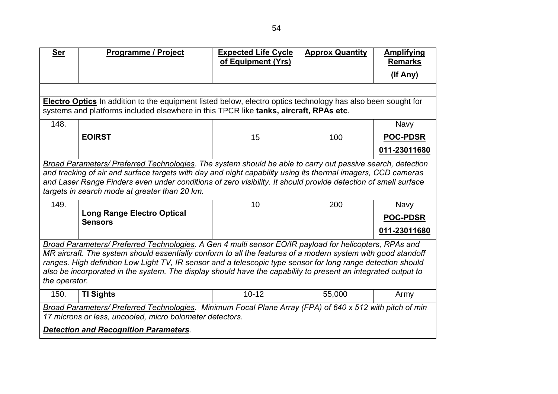| <b>Ser</b>                                                                                                                                                                                                                                                                                                                                                                                                                                                               | Programme / Project                                                                                                                                                                                                                                                                                                                                                                           | <b>Expected Life Cycle</b><br>of Equipment (Yrs) | <b>Approx Quantity</b> | <b>Amplifying</b><br><b>Remarks</b> |  |  |  |
|--------------------------------------------------------------------------------------------------------------------------------------------------------------------------------------------------------------------------------------------------------------------------------------------------------------------------------------------------------------------------------------------------------------------------------------------------------------------------|-----------------------------------------------------------------------------------------------------------------------------------------------------------------------------------------------------------------------------------------------------------------------------------------------------------------------------------------------------------------------------------------------|--------------------------------------------------|------------------------|-------------------------------------|--|--|--|
|                                                                                                                                                                                                                                                                                                                                                                                                                                                                          |                                                                                                                                                                                                                                                                                                                                                                                               |                                                  |                        | (If Any)                            |  |  |  |
|                                                                                                                                                                                                                                                                                                                                                                                                                                                                          |                                                                                                                                                                                                                                                                                                                                                                                               |                                                  |                        |                                     |  |  |  |
|                                                                                                                                                                                                                                                                                                                                                                                                                                                                          | <b>Electro Optics</b> In addition to the equipment listed below, electro optics technology has also been sought for<br>systems and platforms included elsewhere in this TPCR like tanks, aircraft, RPAs etc.                                                                                                                                                                                  |                                                  |                        |                                     |  |  |  |
| 148.                                                                                                                                                                                                                                                                                                                                                                                                                                                                     |                                                                                                                                                                                                                                                                                                                                                                                               |                                                  |                        | <b>Navy</b>                         |  |  |  |
|                                                                                                                                                                                                                                                                                                                                                                                                                                                                          | <b>EOIRST</b>                                                                                                                                                                                                                                                                                                                                                                                 | 15                                               | 100                    | <b>POC-PDSR</b>                     |  |  |  |
|                                                                                                                                                                                                                                                                                                                                                                                                                                                                          |                                                                                                                                                                                                                                                                                                                                                                                               |                                                  |                        | 011-23011680                        |  |  |  |
|                                                                                                                                                                                                                                                                                                                                                                                                                                                                          | Broad Parameters/ Preferred Technologies. The system should be able to carry out passive search, detection<br>and tracking of air and surface targets with day and night capability using its thermal imagers, CCD cameras<br>and Laser Range Finders even under conditions of zero visibility. It should provide detection of small surface<br>targets in search mode at greater than 20 km. |                                                  |                        |                                     |  |  |  |
| 149.                                                                                                                                                                                                                                                                                                                                                                                                                                                                     |                                                                                                                                                                                                                                                                                                                                                                                               | 10                                               | 200                    | <b>Navy</b>                         |  |  |  |
|                                                                                                                                                                                                                                                                                                                                                                                                                                                                          | <b>Long Range Electro Optical</b><br><b>Sensors</b>                                                                                                                                                                                                                                                                                                                                           |                                                  |                        | <b>POC-PDSR</b>                     |  |  |  |
|                                                                                                                                                                                                                                                                                                                                                                                                                                                                          |                                                                                                                                                                                                                                                                                                                                                                                               |                                                  |                        | 011-23011680                        |  |  |  |
| Broad Parameters/ Preferred Technologies. A Gen 4 multi sensor EO/IR payload for helicopters, RPAs and<br>MR aircraft. The system should essentially conform to all the features of a modern system with good standoff<br>ranges. High definition Low Light TV, IR sensor and a telescopic type sensor for long range detection should<br>also be incorporated in the system. The display should have the capability to present an integrated output to<br>the operator. |                                                                                                                                                                                                                                                                                                                                                                                               |                                                  |                        |                                     |  |  |  |
| 150.                                                                                                                                                                                                                                                                                                                                                                                                                                                                     | <b>TI Sights</b>                                                                                                                                                                                                                                                                                                                                                                              | $10 - 12$                                        | 55,000                 | Army                                |  |  |  |
| Broad Parameters/ Preferred Technologies. Minimum Focal Plane Array (FPA) of 640 x 512 with pitch of min<br>17 microns or less, uncooled, micro bolometer detectors.                                                                                                                                                                                                                                                                                                     |                                                                                                                                                                                                                                                                                                                                                                                               |                                                  |                        |                                     |  |  |  |
|                                                                                                                                                                                                                                                                                                                                                                                                                                                                          | <b>Detection and Recognition Parameters.</b>                                                                                                                                                                                                                                                                                                                                                  |                                                  |                        |                                     |  |  |  |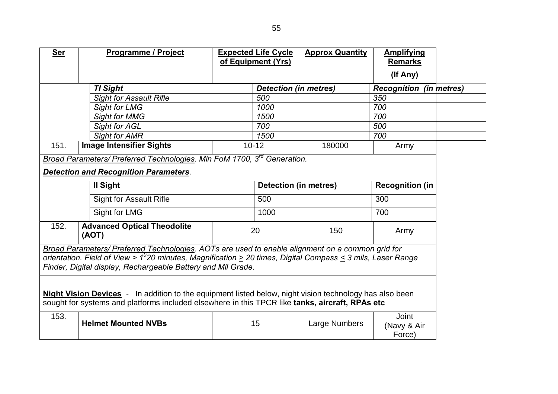| <b>Ser</b>                                                                                                                                                                                                                                                                                   | <b>Programme / Project</b>                  |  | <b>Expected Life Cycle</b><br>of Equipment (Yrs) | <b>Approx Quantity</b> | <b>Amplifying</b><br><b>Remarks</b><br>(If Any) |  |
|----------------------------------------------------------------------------------------------------------------------------------------------------------------------------------------------------------------------------------------------------------------------------------------------|---------------------------------------------|--|--------------------------------------------------|------------------------|-------------------------------------------------|--|
|                                                                                                                                                                                                                                                                                              | <b>TI Sight</b>                             |  | <b>Detection (in metres)</b>                     |                        | <b>Recognition (in metres)</b>                  |  |
|                                                                                                                                                                                                                                                                                              | <b>Sight for Assault Rifle</b>              |  | 500                                              |                        | 350                                             |  |
|                                                                                                                                                                                                                                                                                              | <b>Sight for LMG</b>                        |  | 1000                                             |                        | 700                                             |  |
|                                                                                                                                                                                                                                                                                              | <b>Sight for MMG</b>                        |  | 1500                                             |                        | 700                                             |  |
|                                                                                                                                                                                                                                                                                              | Sight for AGL                               |  | 700                                              |                        | 500                                             |  |
|                                                                                                                                                                                                                                                                                              | <b>Sight for AMR</b>                        |  | 1500                                             |                        | 700                                             |  |
| 151.                                                                                                                                                                                                                                                                                         | <b>Image Intensifier Sights</b>             |  | $10 - 12$                                        | 180000                 | Army                                            |  |
| Broad Parameters/ Preferred Technologies. Min FoM 1700, 3 <sup>rd</sup> Generation.<br><b>Detection and Recognition Parameters.</b>                                                                                                                                                          |                                             |  |                                                  |                        |                                                 |  |
|                                                                                                                                                                                                                                                                                              | II Sight                                    |  | <b>Detection (in metres)</b>                     |                        | <b>Recognition (in</b>                          |  |
|                                                                                                                                                                                                                                                                                              | <b>Sight for Assault Rifle</b>              |  | 500                                              |                        | 300                                             |  |
|                                                                                                                                                                                                                                                                                              | Sight for LMG                               |  | 1000                                             |                        | 700                                             |  |
| 152.                                                                                                                                                                                                                                                                                         | <b>Advanced Optical Theodolite</b><br>(AOT) |  | 20                                               | 150                    | Army                                            |  |
| Broad Parameters/ Preferred Technologies. AOTs are used to enable alignment on a common grid for<br>orientation. Field of View > $1^0$ 20 minutes, Magnification $\geq$ 20 times, Digital Compass $\leq$ 3 mils, Laser Range<br>Finder, Digital display, Rechargeable Battery and Mil Grade. |                                             |  |                                                  |                        |                                                 |  |
| Night Vision Devices - In addition to the equipment listed below, night vision technology has also been<br>sought for systems and platforms included elsewhere in this TPCR like tanks, aircraft, RPAs etc                                                                                   |                                             |  |                                                  |                        |                                                 |  |
| 153.                                                                                                                                                                                                                                                                                         | <b>Helmet Mounted NVBs</b>                  |  | 15                                               | Large Numbers          | <b>Joint</b><br>(Navy & Air<br>Force)           |  |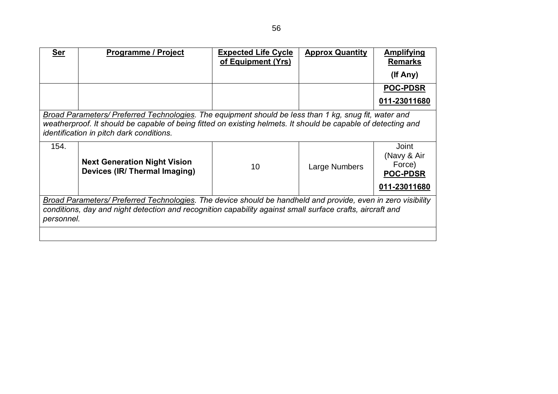| <b>Ser</b>                                                                                                                                                                                                                              | <b>Programme / Project</b>                                                                                                                                                                                                                                         | <b>Expected Life Cycle</b><br>of Equipment (Yrs) | <b>Approx Quantity</b> | <b>Amplifying</b><br><b>Remarks</b>                               |  |
|-----------------------------------------------------------------------------------------------------------------------------------------------------------------------------------------------------------------------------------------|--------------------------------------------------------------------------------------------------------------------------------------------------------------------------------------------------------------------------------------------------------------------|--------------------------------------------------|------------------------|-------------------------------------------------------------------|--|
|                                                                                                                                                                                                                                         |                                                                                                                                                                                                                                                                    |                                                  |                        | $($ lf Any $)$                                                    |  |
|                                                                                                                                                                                                                                         |                                                                                                                                                                                                                                                                    |                                                  |                        | <b>POC-PDSR</b>                                                   |  |
|                                                                                                                                                                                                                                         |                                                                                                                                                                                                                                                                    |                                                  |                        | 011-23011680                                                      |  |
|                                                                                                                                                                                                                                         | Broad Parameters/ Preferred Technologies. The equipment should be less than 1 kg, snug fit, water and<br>weatherproof. It should be capable of being fitted on existing helmets. It should be capable of detecting and<br>identification in pitch dark conditions. |                                                  |                        |                                                                   |  |
| 154.                                                                                                                                                                                                                                    | <b>Next Generation Night Vision</b><br>Devices (IR/ Thermal Imaging)                                                                                                                                                                                               | 10                                               | Large Numbers          | Joint<br>(Navy & Air<br>Force)<br><b>POC-PDSR</b><br>011-23011680 |  |
| Broad Parameters/ Preferred Technologies. The device should be handheld and provide, even in zero visibility<br>conditions, day and night detection and recognition capability against small surface crafts, aircraft and<br>personnel. |                                                                                                                                                                                                                                                                    |                                                  |                        |                                                                   |  |
|                                                                                                                                                                                                                                         |                                                                                                                                                                                                                                                                    |                                                  |                        |                                                                   |  |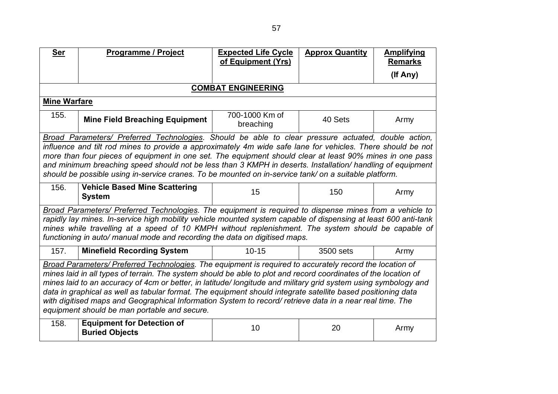| <b>Ser</b>                                                                                                                                                                                                                                                                                                                                                                                                                                                                                                                                                                                                                 | <b>Programme / Project</b>                                                                                                                                                                                                                                                                                                                                                                                      | <b>Expected Life Cycle</b><br>of Equipment (Yrs) | <b>Approx Quantity</b> | <b>Amplifying</b><br><b>Remarks</b> |  |
|----------------------------------------------------------------------------------------------------------------------------------------------------------------------------------------------------------------------------------------------------------------------------------------------------------------------------------------------------------------------------------------------------------------------------------------------------------------------------------------------------------------------------------------------------------------------------------------------------------------------------|-----------------------------------------------------------------------------------------------------------------------------------------------------------------------------------------------------------------------------------------------------------------------------------------------------------------------------------------------------------------------------------------------------------------|--------------------------------------------------|------------------------|-------------------------------------|--|
|                                                                                                                                                                                                                                                                                                                                                                                                                                                                                                                                                                                                                            |                                                                                                                                                                                                                                                                                                                                                                                                                 |                                                  |                        | (If Any)                            |  |
|                                                                                                                                                                                                                                                                                                                                                                                                                                                                                                                                                                                                                            |                                                                                                                                                                                                                                                                                                                                                                                                                 | <b>COMBAT ENGINEERING</b>                        |                        |                                     |  |
| <b>Mine Warfare</b>                                                                                                                                                                                                                                                                                                                                                                                                                                                                                                                                                                                                        |                                                                                                                                                                                                                                                                                                                                                                                                                 |                                                  |                        |                                     |  |
| 155.                                                                                                                                                                                                                                                                                                                                                                                                                                                                                                                                                                                                                       | <b>Mine Field Breaching Equipment</b>                                                                                                                                                                                                                                                                                                                                                                           | 700-1000 Km of<br>breaching                      | 40 Sets                | Army                                |  |
| Broad Parameters/ Preferred Technologies. Should be able to clear pressure actuated, double action,<br>influence and tilt rod mines to provide a approximately 4m wide safe lane for vehicles. There should be not<br>more than four pieces of equipment in one set. The equipment should clear at least 90% mines in one pass<br>and minimum breaching speed should not be less than 3 KMPH in deserts. Installation/ handling of equipment<br>should be possible using in-service cranes. To be mounted on in-service tank/ on a suitable platform.                                                                      |                                                                                                                                                                                                                                                                                                                                                                                                                 |                                                  |                        |                                     |  |
| 156.                                                                                                                                                                                                                                                                                                                                                                                                                                                                                                                                                                                                                       | <b>Vehicle Based Mine Scattering</b><br><b>System</b>                                                                                                                                                                                                                                                                                                                                                           | 15                                               | 150                    | Army                                |  |
|                                                                                                                                                                                                                                                                                                                                                                                                                                                                                                                                                                                                                            | Broad Parameters/ Preferred Technologies. The equipment is required to dispense mines from a vehicle to<br>rapidly lay mines. In-service high mobility vehicle mounted system capable of dispensing at least 600 anti-tank<br>mines while travelling at a speed of 10 KMPH without replenishment. The system should be capable of<br>functioning in auto/ manual mode and recording the data on digitised maps. |                                                  |                        |                                     |  |
| 157.                                                                                                                                                                                                                                                                                                                                                                                                                                                                                                                                                                                                                       | <b>Minefield Recording System</b>                                                                                                                                                                                                                                                                                                                                                                               | $10 - 15$                                        | 3500 sets              | Army                                |  |
| Broad Parameters/ Preferred Technologies. The equipment is required to accurately record the location of<br>mines laid in all types of terrain. The system should be able to plot and record coordinates of the location of<br>mines laid to an accuracy of 4cm or better, in latitude/longitude and military grid system using symbology and<br>data in graphical as well as tabular format. The equipment should integrate satellite based positioning data<br>with digitised maps and Geographical Information System to record/ retrieve data in a near real time. The<br>equipment should be man portable and secure. |                                                                                                                                                                                                                                                                                                                                                                                                                 |                                                  |                        |                                     |  |
| 158.                                                                                                                                                                                                                                                                                                                                                                                                                                                                                                                                                                                                                       | <b>Equipment for Detection of</b><br><b>Buried Objects</b>                                                                                                                                                                                                                                                                                                                                                      | 10                                               | 20                     | Army                                |  |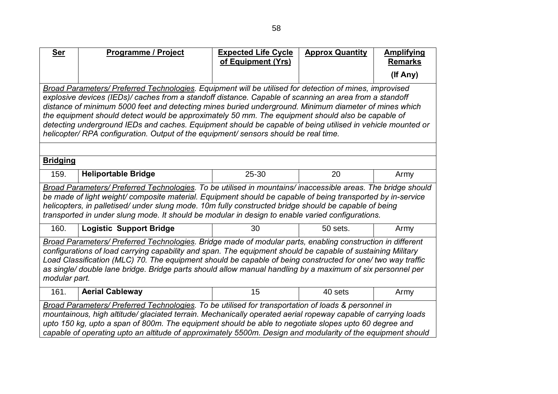| <b>Ser</b>                                                                                                                                                                                                                                                                                                                                                                                                                                                                                                                                                                                                                            | <b>Programme / Project</b>                                                                                                                                                                                                                                                                                                                                                                                                              | <b>Expected Life Cycle</b><br>of Equipment (Yrs) | <b>Approx Quantity</b> | <b>Amplifying</b><br><b>Remarks</b> |
|---------------------------------------------------------------------------------------------------------------------------------------------------------------------------------------------------------------------------------------------------------------------------------------------------------------------------------------------------------------------------------------------------------------------------------------------------------------------------------------------------------------------------------------------------------------------------------------------------------------------------------------|-----------------------------------------------------------------------------------------------------------------------------------------------------------------------------------------------------------------------------------------------------------------------------------------------------------------------------------------------------------------------------------------------------------------------------------------|--------------------------------------------------|------------------------|-------------------------------------|
|                                                                                                                                                                                                                                                                                                                                                                                                                                                                                                                                                                                                                                       |                                                                                                                                                                                                                                                                                                                                                                                                                                         |                                                  |                        | (If Any)                            |
| Broad Parameters/ Preferred Technologies. Equipment will be utilised for detection of mines, improvised<br>explosive devices (IEDs)/ caches from a standoff distance. Capable of scanning an area from a standoff<br>distance of minimum 5000 feet and detecting mines buried underground. Minimum diameter of mines which<br>the equipment should detect would be approximately 50 mm. The equipment should also be capable of<br>detecting underground IEDs and caches. Equipment should be capable of being utilised in vehicle mounted or<br>helicopter/ RPA configuration. Output of the equipment/ sensors should be real time. |                                                                                                                                                                                                                                                                                                                                                                                                                                         |                                                  |                        |                                     |
| <b>Bridging</b>                                                                                                                                                                                                                                                                                                                                                                                                                                                                                                                                                                                                                       |                                                                                                                                                                                                                                                                                                                                                                                                                                         |                                                  |                        |                                     |
| 159.                                                                                                                                                                                                                                                                                                                                                                                                                                                                                                                                                                                                                                  | <b>Heliportable Bridge</b>                                                                                                                                                                                                                                                                                                                                                                                                              | 25-30                                            | 20                     | Army                                |
|                                                                                                                                                                                                                                                                                                                                                                                                                                                                                                                                                                                                                                       | Broad Parameters/ Preferred Technologies. To be utilised in mountains/ inaccessible areas. The bridge should<br>be made of light weight/composite material. Equipment should be capable of being transported by in-service<br>helicopters, in palletised/ under slung mode. 10m fully constructed bridge should be capable of being<br>transported in under slung mode. It should be modular in design to enable varied configurations. |                                                  |                        |                                     |
| 160.                                                                                                                                                                                                                                                                                                                                                                                                                                                                                                                                                                                                                                  | <b>Logistic Support Bridge</b>                                                                                                                                                                                                                                                                                                                                                                                                          | 30                                               | 50 sets.               | Army                                |
| Broad Parameters/ Preferred Technologies. Bridge made of modular parts, enabling construction in different<br>configurations of load carrying capability and span. The equipment should be capable of sustaining Military<br>Load Classification (MLC) 70. The equipment should be capable of being constructed for one/ two way traffic<br>as single/ double lane bridge. Bridge parts should allow manual handling by a maximum of six personnel per<br>modular part.                                                                                                                                                               |                                                                                                                                                                                                                                                                                                                                                                                                                                         |                                                  |                        |                                     |
| 161.                                                                                                                                                                                                                                                                                                                                                                                                                                                                                                                                                                                                                                  | <b>Aerial Cableway</b>                                                                                                                                                                                                                                                                                                                                                                                                                  | 15                                               | 40 sets                | Army                                |
| Broad Parameters/ Preferred Technologies. To be utilised for transportation of loads & personnel in<br>mountainous, high altitude/ glaciated terrain. Mechanically operated aerial ropeway capable of carrying loads<br>upto 150 kg, upto a span of 800m. The equipment should be able to negotiate slopes upto 60 degree and<br>capable of operating upto an altitude of approximately 5500m. Design and modularity of the equipment should                                                                                                                                                                                          |                                                                                                                                                                                                                                                                                                                                                                                                                                         |                                                  |                        |                                     |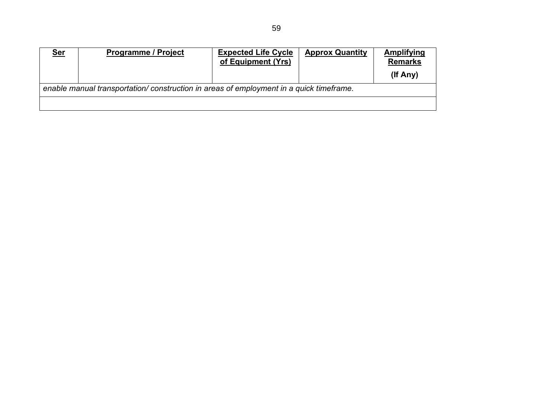| <u>Ser</u> | <b>Programme / Project</b>                                                              | <b>Expected Life Cycle</b><br>of Equipment (Yrs) | <b>Approx Quantity</b> | Amplifying<br><b>Remarks</b> |
|------------|-----------------------------------------------------------------------------------------|--------------------------------------------------|------------------------|------------------------------|
|            |                                                                                         |                                                  |                        | (If Any)                     |
|            | enable manual transportation/ construction in areas of employment in a quick timeframe. |                                                  |                        |                              |
|            |                                                                                         |                                                  |                        |                              |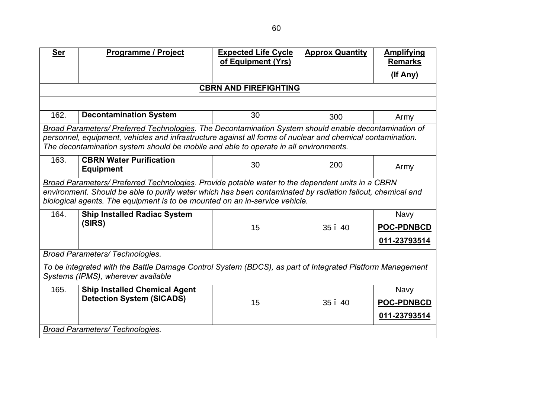| <b>Ser</b>                         | Programme / Project                                                                                        | <b>Expected Life Cycle</b><br>of Equipment (Yrs) | <b>Approx Quantity</b> | <b>Amplifying</b><br><b>Remarks</b> |
|------------------------------------|------------------------------------------------------------------------------------------------------------|--------------------------------------------------|------------------------|-------------------------------------|
|                                    |                                                                                                            |                                                  |                        | (If Any)                            |
|                                    |                                                                                                            |                                                  |                        |                                     |
|                                    |                                                                                                            | <b>CBRN AND FIREFIGHTING</b>                     |                        |                                     |
|                                    |                                                                                                            |                                                  |                        |                                     |
| 162.                               | <b>Decontamination System</b>                                                                              | 30                                               | 300                    | Army                                |
|                                    | Broad Parameters/ Preferred Technologies. The Decontamination System should enable decontamination of      |                                                  |                        |                                     |
|                                    | personnel, equipment, vehicles and infrastructure against all forms of nuclear and chemical contamination. |                                                  |                        |                                     |
|                                    | The decontamination system should be mobile and able to operate in all environments.                       |                                                  |                        |                                     |
| 163.                               | <b>CBRN Water Purification</b>                                                                             | 30                                               | 200                    |                                     |
|                                    | <b>Equipment</b>                                                                                           |                                                  |                        | Army                                |
|                                    | Broad Parameters/ Preferred Technologies. Provide potable water to the dependent units in a CBRN           |                                                  |                        |                                     |
|                                    | environment. Should be able to purify water which has been contaminated by radiation fallout, chemical and |                                                  |                        |                                     |
|                                    | biological agents. The equipment is to be mounted on an in-service vehicle.                                |                                                  |                        |                                     |
| 164.                               | <b>Ship Installed Radiac System</b>                                                                        |                                                  |                        | <b>Navy</b>                         |
|                                    | (SIRS)                                                                                                     | 15                                               | 35.40                  | <b>POC-PDNBCD</b>                   |
|                                    |                                                                                                            |                                                  |                        | 011-23793514                        |
|                                    |                                                                                                            |                                                  |                        |                                     |
|                                    | <b>Broad Parameters/ Technologies.</b>                                                                     |                                                  |                        |                                     |
|                                    | To be integrated with the Battle Damage Control System (BDCS), as part of Integrated Platform Management   |                                                  |                        |                                     |
| Systems (IPMS), wherever available |                                                                                                            |                                                  |                        |                                     |
| 165.                               | <b>Ship Installed Chemical Agent</b>                                                                       |                                                  |                        | <b>Navy</b>                         |
|                                    | <b>Detection System (SICADS)</b>                                                                           | 15                                               | 35.40                  | <b>POC-PDNBCD</b>                   |
|                                    |                                                                                                            |                                                  |                        | 011-23793514                        |
|                                    | <b>Broad Parameters/ Technologies.</b>                                                                     |                                                  |                        |                                     |
|                                    |                                                                                                            |                                                  |                        |                                     |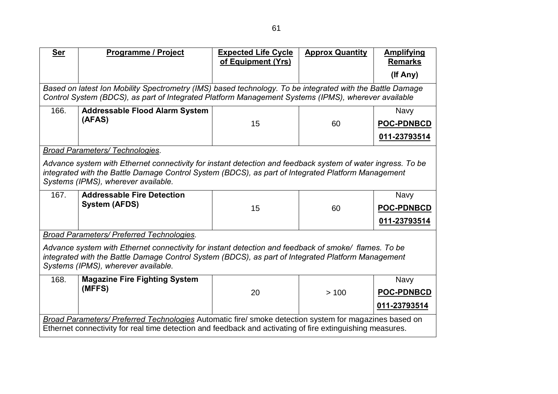| <b>Ser</b>                                                                                                | Programme / Project                                                                                                                                                                                              | <b>Expected Life Cycle</b><br>of Equipment (Yrs) | <b>Approx Quantity</b> | <b>Amplifying</b> |
|-----------------------------------------------------------------------------------------------------------|------------------------------------------------------------------------------------------------------------------------------------------------------------------------------------------------------------------|--------------------------------------------------|------------------------|-------------------|
|                                                                                                           |                                                                                                                                                                                                                  |                                                  |                        | <b>Remarks</b>    |
|                                                                                                           |                                                                                                                                                                                                                  |                                                  |                        | (If Any)          |
|                                                                                                           | Based on latest Ion Mobility Spectrometry (IMS) based technology. To be integrated with the Battle Damage<br>Control System (BDCS), as part of Integrated Platform Management Systems (IPMS), wherever available |                                                  |                        |                   |
| 166.                                                                                                      | <b>Addressable Flood Alarm System</b>                                                                                                                                                                            |                                                  |                        | <b>Navy</b>       |
|                                                                                                           | (AFAS)                                                                                                                                                                                                           |                                                  |                        |                   |
|                                                                                                           |                                                                                                                                                                                                                  | 15                                               | 60                     | <b>POC-PDNBCD</b> |
|                                                                                                           |                                                                                                                                                                                                                  |                                                  |                        | 011-23793514      |
|                                                                                                           | <b>Broad Parameters/ Technologies.</b>                                                                                                                                                                           |                                                  |                        |                   |
|                                                                                                           | Advance system with Ethernet connectivity for instant detection and feedback system of water ingress. To be                                                                                                      |                                                  |                        |                   |
|                                                                                                           | integrated with the Battle Damage Control System (BDCS), as part of Integrated Platform Management                                                                                                               |                                                  |                        |                   |
|                                                                                                           | Systems (IPMS), wherever available.                                                                                                                                                                              |                                                  |                        |                   |
| 167.                                                                                                      | <b>Addressable Fire Detection</b>                                                                                                                                                                                |                                                  |                        | <b>Navy</b>       |
|                                                                                                           | <b>System (AFDS)</b>                                                                                                                                                                                             | 15                                               | 60                     | <b>POC-PDNBCD</b> |
|                                                                                                           |                                                                                                                                                                                                                  |                                                  |                        | 011-23793514      |
|                                                                                                           | <b>Broad Parameters/ Preferred Technologies.</b>                                                                                                                                                                 |                                                  |                        |                   |
|                                                                                                           | Advance system with Ethernet connectivity for instant detection and feedback of smoke/ flames. To be                                                                                                             |                                                  |                        |                   |
|                                                                                                           | integrated with the Battle Damage Control System (BDCS), as part of Integrated Platform Management                                                                                                               |                                                  |                        |                   |
|                                                                                                           | Systems (IPMS), wherever available.                                                                                                                                                                              |                                                  |                        |                   |
| 168.                                                                                                      | <b>Magazine Fire Fighting System</b>                                                                                                                                                                             |                                                  |                        | Navy              |
|                                                                                                           | (MFFS)                                                                                                                                                                                                           | 20                                               | >100                   | <b>POC-PDNBCD</b> |
|                                                                                                           |                                                                                                                                                                                                                  |                                                  |                        | 011-23793514      |
|                                                                                                           |                                                                                                                                                                                                                  |                                                  |                        |                   |
|                                                                                                           | Broad Parameters/ Preferred Technologies Automatic fire/ smoke detection system for magazines based on                                                                                                           |                                                  |                        |                   |
| Ethernet connectivity for real time detection and feedback and activating of fire extinguishing measures. |                                                                                                                                                                                                                  |                                                  |                        |                   |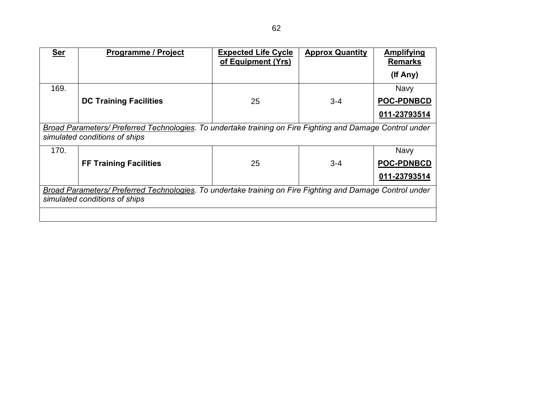| <b>Ser</b>                                                                                                | <b>Programme / Project</b>                                                                                | <b>Expected Life Cycle</b><br>of Equipment (Yrs) | <b>Approx Quantity</b> | <b>Amplifying</b><br><b>Remarks</b> |
|-----------------------------------------------------------------------------------------------------------|-----------------------------------------------------------------------------------------------------------|--------------------------------------------------|------------------------|-------------------------------------|
|                                                                                                           |                                                                                                           |                                                  |                        | (If Any)                            |
| 169.                                                                                                      |                                                                                                           |                                                  |                        | <b>Navy</b>                         |
|                                                                                                           | <b>DC Training Facilities</b>                                                                             | 25                                               | $3 - 4$                | <b>POC-PDNBCD</b>                   |
|                                                                                                           |                                                                                                           |                                                  |                        | 011-23793514                        |
|                                                                                                           | Broad Parameters/ Preferred Technologies. To undertake training on Fire Fighting and Damage Control under |                                                  |                        |                                     |
|                                                                                                           | simulated conditions of ships                                                                             |                                                  |                        |                                     |
| 170.                                                                                                      |                                                                                                           |                                                  |                        | <b>Navy</b>                         |
|                                                                                                           | <b>FF Training Facilities</b>                                                                             | 25                                               | $3 - 4$                | <b>POC-PDNBCD</b>                   |
|                                                                                                           |                                                                                                           |                                                  |                        | 011-23793514                        |
| Broad Parameters/ Preferred Technologies. To undertake training on Fire Fighting and Damage Control under |                                                                                                           |                                                  |                        |                                     |
|                                                                                                           | simulated conditions of ships                                                                             |                                                  |                        |                                     |
|                                                                                                           |                                                                                                           |                                                  |                        |                                     |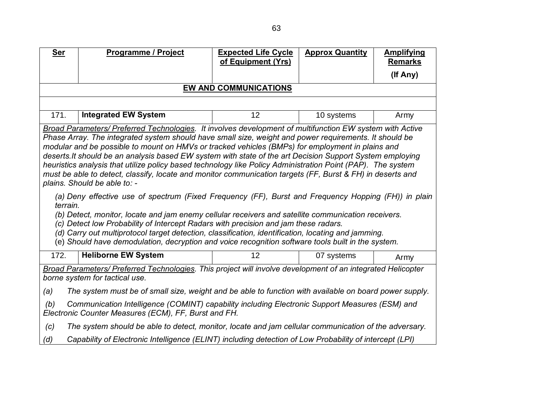| <b>Ser</b>                                                                                                                                                                                                                                                                                                                                                                                                                                                                                                                                                                                                                                                                                                                                                                                                                                                                                                                                                                                                                                                                                                                                                                                                                      | <b>Programme / Project</b>                                                                              | <b>Expected Life Cycle</b><br>of Equipment (Yrs) | <b>Approx Quantity</b> | <b>Amplifying</b><br><b>Remarks</b> |
|---------------------------------------------------------------------------------------------------------------------------------------------------------------------------------------------------------------------------------------------------------------------------------------------------------------------------------------------------------------------------------------------------------------------------------------------------------------------------------------------------------------------------------------------------------------------------------------------------------------------------------------------------------------------------------------------------------------------------------------------------------------------------------------------------------------------------------------------------------------------------------------------------------------------------------------------------------------------------------------------------------------------------------------------------------------------------------------------------------------------------------------------------------------------------------------------------------------------------------|---------------------------------------------------------------------------------------------------------|--------------------------------------------------|------------------------|-------------------------------------|
|                                                                                                                                                                                                                                                                                                                                                                                                                                                                                                                                                                                                                                                                                                                                                                                                                                                                                                                                                                                                                                                                                                                                                                                                                                 |                                                                                                         |                                                  |                        | (If Any)                            |
|                                                                                                                                                                                                                                                                                                                                                                                                                                                                                                                                                                                                                                                                                                                                                                                                                                                                                                                                                                                                                                                                                                                                                                                                                                 |                                                                                                         | EW AND COMMUNICATIONS                            |                        |                                     |
|                                                                                                                                                                                                                                                                                                                                                                                                                                                                                                                                                                                                                                                                                                                                                                                                                                                                                                                                                                                                                                                                                                                                                                                                                                 |                                                                                                         |                                                  |                        |                                     |
| 171.                                                                                                                                                                                                                                                                                                                                                                                                                                                                                                                                                                                                                                                                                                                                                                                                                                                                                                                                                                                                                                                                                                                                                                                                                            | <b>Integrated EW System</b>                                                                             | 12                                               | 10 systems             | Army                                |
| Broad Parameters/ Preferred Technologies. It involves development of multifunction EW system with Active<br>Phase Array. The integrated system should have small size, weight and power requirements. It should be<br>modular and be possible to mount on HMVs or tracked vehicles (BMPs) for employment in plains and<br>deserts. It should be an analysis based EW system with state of the art Decision Support System employing<br>heuristics analysis that utilize policy based technology like Policy Administration Point (PAP). The system<br>must be able to detect, classify, locate and monitor communication targets (FF, Burst & FH) in deserts and<br>plains. Should be able to: -<br>(a) Deny effective use of spectrum (Fixed Frequency (FF), Burst and Frequency Hopping (FH)) in plain<br>terrain.<br>(b) Detect, monitor, locate and jam enemy cellular receivers and satellite communication receivers.<br>(c) Detect low Probability of Intercept Radars with precision and jam these radars.<br>(d) Carry out multiprotocol target detection, classification, identification, locating and jamming.<br>(e) Should have demodulation, decryption and voice recognition software tools built in the system. |                                                                                                         |                                                  |                        |                                     |
| 172.                                                                                                                                                                                                                                                                                                                                                                                                                                                                                                                                                                                                                                                                                                                                                                                                                                                                                                                                                                                                                                                                                                                                                                                                                            | <b>Heliborne EW System</b>                                                                              | 12                                               | 07 systems             | Army                                |
| Broad Parameters/ Preferred Technologies. This project will involve development of an integrated Helicopter<br>borne system for tactical use.                                                                                                                                                                                                                                                                                                                                                                                                                                                                                                                                                                                                                                                                                                                                                                                                                                                                                                                                                                                                                                                                                   |                                                                                                         |                                                  |                        |                                     |
| (a)<br>The system must be of small size, weight and be able to function with available on board power supply.                                                                                                                                                                                                                                                                                                                                                                                                                                                                                                                                                                                                                                                                                                                                                                                                                                                                                                                                                                                                                                                                                                                   |                                                                                                         |                                                  |                        |                                     |
| Communication Intelligence (COMINT) capability including Electronic Support Measures (ESM) and<br>(b)<br>Electronic Counter Measures (ECM), FF, Burst and FH.                                                                                                                                                                                                                                                                                                                                                                                                                                                                                                                                                                                                                                                                                                                                                                                                                                                                                                                                                                                                                                                                   |                                                                                                         |                                                  |                        |                                     |
| (c)                                                                                                                                                                                                                                                                                                                                                                                                                                                                                                                                                                                                                                                                                                                                                                                                                                                                                                                                                                                                                                                                                                                                                                                                                             | The system should be able to detect, monitor, locate and jam cellular communication of the adversary.   |                                                  |                        |                                     |
| (d)                                                                                                                                                                                                                                                                                                                                                                                                                                                                                                                                                                                                                                                                                                                                                                                                                                                                                                                                                                                                                                                                                                                                                                                                                             | Capability of Electronic Intelligence (ELINT) including detection of Low Probability of intercept (LPI) |                                                  |                        |                                     |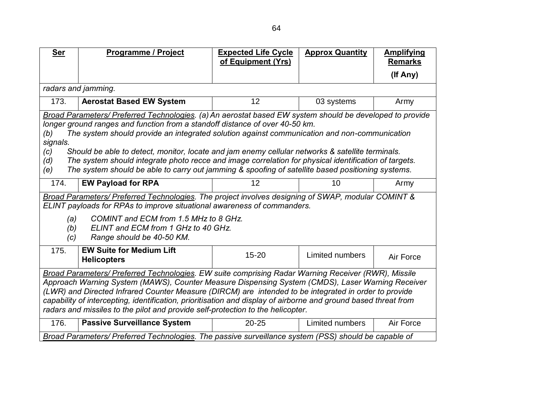| <u>Ser</u>                                                                                                      | <b>Programme / Project</b>                                                                                                                                                                                | <b>Expected Life Cycle</b><br>of Equipment (Yrs) | <b>Approx Quantity</b> | <b>Amplifying</b><br><b>Remarks</b> |  |
|-----------------------------------------------------------------------------------------------------------------|-----------------------------------------------------------------------------------------------------------------------------------------------------------------------------------------------------------|--------------------------------------------------|------------------------|-------------------------------------|--|
|                                                                                                                 |                                                                                                                                                                                                           |                                                  |                        | (If Any)                            |  |
|                                                                                                                 | radars and jamming.                                                                                                                                                                                       |                                                  |                        |                                     |  |
| 173.                                                                                                            | <b>Aerostat Based EW System</b>                                                                                                                                                                           | 12                                               | 03 systems             | Army                                |  |
|                                                                                                                 | Broad Parameters/ Preferred Technologies. (a) An aerostat based EW system should be developed to provide                                                                                                  |                                                  |                        |                                     |  |
|                                                                                                                 | longer ground ranges and function from a standoff distance of over 40-50 km.                                                                                                                              |                                                  |                        |                                     |  |
| (b)                                                                                                             | The system should provide an integrated solution against communication and non-communication                                                                                                              |                                                  |                        |                                     |  |
| signals.                                                                                                        |                                                                                                                                                                                                           |                                                  |                        |                                     |  |
| (c)<br>(d)                                                                                                      | Should be able to detect, monitor, locate and jam enemy cellular networks & satellite terminals.<br>The system should integrate photo recce and image correlation for physical identification of targets. |                                                  |                        |                                     |  |
| (e)                                                                                                             | The system should be able to carry out jamming & spoofing of satellite based positioning systems.                                                                                                         |                                                  |                        |                                     |  |
|                                                                                                                 |                                                                                                                                                                                                           |                                                  |                        |                                     |  |
| 174.                                                                                                            | <b>EW Payload for RPA</b>                                                                                                                                                                                 | 12                                               | 10                     | Army                                |  |
|                                                                                                                 | Broad Parameters/ Preferred Technologies. The project involves designing of SWAP, modular COMINT &                                                                                                        |                                                  |                        |                                     |  |
|                                                                                                                 | ELINT payloads for RPAs to improve situational awareness of commanders.                                                                                                                                   |                                                  |                        |                                     |  |
| (a)                                                                                                             | COMINT and ECM from 1.5 MHz to 8 GHz.                                                                                                                                                                     |                                                  |                        |                                     |  |
| (b)                                                                                                             | ELINT and ECM from 1 GHz to 40 GHz.                                                                                                                                                                       |                                                  |                        |                                     |  |
| (c)                                                                                                             | Range should be 40-50 KM.                                                                                                                                                                                 |                                                  |                        |                                     |  |
| 175.                                                                                                            | <b>EW Suite for Medium Lift</b>                                                                                                                                                                           | $15 - 20$                                        | Limited numbers        |                                     |  |
|                                                                                                                 | <b>Helicopters</b>                                                                                                                                                                                        |                                                  |                        | Air Force                           |  |
|                                                                                                                 | Broad Parameters/ Preferred Technologies. EW suite comprising Radar Warning Receiver (RWR), Missile                                                                                                       |                                                  |                        |                                     |  |
| Approach Warning System (MAWS), Counter Measure Dispensing System (CMDS), Laser Warning Receiver                |                                                                                                                                                                                                           |                                                  |                        |                                     |  |
| (LWR) and Directed Infrared Counter Measure (DIRCM) are intended to be integrated in order to provide           |                                                                                                                                                                                                           |                                                  |                        |                                     |  |
| capability of intercepting, identification, prioritisation and display of airborne and ground based threat from |                                                                                                                                                                                                           |                                                  |                        |                                     |  |
| radars and missiles to the pilot and provide self-protection to the helicopter.                                 |                                                                                                                                                                                                           |                                                  |                        |                                     |  |
| 176.                                                                                                            | <b>Passive Surveillance System</b>                                                                                                                                                                        | $20 - 25$                                        | Limited numbers        | Air Force                           |  |
|                                                                                                                 | Broad Parameters/ Preferred Technologies. The passive surveillance system (PSS) should be capable of                                                                                                      |                                                  |                        |                                     |  |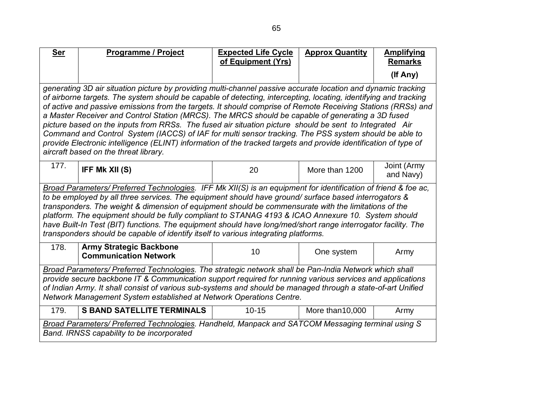| <b>Ser</b>                                                                                                                                                                                                                                                                                                                                                                                                                                                                                                                                                                                                                                                                                                                                                                                                                              | <b>Programme / Project</b>                                                                                                                                                                                                                                                                                                                                                                                                                                                                                                                                                                                                                    | <b>Expected Life Cycle</b><br>of Equipment (Yrs) | <b>Approx Quantity</b> | <b>Amplifying</b><br><b>Remarks</b> |  |
|-----------------------------------------------------------------------------------------------------------------------------------------------------------------------------------------------------------------------------------------------------------------------------------------------------------------------------------------------------------------------------------------------------------------------------------------------------------------------------------------------------------------------------------------------------------------------------------------------------------------------------------------------------------------------------------------------------------------------------------------------------------------------------------------------------------------------------------------|-----------------------------------------------------------------------------------------------------------------------------------------------------------------------------------------------------------------------------------------------------------------------------------------------------------------------------------------------------------------------------------------------------------------------------------------------------------------------------------------------------------------------------------------------------------------------------------------------------------------------------------------------|--------------------------------------------------|------------------------|-------------------------------------|--|
|                                                                                                                                                                                                                                                                                                                                                                                                                                                                                                                                                                                                                                                                                                                                                                                                                                         |                                                                                                                                                                                                                                                                                                                                                                                                                                                                                                                                                                                                                                               |                                                  |                        | (If Any)                            |  |
| generating 3D air situation picture by providing multi-channel passive accurate location and dynamic tracking<br>of airborne targets. The system should be capable of detecting, intercepting, locating, identifying and tracking<br>of active and passive emissions from the targets. It should comprise of Remote Receiving Stations (RRSs) and<br>a Master Receiver and Control Station (MRCS). The MRCS should be capable of generating a 3D fused<br>picture based on the inputs from RRSs. The fused air situation picture should be sent to Integrated Air<br>Command and Control System (IACCS) of IAF for multi sensor tracking. The PSS system should be able to<br>provide Electronic intelligence (ELINT) information of the tracked targets and provide identification of type of<br>aircraft based on the threat library. |                                                                                                                                                                                                                                                                                                                                                                                                                                                                                                                                                                                                                                               |                                                  |                        |                                     |  |
| 177.                                                                                                                                                                                                                                                                                                                                                                                                                                                                                                                                                                                                                                                                                                                                                                                                                                    | IFF Mk XII (S)                                                                                                                                                                                                                                                                                                                                                                                                                                                                                                                                                                                                                                | 20                                               | More than 1200         | Joint (Army<br>and Navy)            |  |
|                                                                                                                                                                                                                                                                                                                                                                                                                                                                                                                                                                                                                                                                                                                                                                                                                                         | Broad Parameters/ Preferred Technologies. IFF Mk XII(S) is an equipment for identification of friend & foe ac,<br>to be employed by all three services. The equipment should have ground/ surface based interrogators &<br>transponders. The weight & dimension of equipment should be commensurate with the limitations of the<br>platform. The equipment should be fully compliant to STANAG 4193 & ICAO Annexure 10. System should<br>have Built-In Test (BIT) functions. The equipment should have long/med/short range interrogator facility. The<br>transponders should be capable of identify itself to various integrating platforms. |                                                  |                        |                                     |  |
| 178.                                                                                                                                                                                                                                                                                                                                                                                                                                                                                                                                                                                                                                                                                                                                                                                                                                    | <b>Army Strategic Backbone</b><br><b>Communication Network</b>                                                                                                                                                                                                                                                                                                                                                                                                                                                                                                                                                                                | 10                                               | One system             | Army                                |  |
| Broad Parameters/ Preferred Technologies. The strategic network shall be Pan-India Network which shall<br>provide secure backbone IT & Communication support required for running various services and applications<br>of Indian Army. It shall consist of various sub-systems and should be managed through a state-of-art Unified<br>Network Management System established at Network Operations Centre.                                                                                                                                                                                                                                                                                                                                                                                                                              |                                                                                                                                                                                                                                                                                                                                                                                                                                                                                                                                                                                                                                               |                                                  |                        |                                     |  |
| 179.                                                                                                                                                                                                                                                                                                                                                                                                                                                                                                                                                                                                                                                                                                                                                                                                                                    | <b>S BAND SATELLITE TERMINALS</b>                                                                                                                                                                                                                                                                                                                                                                                                                                                                                                                                                                                                             | $10 - 15$                                        | More than 10,000       | Army                                |  |
| Broad Parameters/ Preferred Technologies. Handheld, Manpack and SATCOM Messaging terminal using S<br>Band. IRNSS capability to be incorporated                                                                                                                                                                                                                                                                                                                                                                                                                                                                                                                                                                                                                                                                                          |                                                                                                                                                                                                                                                                                                                                                                                                                                                                                                                                                                                                                                               |                                                  |                        |                                     |  |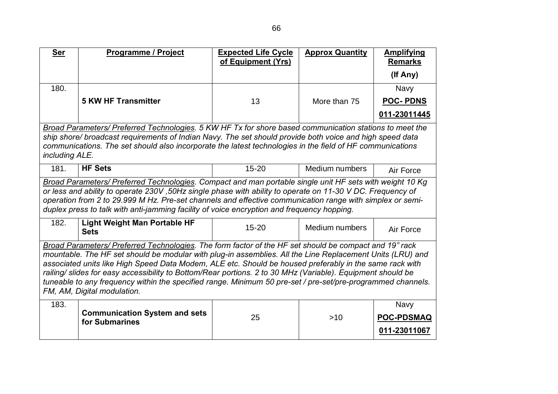| <b>Ser</b>     | <b>Programme / Project</b>                                                                                                                                                                                                | <b>Expected Life Cycle</b> | <b>Approx Quantity</b> | <b>Amplifying</b> |
|----------------|---------------------------------------------------------------------------------------------------------------------------------------------------------------------------------------------------------------------------|----------------------------|------------------------|-------------------|
|                |                                                                                                                                                                                                                           | of Equipment (Yrs)         |                        | <b>Remarks</b>    |
|                |                                                                                                                                                                                                                           |                            |                        | (If Any)          |
| 180.           |                                                                                                                                                                                                                           |                            |                        | Navy              |
|                | <b>5 KW HF Transmitter</b>                                                                                                                                                                                                | 13                         | More than 75           | <b>POC-PDNS</b>   |
|                |                                                                                                                                                                                                                           |                            |                        | 011-23011445      |
|                | Broad Parameters/ Preferred Technologies. 5 KW HF Tx for shore based communication stations to meet the                                                                                                                   |                            |                        |                   |
|                | ship shore/ broadcast requirements of Indian Navy. The set should provide both voice and high speed data                                                                                                                  |                            |                        |                   |
|                | communications. The set should also incorporate the latest technologies in the field of HF communications                                                                                                                 |                            |                        |                   |
| including ALE. |                                                                                                                                                                                                                           |                            |                        |                   |
| 181.           | <b>HF Sets</b>                                                                                                                                                                                                            | $15 - 20$                  | Medium numbers         | Air Force         |
|                | Broad Parameters/ Preferred Technologies. Compact and man portable single unit HF sets with weight 10 Kg                                                                                                                  |                            |                        |                   |
|                | or less and ability to operate 230V, 50Hz single phase with ability to operate on 11-30 V DC. Frequency of                                                                                                                |                            |                        |                   |
|                | operation from 2 to 29.999 M Hz. Pre-set channels and effective communication range with simplex or semi-<br>duplex press to talk with anti-jamming facility of voice encryption and frequency hopping.                   |                            |                        |                   |
|                |                                                                                                                                                                                                                           |                            |                        |                   |
| 182.           | <b>Light Weight Man Portable HF</b><br><b>Sets</b>                                                                                                                                                                        | $15 - 20$                  | Medium numbers         | Air Force         |
|                | Broad Parameters/ Preferred Technologies. The form factor of the HF set should be compact and 19" rack                                                                                                                    |                            |                        |                   |
|                | mountable. The HF set should be modular with plug-in assemblies. All the Line Replacement Units (LRU) and                                                                                                                 |                            |                        |                   |
|                | associated units like High Speed Data Modem, ALE etc. Should be housed preferably in the same rack with                                                                                                                   |                            |                        |                   |
|                | railing/slides for easy accessibility to Bottom/Rear portions. 2 to 30 MHz (Variable). Equipment should be<br>tuneable to any frequency within the specified range. Minimum 50 pre-set / pre-set/pre-programmed channels. |                            |                        |                   |
|                | FM, AM, Digital modulation.                                                                                                                                                                                               |                            |                        |                   |
| 183.           |                                                                                                                                                                                                                           |                            |                        | <b>Navy</b>       |
|                | <b>Communication System and sets</b>                                                                                                                                                                                      |                            |                        |                   |
|                | for Submarines                                                                                                                                                                                                            | 25                         | >10                    | <b>POC-PDSMAQ</b> |
|                |                                                                                                                                                                                                                           |                            |                        | 011-23011067      |
|                |                                                                                                                                                                                                                           |                            |                        |                   |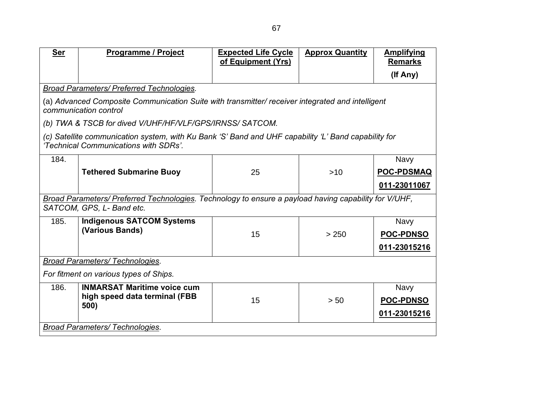| Ser                                                                                                                                           | <b>Programme / Project</b>                              | <b>Expected Life Cycle</b><br>of Equipment (Yrs) | <b>Approx Quantity</b> | <b>Amplifying</b><br><b>Remarks</b> |  |
|-----------------------------------------------------------------------------------------------------------------------------------------------|---------------------------------------------------------|--------------------------------------------------|------------------------|-------------------------------------|--|
|                                                                                                                                               |                                                         |                                                  |                        |                                     |  |
|                                                                                                                                               |                                                         |                                                  |                        | (If Any)                            |  |
|                                                                                                                                               | Broad Parameters/ Preferred Technologies.               |                                                  |                        |                                     |  |
| (a) Advanced Composite Communication Suite with transmitter/ receiver integrated and intelligent<br>communication control                     |                                                         |                                                  |                        |                                     |  |
|                                                                                                                                               | (b) TWA & TSCB for dived V/UHF/HF/VLF/GPS/IRNSS/SATCOM. |                                                  |                        |                                     |  |
| (c) Satellite communication system, with Ku Bank 'S' Band and UHF capability 'L' Band capability for<br>'Technical Communications with SDRs'. |                                                         |                                                  |                        |                                     |  |
| 184.                                                                                                                                          |                                                         |                                                  |                        | <b>Navy</b>                         |  |
|                                                                                                                                               | <b>Tethered Submarine Buoy</b>                          | 25                                               | $>10$                  | <b>POC-PDSMAQ</b>                   |  |
|                                                                                                                                               |                                                         |                                                  |                        | 011-23011067                        |  |
| Broad Parameters/ Preferred Technologies. Technology to ensure a payload having capability for V/UHF,                                         |                                                         |                                                  |                        |                                     |  |
| SATCOM, GPS, L- Band etc.                                                                                                                     |                                                         |                                                  |                        |                                     |  |
| 185.                                                                                                                                          | <b>Indigenous SATCOM Systems</b>                        |                                                  |                        | Navy                                |  |
|                                                                                                                                               | (Various Bands)                                         | 15                                               | > 250                  | <b>POC-PDNSO</b>                    |  |
|                                                                                                                                               |                                                         |                                                  |                        | 011-23015216                        |  |
| <b>Broad Parameters/ Technologies.</b>                                                                                                        |                                                         |                                                  |                        |                                     |  |
| For fitment on various types of Ships.                                                                                                        |                                                         |                                                  |                        |                                     |  |
| 186.                                                                                                                                          | <b>INMARSAT Maritime voice cum</b>                      |                                                  |                        | <b>Navy</b>                         |  |
|                                                                                                                                               | high speed data terminal (FBB<br>500)                   | 15                                               | > 50                   | <b>POC-PDNSO</b>                    |  |
|                                                                                                                                               |                                                         |                                                  |                        | 011-23015216                        |  |
| <b>Broad Parameters/ Technologies.</b>                                                                                                        |                                                         |                                                  |                        |                                     |  |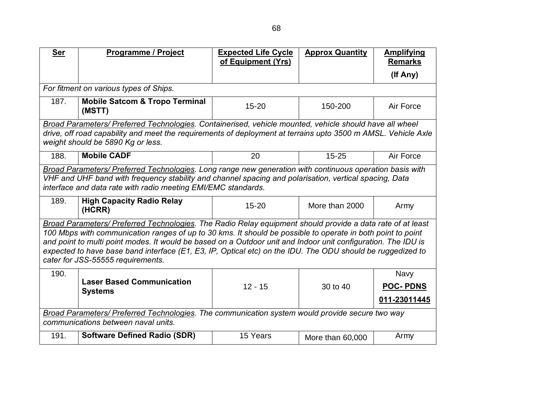| <b>Ser</b>                                                                                                                                                                                                                                                                                                                                                                                                                                                                                    | <b>Programme / Project</b>                                                                                                                                                                                                                                                          | <b>Expected Life Cycle</b><br>of Equipment (Yrs) | <b>Approx Quantity</b> | <b>Amplifying</b><br><b>Remarks</b>            |  |
|-----------------------------------------------------------------------------------------------------------------------------------------------------------------------------------------------------------------------------------------------------------------------------------------------------------------------------------------------------------------------------------------------------------------------------------------------------------------------------------------------|-------------------------------------------------------------------------------------------------------------------------------------------------------------------------------------------------------------------------------------------------------------------------------------|--------------------------------------------------|------------------------|------------------------------------------------|--|
|                                                                                                                                                                                                                                                                                                                                                                                                                                                                                               |                                                                                                                                                                                                                                                                                     |                                                  |                        | (If Any)                                       |  |
|                                                                                                                                                                                                                                                                                                                                                                                                                                                                                               | For fitment on various types of Ships.                                                                                                                                                                                                                                              |                                                  |                        |                                                |  |
| 187.                                                                                                                                                                                                                                                                                                                                                                                                                                                                                          | <b>Mobile Satcom &amp; Tropo Terminal</b><br>(MSTT)                                                                                                                                                                                                                                 | $15 - 20$                                        | 150-200                | Air Force                                      |  |
|                                                                                                                                                                                                                                                                                                                                                                                                                                                                                               | Broad Parameters/ Preferred Technologies. Containerised, vehicle mounted, vehicle should have all wheel                                                                                                                                                                             |                                                  |                        |                                                |  |
|                                                                                                                                                                                                                                                                                                                                                                                                                                                                                               | drive, off road capability and meet the requirements of deployment at terrains upto 3500 m AMSL. Vehicle Axle<br>weight should be 5890 Kg or less.                                                                                                                                  |                                                  |                        |                                                |  |
| 188.                                                                                                                                                                                                                                                                                                                                                                                                                                                                                          | <b>Mobile CADF</b>                                                                                                                                                                                                                                                                  | 20                                               | $15 - 25$              | Air Force                                      |  |
|                                                                                                                                                                                                                                                                                                                                                                                                                                                                                               | Broad Parameters/ Preferred Technologies. Long range new generation with continuous operation basis with<br>VHF and UHF band with frequency stability and channel spacing and polarisation, vertical spacing, Data<br>interface and data rate with radio meeting EMI/EMC standards. |                                                  |                        |                                                |  |
| 189.                                                                                                                                                                                                                                                                                                                                                                                                                                                                                          | <b>High Capacity Radio Relay</b><br>(HCRR)                                                                                                                                                                                                                                          | $15 - 20$                                        | More than 2000         | Army                                           |  |
| Broad Parameters/ Preferred Technologies. The Radio Relay equipment should provide a data rate of at least<br>100 Mbps with communication ranges of up to 30 kms. It should be possible to operate in both point to point<br>and point to multi point modes. It would be based on a Outdoor unit and Indoor unit configuration. The IDU is<br>expected to have base band interface (E1, E3, IP, Optical etc) on the IDU. The ODU should be ruggedized to<br>cater for JSS-55555 requirements. |                                                                                                                                                                                                                                                                                     |                                                  |                        |                                                |  |
| 190.                                                                                                                                                                                                                                                                                                                                                                                                                                                                                          | <b>Laser Based Communication</b><br><b>Systems</b>                                                                                                                                                                                                                                  | $12 - 15$                                        | 30 to 40               | <b>Navy</b><br><b>POC-PDNS</b><br>011-23011445 |  |
| Broad Parameters/ Preferred Technologies. The communication system would provide secure two way<br>communications between naval units.                                                                                                                                                                                                                                                                                                                                                        |                                                                                                                                                                                                                                                                                     |                                                  |                        |                                                |  |
| 191.                                                                                                                                                                                                                                                                                                                                                                                                                                                                                          | <b>Software Defined Radio (SDR)</b>                                                                                                                                                                                                                                                 | 15 Years                                         | More than 60,000       | Army                                           |  |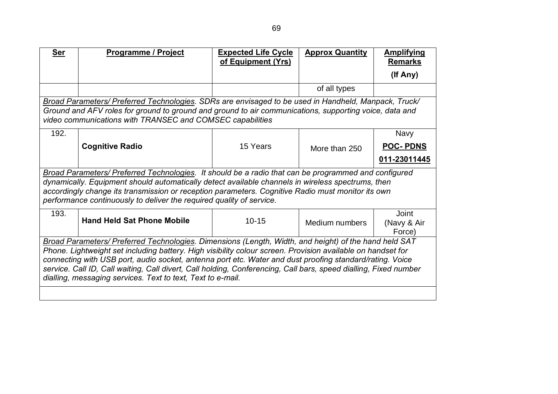| <b>Ser</b>                                                                                                                                                                                                                                                                                                                                                                                                                                                                                                          | <b>Programme / Project</b>        | <b>Expected Life Cycle</b><br>of Equipment (Yrs) | <b>Approx Quantity</b> | <b>Amplifying</b><br><b>Remarks</b>   |  |
|---------------------------------------------------------------------------------------------------------------------------------------------------------------------------------------------------------------------------------------------------------------------------------------------------------------------------------------------------------------------------------------------------------------------------------------------------------------------------------------------------------------------|-----------------------------------|--------------------------------------------------|------------------------|---------------------------------------|--|
|                                                                                                                                                                                                                                                                                                                                                                                                                                                                                                                     |                                   |                                                  |                        | (If Any)                              |  |
|                                                                                                                                                                                                                                                                                                                                                                                                                                                                                                                     |                                   |                                                  | of all types           |                                       |  |
| Broad Parameters/ Preferred Technologies. SDRs are envisaged to be used in Handheld, Manpack, Truck/<br>Ground and AFV roles for ground to ground and ground to air communications, supporting voice, data and<br>video communications with TRANSEC and COMSEC capabilities                                                                                                                                                                                                                                         |                                   |                                                  |                        |                                       |  |
| 192.                                                                                                                                                                                                                                                                                                                                                                                                                                                                                                                |                                   |                                                  |                        | <b>Navy</b>                           |  |
|                                                                                                                                                                                                                                                                                                                                                                                                                                                                                                                     | <b>Cognitive Radio</b>            | 15 Years                                         | More than 250          | <b>POC-PDNS</b>                       |  |
|                                                                                                                                                                                                                                                                                                                                                                                                                                                                                                                     |                                   |                                                  |                        | 011-23011445                          |  |
| Broad Parameters/ Preferred Technologies. It should be a radio that can be programmed and configured<br>dynamically. Equipment should automatically detect available channels in wireless spectrums, then<br>accordingly change its transmission or reception parameters. Cognitive Radio must monitor its own<br>performance continuously to deliver the required quality of service.                                                                                                                              |                                   |                                                  |                        |                                       |  |
| 193.                                                                                                                                                                                                                                                                                                                                                                                                                                                                                                                | <b>Hand Held Sat Phone Mobile</b> | $10 - 15$                                        | Medium numbers         | <b>Joint</b><br>(Navy & Air<br>Force) |  |
| Broad Parameters/ Preferred Technologies. Dimensions (Length, Width, and height) of the hand held SAT<br>Phone. Lightweight set including battery. High visibility colour screen. Provision available on handset for<br>connecting with USB port, audio socket, antenna port etc. Water and dust proofing standard/rating. Voice<br>service. Call ID, Call waiting, Call divert, Call holding, Conferencing, Call bars, speed dialling, Fixed number<br>dialling, messaging services. Text to text, Text to e-mail. |                                   |                                                  |                        |                                       |  |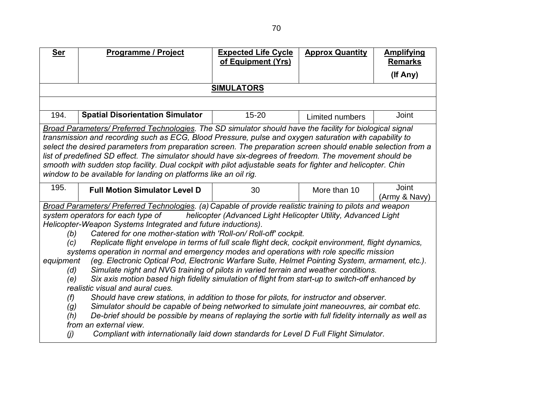| <b>Ser</b>                                                                                                             | <b>Programme / Project</b>                                                                                                                                                      | <b>Expected Life Cycle</b><br>of Equipment (Yrs)              | <b>Approx Quantity</b> | <b>Amplifying</b><br><b>Remarks</b> |  |
|------------------------------------------------------------------------------------------------------------------------|---------------------------------------------------------------------------------------------------------------------------------------------------------------------------------|---------------------------------------------------------------|------------------------|-------------------------------------|--|
|                                                                                                                        |                                                                                                                                                                                 |                                                               |                        | (If Any)                            |  |
|                                                                                                                        |                                                                                                                                                                                 | <b>SIMULATORS</b>                                             |                        |                                     |  |
|                                                                                                                        |                                                                                                                                                                                 |                                                               |                        |                                     |  |
| 194.                                                                                                                   | <b>Spatial Disorientation Simulator</b>                                                                                                                                         | $15 - 20$                                                     | Limited numbers        | Joint                               |  |
|                                                                                                                        | Broad Parameters/ Preferred Technologies. The SD simulator should have the facility for biological signal                                                                       |                                                               |                        |                                     |  |
|                                                                                                                        | transmission and recording such as ECG, Blood Pressure, pulse and oxygen saturation with capability to                                                                          |                                                               |                        |                                     |  |
|                                                                                                                        | select the desired parameters from preparation screen. The preparation screen should enable selection from a                                                                    |                                                               |                        |                                     |  |
|                                                                                                                        | list of predefined SD effect. The simulator should have six-degrees of freedom. The movement should be                                                                          |                                                               |                        |                                     |  |
|                                                                                                                        | smooth with sudden stop facility. Dual cockpit with pilot adjustable seats for fighter and helicopter. Chin<br>window to be available for landing on platforms like an oil rig. |                                                               |                        |                                     |  |
|                                                                                                                        |                                                                                                                                                                                 |                                                               |                        |                                     |  |
| 195.                                                                                                                   | <b>Full Motion Simulator Level D</b>                                                                                                                                            | 30                                                            | More than 10           | <b>Joint</b>                        |  |
|                                                                                                                        |                                                                                                                                                                                 |                                                               |                        | (Army & Navy)                       |  |
|                                                                                                                        | Broad Parameters/ Preferred Technologies. (a) Capable of provide realistic training to pilots and weapon<br>system operators for each type of                                   | helicopter (Advanced Light Helicopter Utility, Advanced Light |                        |                                     |  |
|                                                                                                                        | Helicopter-Weapon Systems Integrated and future inductions).                                                                                                                    |                                                               |                        |                                     |  |
| (b)                                                                                                                    | Catered for one mother-station with 'Roll-on/ Roll-off' cockpit.                                                                                                                |                                                               |                        |                                     |  |
| (c)                                                                                                                    | Replicate flight envelope in terms of full scale flight deck, cockpit environment, flight dynamics,                                                                             |                                                               |                        |                                     |  |
|                                                                                                                        | systems operation in normal and emergency modes and operations with role specific mission                                                                                       |                                                               |                        |                                     |  |
| equipment                                                                                                              | (eg. Electronic Optical Pod, Electronic Warfare Suite, Helmet Pointing System, armament, etc.).                                                                                 |                                                               |                        |                                     |  |
|                                                                                                                        | Simulate night and NVG training of pilots in varied terrain and weather conditions.<br>(d)                                                                                      |                                                               |                        |                                     |  |
| Six axis motion based high fidelity simulation of flight from start-up to switch-off enhanced by<br>(e)                |                                                                                                                                                                                 |                                                               |                        |                                     |  |
| realistic visual and aural cues.                                                                                       |                                                                                                                                                                                 |                                                               |                        |                                     |  |
|                                                                                                                        | Should have crew stations, in addition to those for pilots, for instructor and observer.<br>(f)                                                                                 |                                                               |                        |                                     |  |
| Simulator should be capable of being networked to simulate joint maneouvres, air combat etc.<br>(g)                    |                                                                                                                                                                                 |                                                               |                        |                                     |  |
| De-brief should be possible by means of replaying the sortie with full fidelity internally as well as<br>(h)           |                                                                                                                                                                                 |                                                               |                        |                                     |  |
| from an external view.<br>Compliant with internationally laid down standards for Level D Full Flight Simulator.<br>(j) |                                                                                                                                                                                 |                                                               |                        |                                     |  |
|                                                                                                                        |                                                                                                                                                                                 |                                                               |                        |                                     |  |
|                                                                                                                        |                                                                                                                                                                                 |                                                               |                        |                                     |  |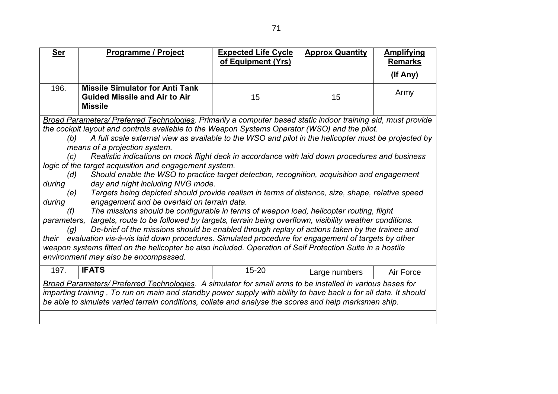| <b>Ser</b>                                                                                                                                                                                                                                                                                                                                                                                                                                                                                                                                                                                                                                                                                                                                                                                                                                                                                                                                                                                                                                                                                                                                                                                                                                                                                                                                                                                                                                             | <b>Programme / Project</b>                                                                       | <b>Expected Life Cycle</b><br>of Equipment (Yrs) | <b>Approx Quantity</b> | <b>Amplifying</b><br><b>Remarks</b> |  |
|--------------------------------------------------------------------------------------------------------------------------------------------------------------------------------------------------------------------------------------------------------------------------------------------------------------------------------------------------------------------------------------------------------------------------------------------------------------------------------------------------------------------------------------------------------------------------------------------------------------------------------------------------------------------------------------------------------------------------------------------------------------------------------------------------------------------------------------------------------------------------------------------------------------------------------------------------------------------------------------------------------------------------------------------------------------------------------------------------------------------------------------------------------------------------------------------------------------------------------------------------------------------------------------------------------------------------------------------------------------------------------------------------------------------------------------------------------|--------------------------------------------------------------------------------------------------|--------------------------------------------------|------------------------|-------------------------------------|--|
|                                                                                                                                                                                                                                                                                                                                                                                                                                                                                                                                                                                                                                                                                                                                                                                                                                                                                                                                                                                                                                                                                                                                                                                                                                                                                                                                                                                                                                                        |                                                                                                  |                                                  |                        | (If Any)                            |  |
| 196.                                                                                                                                                                                                                                                                                                                                                                                                                                                                                                                                                                                                                                                                                                                                                                                                                                                                                                                                                                                                                                                                                                                                                                                                                                                                                                                                                                                                                                                   | <b>Missile Simulator for Anti Tank</b><br><b>Guided Missile and Air to Air</b><br><b>Missile</b> | 15                                               | 15                     | Army                                |  |
| Broad Parameters/ Preferred Technologies. Primarily a computer based static indoor training aid, must provide<br>the cockpit layout and controls available to the Weapon Systems Operator (WSO) and the pilot.<br>A full scale external view as available to the WSO and pilot in the helicopter must be projected by<br>(b)<br>means of a projection system.<br>Realistic indications on mock flight deck in accordance with laid down procedures and business<br>(c)<br>logic of the target acquisition and engagement system.<br>Should enable the WSO to practice target detection, recognition, acquisition and engagement<br>(d)<br>during<br>day and night including NVG mode.<br>Targets being depicted should provide realism in terms of distance, size, shape, relative speed<br>(e)<br>engagement and be overlaid on terrain data.<br>during<br>The missions should be configurable in terms of weapon load, helicopter routing, flight<br>(f)<br>parameters, targets, route to be followed by targets, terrain being overflown, visibility weather conditions.<br>De-brief of the missions should be enabled through replay of actions taken by the trainee and<br>(g)<br>evaluation vis-à-vis laid down procedures. Simulated procedure for engagement of targets by other<br>their<br>weapon systems fitted on the helicopter be also included. Operation of Self Protection Suite in a hostile<br>environment may also be encompassed. |                                                                                                  |                                                  |                        |                                     |  |
| 197.                                                                                                                                                                                                                                                                                                                                                                                                                                                                                                                                                                                                                                                                                                                                                                                                                                                                                                                                                                                                                                                                                                                                                                                                                                                                                                                                                                                                                                                   | <b>IFATS</b>                                                                                     | $15 - 20$                                        | Large numbers          | Air Force                           |  |
| Broad Parameters/ Preferred Technologies. A simulator for small arms to be installed in various bases for<br>imparting training, To run on main and standby power supply with ability to have back u for all data. It should<br>be able to simulate varied terrain conditions, collate and analyse the scores and help marksmen ship.                                                                                                                                                                                                                                                                                                                                                                                                                                                                                                                                                                                                                                                                                                                                                                                                                                                                                                                                                                                                                                                                                                                  |                                                                                                  |                                                  |                        |                                     |  |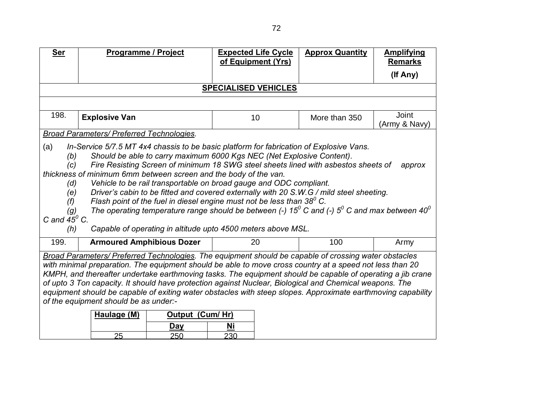| <b>Ser</b>                                                                                                                                                                                                                                                                                                                                                                                                                                                                                                                                                                                                                                                                                                                                                                                                                                                                 | <b>Programme / Project</b>                       | <b>Expected Life Cycle</b><br>of Equipment (Yrs) | <b>Approx Quantity</b> | <b>Amplifying</b><br><b>Remarks</b> |  |
|----------------------------------------------------------------------------------------------------------------------------------------------------------------------------------------------------------------------------------------------------------------------------------------------------------------------------------------------------------------------------------------------------------------------------------------------------------------------------------------------------------------------------------------------------------------------------------------------------------------------------------------------------------------------------------------------------------------------------------------------------------------------------------------------------------------------------------------------------------------------------|--------------------------------------------------|--------------------------------------------------|------------------------|-------------------------------------|--|
|                                                                                                                                                                                                                                                                                                                                                                                                                                                                                                                                                                                                                                                                                                                                                                                                                                                                            |                                                  |                                                  |                        | (If Any)                            |  |
|                                                                                                                                                                                                                                                                                                                                                                                                                                                                                                                                                                                                                                                                                                                                                                                                                                                                            |                                                  | <b>SPECIALISED VEHICLES</b>                      |                        |                                     |  |
|                                                                                                                                                                                                                                                                                                                                                                                                                                                                                                                                                                                                                                                                                                                                                                                                                                                                            |                                                  |                                                  |                        |                                     |  |
| 198.                                                                                                                                                                                                                                                                                                                                                                                                                                                                                                                                                                                                                                                                                                                                                                                                                                                                       | <b>Explosive Van</b>                             | 10                                               | More than 350          | Joint<br>(Army & Navy)              |  |
|                                                                                                                                                                                                                                                                                                                                                                                                                                                                                                                                                                                                                                                                                                                                                                                                                                                                            | <b>Broad Parameters/ Preferred Technologies.</b> |                                                  |                        |                                     |  |
| In-Service 5/7.5 MT 4x4 chassis to be basic platform for fabrication of Explosive Vans.<br>(a)<br>Should be able to carry maximum 6000 Kgs NEC (Net Explosive Content).<br>(b)<br>Fire Resisting Screen of minimum 18 SWG steel sheets lined with asbestos sheets of<br>(c)<br>approx<br>thickness of minimum 6mm between screen and the body of the van.<br>Vehicle to be rail transportable on broad gauge and ODC compliant.<br>(d)<br>Driver's cabin to be fitted and covered externally with 20 S.W.G / mild steel sheeting.<br>(e)<br>Flash point of the fuel in diesel engine must not be less than $38^{\circ}$ C.<br>(f)<br>The operating temperature range should be between (-) 15 <sup>0</sup> C and (-) 5 <sup>0</sup> C and max between 40 <sup>0</sup><br>(g)<br>C and $45^\circ$ C.<br>Capable of operating in altitude upto 4500 meters above MSL.<br>(h) |                                                  |                                                  |                        |                                     |  |
| 199.                                                                                                                                                                                                                                                                                                                                                                                                                                                                                                                                                                                                                                                                                                                                                                                                                                                                       | <b>Armoured Amphibious Dozer</b>                 | 20                                               | 100                    | Army                                |  |
| Broad Parameters/ Preferred Technologies. The equipment should be capable of crossing water obstacles<br>with minimal preparation. The equipment should be able to move cross country at a speed not less than 20<br>KMPH, and thereafter undertake earthmoving tasks. The equipment should be capable of operating a jib crane<br>of upto 3 Ton capacity. It should have protection against Nuclear, Biological and Chemical weapons. The<br>equipment should be capable of exiting water obstacles with steep slopes. Approximate earthmoving capability<br>of the equipment should be as under:-<br><b>Output (Cum/ Hr)</b><br>Haulage (M)<br><b>Day</b><br>Ni<br>25<br>230<br>250                                                                                                                                                                                      |                                                  |                                                  |                        |                                     |  |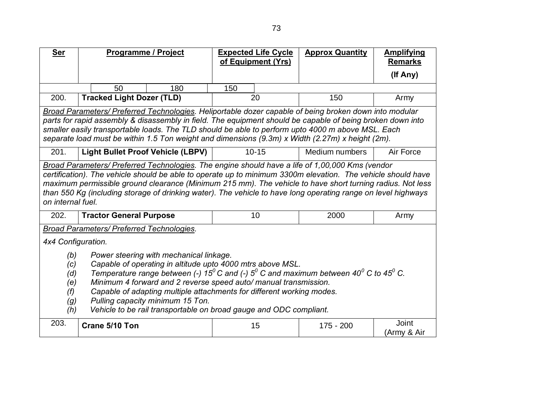| <b>Ser</b>                                                                                                                                                                                                                                                                                                                                                                                                                                                                                                                                            | Programme / Project                                                                                                                                                                                                                                                                                                                                                                                                                                                |     |     | <b>Expected Life Cycle</b><br>of Equipment (Yrs) | <b>Approx Quantity</b>                                                                                                                                                                                                                                                                                                                                                                                                        | <b>Amplifying</b><br><b>Remarks</b> |
|-------------------------------------------------------------------------------------------------------------------------------------------------------------------------------------------------------------------------------------------------------------------------------------------------------------------------------------------------------------------------------------------------------------------------------------------------------------------------------------------------------------------------------------------------------|--------------------------------------------------------------------------------------------------------------------------------------------------------------------------------------------------------------------------------------------------------------------------------------------------------------------------------------------------------------------------------------------------------------------------------------------------------------------|-----|-----|--------------------------------------------------|-------------------------------------------------------------------------------------------------------------------------------------------------------------------------------------------------------------------------------------------------------------------------------------------------------------------------------------------------------------------------------------------------------------------------------|-------------------------------------|
|                                                                                                                                                                                                                                                                                                                                                                                                                                                                                                                                                       |                                                                                                                                                                                                                                                                                                                                                                                                                                                                    |     |     |                                                  |                                                                                                                                                                                                                                                                                                                                                                                                                               | (If Any)                            |
|                                                                                                                                                                                                                                                                                                                                                                                                                                                                                                                                                       | 50                                                                                                                                                                                                                                                                                                                                                                                                                                                                 | 180 | 150 |                                                  |                                                                                                                                                                                                                                                                                                                                                                                                                               |                                     |
| 200.                                                                                                                                                                                                                                                                                                                                                                                                                                                                                                                                                  | <b>Tracked Light Dozer (TLD)</b>                                                                                                                                                                                                                                                                                                                                                                                                                                   |     |     | 20                                               | 150                                                                                                                                                                                                                                                                                                                                                                                                                           | Army                                |
|                                                                                                                                                                                                                                                                                                                                                                                                                                                                                                                                                       |                                                                                                                                                                                                                                                                                                                                                                                                                                                                    |     |     |                                                  | Broad Parameters/ Preferred Technologies. Heliportable dozer capable of being broken down into modular<br>parts for rapid assembly & disassembly in field. The equipment should be capable of being broken down into<br>smaller easily transportable loads. The TLD should be able to perform upto 4000 m above MSL. Each<br>separate load must be within 1.5 Ton weight and dimensions (9.3m) x Width (2.27m) x height (2m). |                                     |
| 201.                                                                                                                                                                                                                                                                                                                                                                                                                                                                                                                                                  | <b>Light Bullet Proof Vehicle (LBPV)</b>                                                                                                                                                                                                                                                                                                                                                                                                                           |     |     | $10 - 15$                                        | Medium numbers                                                                                                                                                                                                                                                                                                                                                                                                                | Air Force                           |
|                                                                                                                                                                                                                                                                                                                                                                                                                                                                                                                                                       | Broad Parameters/ Preferred Technologies. The engine should have a life of 1,00,000 Kms (vendor<br>certification). The vehicle should be able to operate up to minimum 3300m elevation. The vehicle should have<br>maximum permissible ground clearance (Minimum 215 mm). The vehicle to have short turning radius. Not less<br>than 550 Kg (including storage of drinking water). The vehicle to have long operating range on level highways<br>on internal fuel. |     |     |                                                  |                                                                                                                                                                                                                                                                                                                                                                                                                               |                                     |
| 202.                                                                                                                                                                                                                                                                                                                                                                                                                                                                                                                                                  | <b>Tractor General Purpose</b>                                                                                                                                                                                                                                                                                                                                                                                                                                     |     |     | 10                                               | 2000                                                                                                                                                                                                                                                                                                                                                                                                                          | Army                                |
|                                                                                                                                                                                                                                                                                                                                                                                                                                                                                                                                                       | Broad Parameters/ Preferred Technologies.                                                                                                                                                                                                                                                                                                                                                                                                                          |     |     |                                                  |                                                                                                                                                                                                                                                                                                                                                                                                                               |                                     |
| 4x4 Configuration.                                                                                                                                                                                                                                                                                                                                                                                                                                                                                                                                    |                                                                                                                                                                                                                                                                                                                                                                                                                                                                    |     |     |                                                  |                                                                                                                                                                                                                                                                                                                                                                                                                               |                                     |
| Power steering with mechanical linkage.<br>(b)<br>Capable of operating in altitude upto 4000 mtrs above MSL.<br>(c)<br>Temperature range between (-) 15 <sup>0</sup> C and (-) 5 <sup>0</sup> C and maximum between 40 <sup>0</sup> C to 45 <sup>0</sup> C.<br>(d)<br>Minimum 4 forward and 2 reverse speed auto/ manual transmission.<br>(e)<br>Capable of adapting multiple attachments for different working modes.<br>(f)<br>Pulling capacity minimum 15 Ton.<br>(g)<br>Vehicle to be rail transportable on broad gauge and ODC compliant.<br>(h) |                                                                                                                                                                                                                                                                                                                                                                                                                                                                    |     |     |                                                  |                                                                                                                                                                                                                                                                                                                                                                                                                               |                                     |
| 203.                                                                                                                                                                                                                                                                                                                                                                                                                                                                                                                                                  | Crane 5/10 Ton                                                                                                                                                                                                                                                                                                                                                                                                                                                     |     |     | 15                                               | 175 - 200                                                                                                                                                                                                                                                                                                                                                                                                                     | Joint<br>(Army & Air                |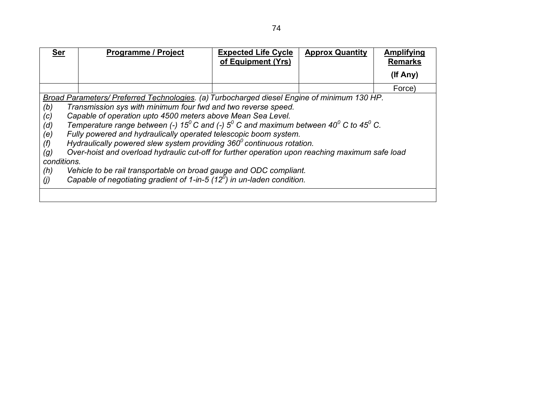| <b>Ser</b>                                                          | <b>Programme / Project</b>                                                                                                                                                                                                                                                                                                                                                                                                                                                                                                                                                                                                                                                                                                                                                                   | <b>Expected Life Cycle</b><br>of Equipment (Yrs) | <b>Approx Quantity</b> | Amplifying<br><b>Remarks</b> |
|---------------------------------------------------------------------|----------------------------------------------------------------------------------------------------------------------------------------------------------------------------------------------------------------------------------------------------------------------------------------------------------------------------------------------------------------------------------------------------------------------------------------------------------------------------------------------------------------------------------------------------------------------------------------------------------------------------------------------------------------------------------------------------------------------------------------------------------------------------------------------|--------------------------------------------------|------------------------|------------------------------|
|                                                                     |                                                                                                                                                                                                                                                                                                                                                                                                                                                                                                                                                                                                                                                                                                                                                                                              |                                                  |                        | (If Any)                     |
|                                                                     |                                                                                                                                                                                                                                                                                                                                                                                                                                                                                                                                                                                                                                                                                                                                                                                              |                                                  |                        | Force)                       |
| (b)<br>(c)<br>(d)<br>(e)<br>(f)<br>(g)<br>conditions.<br>(h)<br>(j) | Broad Parameters/ Preferred Technologies. (a) Turbocharged diesel Engine of minimum 130 HP.<br>Transmission sys with minimum four fwd and two reverse speed.<br>Capable of operation upto 4500 meters above Mean Sea Level.<br>Temperature range between (-) 15 <sup>0</sup> C and (-) 5 <sup>0</sup> C and maximum between 40 <sup>0</sup> C to 45 <sup>0</sup> C.<br>Fully powered and hydraulically operated telescopic boom system.<br>Hydraulically powered slew system providing $360^{\circ}$ continuous rotation.<br>Over-hoist and overload hydraulic cut-off for further operation upon reaching maximum safe load<br>Vehicle to be rail transportable on broad gauge and ODC compliant.<br>Capable of negotiating gradient of 1-in-5 $(12^{\overline{0}})$ in un-laden condition. |                                                  |                        |                              |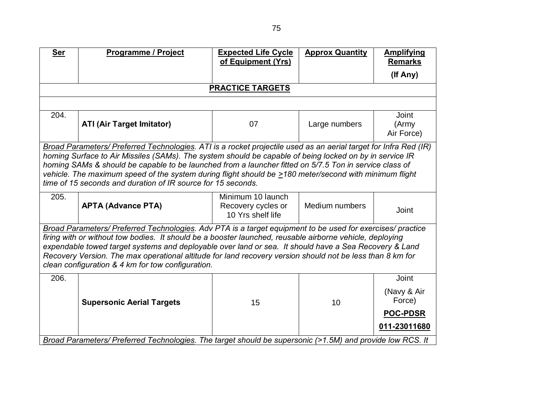| <b>Ser</b>                                                                                                                                                                                                                                                                                                                                                                                                                                                                                        | Programme / Project                                                                                                                                                                                                                                                                                                                                                                                                                                                                                             | <b>Expected Life Cycle</b><br>of Equipment (Yrs)             | <b>Approx Quantity</b> | <b>Amplifying</b><br><b>Remarks</b>                               |  |
|---------------------------------------------------------------------------------------------------------------------------------------------------------------------------------------------------------------------------------------------------------------------------------------------------------------------------------------------------------------------------------------------------------------------------------------------------------------------------------------------------|-----------------------------------------------------------------------------------------------------------------------------------------------------------------------------------------------------------------------------------------------------------------------------------------------------------------------------------------------------------------------------------------------------------------------------------------------------------------------------------------------------------------|--------------------------------------------------------------|------------------------|-------------------------------------------------------------------|--|
|                                                                                                                                                                                                                                                                                                                                                                                                                                                                                                   |                                                                                                                                                                                                                                                                                                                                                                                                                                                                                                                 |                                                              |                        | (If Any)                                                          |  |
|                                                                                                                                                                                                                                                                                                                                                                                                                                                                                                   |                                                                                                                                                                                                                                                                                                                                                                                                                                                                                                                 | <b>PRACTICE TARGETS</b>                                      |                        |                                                                   |  |
|                                                                                                                                                                                                                                                                                                                                                                                                                                                                                                   |                                                                                                                                                                                                                                                                                                                                                                                                                                                                                                                 |                                                              |                        |                                                                   |  |
| 204.                                                                                                                                                                                                                                                                                                                                                                                                                                                                                              | <b>ATI (Air Target Imitator)</b>                                                                                                                                                                                                                                                                                                                                                                                                                                                                                | 07                                                           | Large numbers          | <b>Joint</b><br>(Army<br>Air Force)                               |  |
|                                                                                                                                                                                                                                                                                                                                                                                                                                                                                                   | Broad Parameters/ Preferred Technologies. ATI is a rocket projectile used as an aerial target for Infra Red (IR)<br>homing Surface to Air Missiles (SAMs). The system should be capable of being locked on by in service IR<br>homing SAMs & should be capable to be launched from a launcher fitted on 5/7.5 Ton in service class of<br>vehicle. The maximum speed of the system during flight should be >180 meter/second with minimum flight<br>time of 15 seconds and duration of IR source for 15 seconds. |                                                              |                        |                                                                   |  |
| 205.                                                                                                                                                                                                                                                                                                                                                                                                                                                                                              | <b>APTA (Advance PTA)</b>                                                                                                                                                                                                                                                                                                                                                                                                                                                                                       | Minimum 10 launch<br>Recovery cycles or<br>10 Yrs shelf life | Medium numbers         | Joint                                                             |  |
| Broad Parameters/ Preferred Technologies. Adv PTA is a target equipment to be used for exercises/ practice<br>firing with or without tow bodies. It should be a booster launched, reusable airborne vehicle, deploying<br>expendable towed target systems and deployable over land or sea. It should have a Sea Recovery & Land<br>Recovery Version. The max operational altitude for land recovery version should not be less than 8 km for<br>clean configuration & 4 km for tow configuration. |                                                                                                                                                                                                                                                                                                                                                                                                                                                                                                                 |                                                              |                        |                                                                   |  |
| 206.                                                                                                                                                                                                                                                                                                                                                                                                                                                                                              | <b>Supersonic Aerial Targets</b>                                                                                                                                                                                                                                                                                                                                                                                                                                                                                | 15                                                           | 10                     | Joint<br>(Navy & Air<br>Force)<br><b>POC-PDSR</b><br>011-23011680 |  |
|                                                                                                                                                                                                                                                                                                                                                                                                                                                                                                   | Broad Parameters/ Preferred Technologies. The target should be supersonic (>1.5M) and provide low RCS. It                                                                                                                                                                                                                                                                                                                                                                                                       |                                                              |                        |                                                                   |  |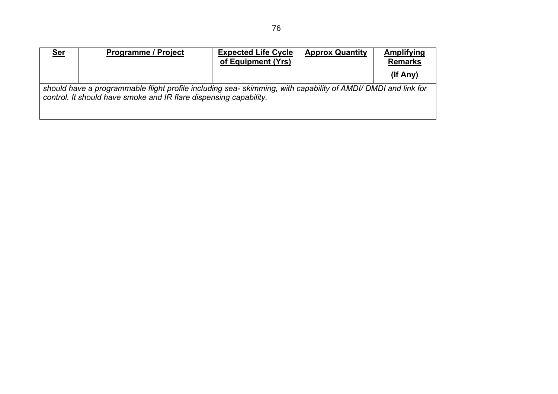| <u>Ser</u> | <b>Programme / Project</b>                                                                                                                                                        | <b>Expected Life Cycle</b><br>of Equipment (Yrs) | <b>Approx Quantity</b> | Amplifying<br><b>Remarks</b> |  |  |
|------------|-----------------------------------------------------------------------------------------------------------------------------------------------------------------------------------|--------------------------------------------------|------------------------|------------------------------|--|--|
|            |                                                                                                                                                                                   |                                                  |                        | $($ lf Any $)$               |  |  |
|            | should have a programmable flight profile including sea-skimming, with capability of AMDI/ DMDI and link for<br>control. It should have smoke and IR flare dispensing capability. |                                                  |                        |                              |  |  |
|            |                                                                                                                                                                                   |                                                  |                        |                              |  |  |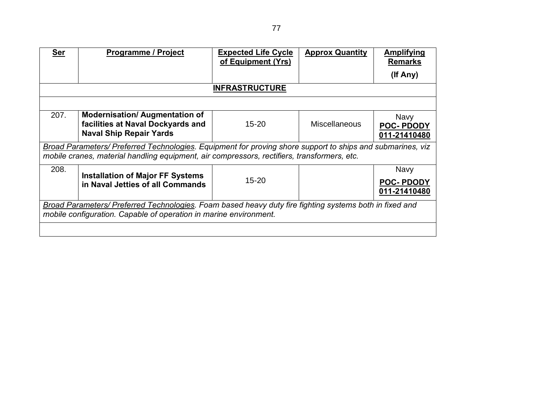| <b>Ser</b>                                                                                                                                                                   | <b>Programme / Project</b>                                                                                                                                                                                | <b>Expected Life Cycle</b><br>of Equipment (Yrs) | <b>Approx Quantity</b> | <b>Amplifying</b><br><b>Remarks</b>      |  |
|------------------------------------------------------------------------------------------------------------------------------------------------------------------------------|-----------------------------------------------------------------------------------------------------------------------------------------------------------------------------------------------------------|--------------------------------------------------|------------------------|------------------------------------------|--|
|                                                                                                                                                                              |                                                                                                                                                                                                           |                                                  |                        | (If Any)                                 |  |
|                                                                                                                                                                              |                                                                                                                                                                                                           | <b>INFRASTRUCTURE</b>                            |                        |                                          |  |
|                                                                                                                                                                              |                                                                                                                                                                                                           |                                                  |                        |                                          |  |
| 207.                                                                                                                                                                         | <b>Modernisation/ Augmentation of</b><br>facilities at Naval Dockyards and<br><b>Naval Ship Repair Yards</b>                                                                                              | $15 - 20$                                        | <b>Miscellaneous</b>   | Navy<br><b>POC-PDODY</b><br>011-21410480 |  |
|                                                                                                                                                                              | Broad Parameters/ Preferred Technologies. Equipment for proving shore support to ships and submarines, viz<br>mobile cranes, material handling equipment, air compressors, rectifiers, transformers, etc. |                                                  |                        |                                          |  |
| 208.                                                                                                                                                                         | <b>Installation of Major FF Systems</b><br>in Naval Jetties of all Commands                                                                                                                               | $15 - 20$                                        |                        | Navy<br><b>POC-PDODY</b><br>011-21410480 |  |
| Broad Parameters/ Preferred Technologies. Foam based heavy duty fire fighting systems both in fixed and<br>mobile configuration. Capable of operation in marine environment. |                                                                                                                                                                                                           |                                                  |                        |                                          |  |
|                                                                                                                                                                              |                                                                                                                                                                                                           |                                                  |                        |                                          |  |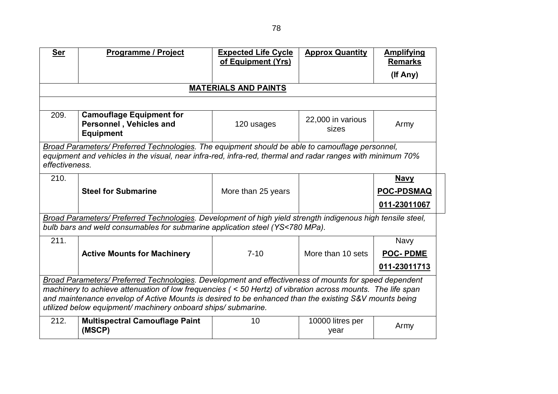| <b>Ser</b>                                                                                                  | Programme / Project                                                                                                                                                                                           | <b>Expected Life Cycle</b><br>of Equipment (Yrs) | <b>Approx Quantity</b>     | <b>Amplifying</b><br><b>Remarks</b> |  |
|-------------------------------------------------------------------------------------------------------------|---------------------------------------------------------------------------------------------------------------------------------------------------------------------------------------------------------------|--------------------------------------------------|----------------------------|-------------------------------------|--|
|                                                                                                             |                                                                                                                                                                                                               |                                                  |                            | (If Any)                            |  |
|                                                                                                             |                                                                                                                                                                                                               | <b>MATERIALS AND PAINTS</b>                      |                            |                                     |  |
|                                                                                                             |                                                                                                                                                                                                               |                                                  |                            |                                     |  |
| 209.                                                                                                        | <b>Camouflage Equipment for</b><br>Personnel, Vehicles and<br><b>Equipment</b>                                                                                                                                | 120 usages                                       | 22,000 in various<br>sizes | Army                                |  |
| effectiveness.                                                                                              | Broad Parameters/ Preferred Technologies. The equipment should be able to camouflage personnel,<br>equipment and vehicles in the visual, near infra-red, infra-red, thermal and radar ranges with minimum 70% |                                                  |                            |                                     |  |
| 210.                                                                                                        |                                                                                                                                                                                                               |                                                  |                            | <b>Navy</b>                         |  |
|                                                                                                             | <b>Steel for Submarine</b>                                                                                                                                                                                    | More than 25 years                               |                            | <b>POC-PDSMAQ</b>                   |  |
|                                                                                                             |                                                                                                                                                                                                               |                                                  |                            | 011-23011067                        |  |
|                                                                                                             | Broad Parameters/ Preferred Technologies. Development of high yield strength indigenous high tensile steel,<br>bulb bars and weld consumables for submarine application steel (YS<780 MPa).                   |                                                  |                            |                                     |  |
| 211.                                                                                                        |                                                                                                                                                                                                               |                                                  |                            | <b>Navy</b>                         |  |
|                                                                                                             | <b>Active Mounts for Machinery</b>                                                                                                                                                                            | $7 - 10$                                         | More than 10 sets          | <b>POC-PDME</b>                     |  |
|                                                                                                             |                                                                                                                                                                                                               |                                                  |                            | 011-23011713                        |  |
|                                                                                                             | Broad Parameters/ Preferred Technologies. Development and effectiveness of mounts for speed dependent                                                                                                         |                                                  |                            |                                     |  |
| machinery to achieve attenuation of low frequencies ( < 50 Hertz) of vibration across mounts. The life span |                                                                                                                                                                                                               |                                                  |                            |                                     |  |
|                                                                                                             | and maintenance envelop of Active Mounts is desired to be enhanced than the existing S&V mounts being<br>utilized below equipment/ machinery onboard ships/ submarine.                                        |                                                  |                            |                                     |  |
| 212.                                                                                                        | <b>Multispectral Camouflage Paint</b><br>(MSCP)                                                                                                                                                               | 10                                               | 10000 litres per<br>year   | Army                                |  |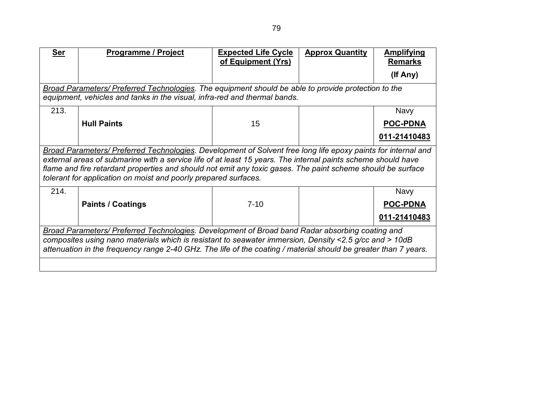| <b>Ser</b>                                                                                      | <b>Programme / Project</b>                                                                                                                                                                                                                                                                                                                                                                                      | <b>Expected Life Cycle</b> | <b>Approx Quantity</b> | <b>Amplifying</b> |  |
|-------------------------------------------------------------------------------------------------|-----------------------------------------------------------------------------------------------------------------------------------------------------------------------------------------------------------------------------------------------------------------------------------------------------------------------------------------------------------------------------------------------------------------|----------------------------|------------------------|-------------------|--|
|                                                                                                 |                                                                                                                                                                                                                                                                                                                                                                                                                 | of Equipment (Yrs)         |                        | <b>Remarks</b>    |  |
|                                                                                                 |                                                                                                                                                                                                                                                                                                                                                                                                                 |                            |                        | (If Any)          |  |
|                                                                                                 | Broad Parameters/ Preferred Technologies. The equipment should be able to provide protection to the<br>equipment, vehicles and tanks in the visual, infra-red and thermal bands.                                                                                                                                                                                                                                |                            |                        |                   |  |
| 213.                                                                                            |                                                                                                                                                                                                                                                                                                                                                                                                                 |                            |                        | <b>Navy</b>       |  |
|                                                                                                 | <b>Hull Paints</b>                                                                                                                                                                                                                                                                                                                                                                                              | 15                         |                        | <b>POC-PDNA</b>   |  |
|                                                                                                 |                                                                                                                                                                                                                                                                                                                                                                                                                 |                            |                        | 011-21410483      |  |
|                                                                                                 | Broad Parameters/ Preferred Technologies. Development of Solvent free long life epoxy paints for internal and<br>external areas of submarine with a service life of at least 15 years. The internal paints scheme should have<br>flame and fire retardant properties and should not emit any toxic gases. The paint scheme should be surface<br>tolerant for application on moist and poorly prepared surfaces. |                            |                        |                   |  |
| 214.                                                                                            |                                                                                                                                                                                                                                                                                                                                                                                                                 |                            |                        | <b>Navy</b>       |  |
|                                                                                                 | <b>Paints / Coatings</b>                                                                                                                                                                                                                                                                                                                                                                                        | $7 - 10$                   |                        | <b>POC-PDNA</b>   |  |
|                                                                                                 |                                                                                                                                                                                                                                                                                                                                                                                                                 |                            |                        | 011-21410483      |  |
| Broad Parameters/ Preferred Technologies. Development of Broad band Radar absorbing coating and |                                                                                                                                                                                                                                                                                                                                                                                                                 |                            |                        |                   |  |
|                                                                                                 | composites using nano materials which is resistant to seawater immersion, Density <2.5 g/cc and > 10dB<br>attenuation in the frequency range 2-40 GHz. The life of the coating / material should be greater than 7 years.                                                                                                                                                                                       |                            |                        |                   |  |
|                                                                                                 |                                                                                                                                                                                                                                                                                                                                                                                                                 |                            |                        |                   |  |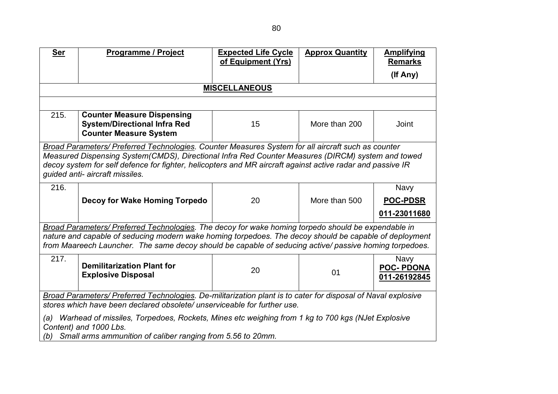| <b>Ser</b>                                                                                                                                                                                                                                                                                                                                               | <b>Programme / Project</b>                                                                                                                                                                                       | <b>Expected Life Cycle</b><br>of Equipment (Yrs) | <b>Approx Quantity</b> | <b>Amplifying</b><br><b>Remarks</b>             |  |
|----------------------------------------------------------------------------------------------------------------------------------------------------------------------------------------------------------------------------------------------------------------------------------------------------------------------------------------------------------|------------------------------------------------------------------------------------------------------------------------------------------------------------------------------------------------------------------|--------------------------------------------------|------------------------|-------------------------------------------------|--|
|                                                                                                                                                                                                                                                                                                                                                          |                                                                                                                                                                                                                  |                                                  |                        | (If Any)                                        |  |
|                                                                                                                                                                                                                                                                                                                                                          |                                                                                                                                                                                                                  | <b>MISCELLANEOUS</b>                             |                        |                                                 |  |
|                                                                                                                                                                                                                                                                                                                                                          |                                                                                                                                                                                                                  |                                                  |                        |                                                 |  |
| 215.                                                                                                                                                                                                                                                                                                                                                     | <b>Counter Measure Dispensing</b><br><b>System/Directional Infra Red</b><br><b>Counter Measure System</b>                                                                                                        | 15                                               | More than 200          | Joint                                           |  |
| Broad Parameters/ Preferred Technologies. Counter Measures System for all aircraft such as counter<br>Measured Dispensing System(CMDS), Directional Infra Red Counter Measures (DIRCM) system and towed<br>decoy system for self defence for fighter, helicopters and MR aircraft against active radar and passive IR<br>guided anti- aircraft missiles. |                                                                                                                                                                                                                  |                                                  |                        |                                                 |  |
| 216.                                                                                                                                                                                                                                                                                                                                                     |                                                                                                                                                                                                                  |                                                  |                        | <b>Navy</b>                                     |  |
|                                                                                                                                                                                                                                                                                                                                                          | Decoy for Wake Homing Torpedo                                                                                                                                                                                    | 20                                               | More than 500          | <b>POC-PDSR</b>                                 |  |
|                                                                                                                                                                                                                                                                                                                                                          |                                                                                                                                                                                                                  |                                                  |                        | 011-23011680                                    |  |
|                                                                                                                                                                                                                                                                                                                                                          | Broad Parameters/ Preferred Technologies. The decoy for wake homing torpedo should be expendable in                                                                                                              |                                                  |                        |                                                 |  |
|                                                                                                                                                                                                                                                                                                                                                          | nature and capable of seducing modern wake homing torpedoes. The decoy should be capable of deployment<br>from Maareech Launcher. The same decoy should be capable of seducing active/ passive homing torpedoes. |                                                  |                        |                                                 |  |
| 217.                                                                                                                                                                                                                                                                                                                                                     | <b>Demilitarization Plant for</b><br><b>Explosive Disposal</b>                                                                                                                                                   | 20                                               | 01                     | <b>Navy</b><br><b>POC-PDONA</b><br>011-26192845 |  |
| Broad Parameters/ Preferred Technologies. De-militarization plant is to cater for disposal of Naval explosive<br>stores which have been declared obsolete/ unserviceable for further use.                                                                                                                                                                |                                                                                                                                                                                                                  |                                                  |                        |                                                 |  |
| (a)<br>(b)                                                                                                                                                                                                                                                                                                                                               | Warhead of missiles, Torpedoes, Rockets, Mines etc weighing from 1 kg to 700 kgs (NJet Explosive<br>Content) and 1000 Lbs.<br>Small arms ammunition of caliber ranging from 5.56 to 20mm.                        |                                                  |                        |                                                 |  |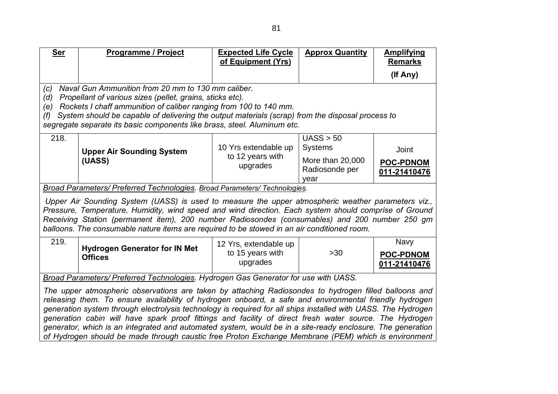| <b>Ser</b>                                                                          | <b>Programme / Project</b>                                                                                                                                                                                                                                                                                                                                                                                                                                                                                                                                                                                                                                       | <b>Expected Life Cycle</b><br>of Equipment (Yrs)      | <b>Approx Quantity</b>                                                    | <b>Amplifying</b><br><b>Remarks</b>             |  |
|-------------------------------------------------------------------------------------|------------------------------------------------------------------------------------------------------------------------------------------------------------------------------------------------------------------------------------------------------------------------------------------------------------------------------------------------------------------------------------------------------------------------------------------------------------------------------------------------------------------------------------------------------------------------------------------------------------------------------------------------------------------|-------------------------------------------------------|---------------------------------------------------------------------------|-------------------------------------------------|--|
|                                                                                     |                                                                                                                                                                                                                                                                                                                                                                                                                                                                                                                                                                                                                                                                  |                                                       |                                                                           | (If Any)                                        |  |
| (c)<br>(d)<br>(e)<br>(f)                                                            | Naval Gun Ammunition from 20 mm to 130 mm caliber.<br>Propellant of various sizes (pellet, grains, sticks etc).<br>Rockets I chaff ammunition of caliber ranging from 100 to 140 mm.<br>System should be capable of delivering the output materials (scrap) from the disposal process to<br>segregate separate its basic components like brass, steel. Aluminum etc.                                                                                                                                                                                                                                                                                             |                                                       |                                                                           |                                                 |  |
| 218.                                                                                | <b>Upper Air Sounding System</b><br>(UASS)                                                                                                                                                                                                                                                                                                                                                                                                                                                                                                                                                                                                                       | 10 Yrs extendable up<br>to 12 years with<br>upgrades  | UASS > 50<br><b>Systems</b><br>More than 20,000<br>Radiosonde per<br>year | Joint<br><b>POC-PDNOM</b><br>011-21410476       |  |
|                                                                                     | Broad Parameters/ Preferred Technologies. Broad Parameters/ Technologies.<br>Upper Air Sounding System (UASS) is used to measure the upper atmospheric weather parameters viz.,<br>Pressure, Temperature, Humidity, wind speed and wind direction. Each system should comprise of Ground<br>Receiving Station (permanent item), 200 number Radiosondes (consumables) and 200 number 250 gm<br>balloons. The consumable nature items are required to be stowed in an air conditioned room.                                                                                                                                                                        |                                                       |                                                                           |                                                 |  |
| 219.                                                                                | <b>Hydrogen Generator for IN Met</b><br><b>Offices</b>                                                                                                                                                                                                                                                                                                                                                                                                                                                                                                                                                                                                           | 12 Yrs, extendable up<br>to 15 years with<br>upgrades | >30                                                                       | <b>Navy</b><br><b>POC-PDNOM</b><br>011-21410476 |  |
| Broad Parameters/ Preferred Technologies. Hydrogen Gas Generator for use with UASS. |                                                                                                                                                                                                                                                                                                                                                                                                                                                                                                                                                                                                                                                                  |                                                       |                                                                           |                                                 |  |
|                                                                                     | The upper atmospheric observations are taken by attaching Radiosondes to hydrogen filled balloons and<br>releasing them. To ensure availability of hydrogen onboard, a safe and environmental friendly hydrogen<br>generation system through electrolysis technology is required for all ships installed with UASS. The Hydrogen<br>generation cabin will have spark proof fittings and facility of direct fresh water source. The Hydrogen<br>generator, which is an integrated and automated system, would be in a site-ready enclosure. The generation<br>of Hydrogen should be made through caustic free Proton Exchange Membrane (PEM) which is environment |                                                       |                                                                           |                                                 |  |